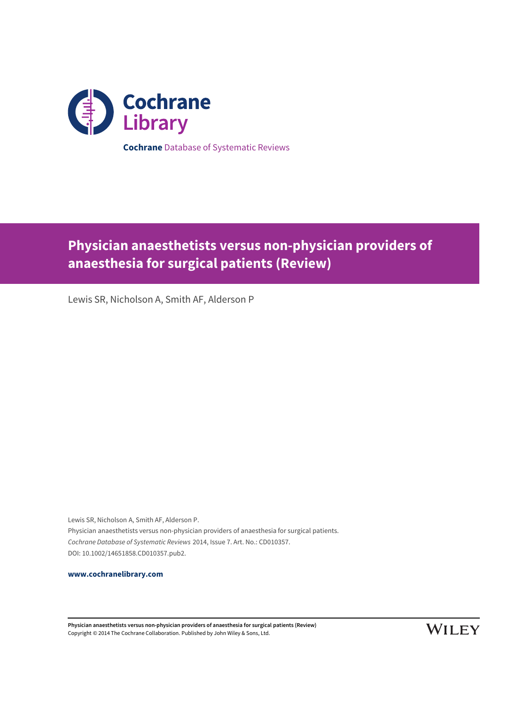

# **Physician anaesthetists versus non-physician providers of anaesthesia for surgical patients (Review)**

Lewis SR, Nicholson A, Smith AF, Alderson P

Lewis SR, Nicholson A, Smith AF, Alderson P. Physician anaesthetists versus non-physician providers of anaesthesia for surgical patients. Cochrane Database of Systematic Reviews 2014, Issue 7. Art. No.: CD010357. DOI: 10.1002/14651858.CD010357.pub2.

**[www.cochranelibrary.com](http://www.cochranelibrary.com)**

**Physician anaesthetists versus non-physician providers of anaesthesia for surgical patients (Review)** Copyright © 2014 The Cochrane Collaboration. Published by John Wiley & Sons, Ltd.

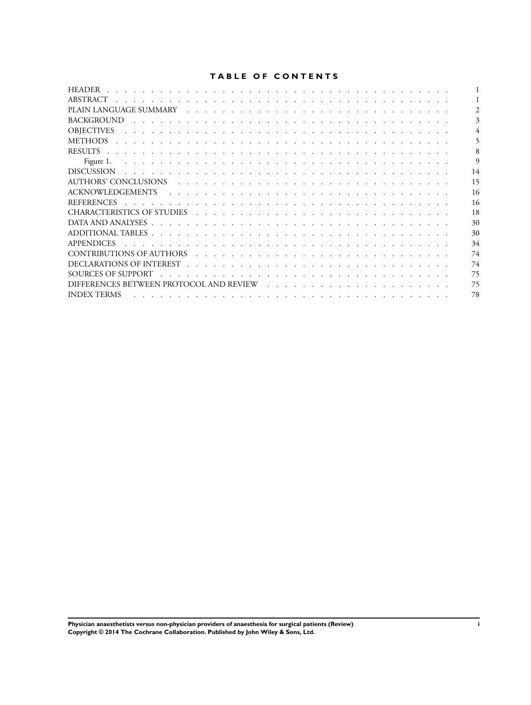# **TABLE OF CONTENTS**

**Physician anaesthetists versus non-physician providers of anaesthesia for surgical patients (Review) i Copyright © 2014 The Cochrane Collaboration. Published by John Wiley & Sons, Ltd.**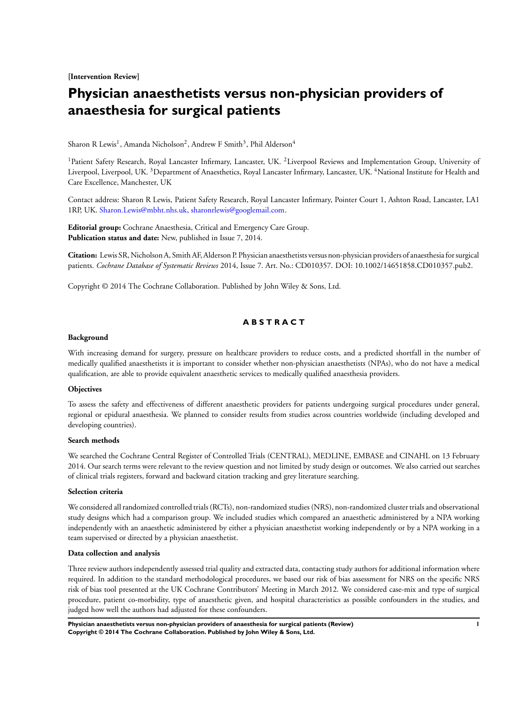**[Intervention Review]**

# **Physician anaesthetists versus non-physician providers of anaesthesia for surgical patients**

Sharon R Lewis<sup>1</sup>, Amanda Nicholson<sup>2</sup>, Andrew F Smith<sup>3</sup>, Phil Alderson<sup>4</sup>

<sup>1</sup>Patient Safety Research, Royal Lancaster Infirmary, Lancaster, UK. <sup>2</sup>Liverpool Reviews and Implementation Group, University of Liverpool, Liverpool, UK.<sup>3</sup>Department of Anaesthetics, Royal Lancaster Infirmary, Lancaster, UK.<sup>4</sup>National Institute for Health and Care Excellence, Manchester, UK

Contact address: Sharon R Lewis, Patient Safety Research, Royal Lancaster Infirmary, Pointer Court 1, Ashton Road, Lancaster, LA1 1RP, UK. [Sharon.Lewis@mbht.nhs.uk,](mailto:Sharon.Lewis@mbht.nhs.uk) [sharonrlewis@googlemail.com.](mailto:sharonrlewis@googlemail.com)

**Editorial group:** Cochrane Anaesthesia, Critical and Emergency Care Group. **Publication status and date:** New, published in Issue 7, 2014.

**Citation:** Lewis SR, Nicholson A, Smith AF, Alderson P. Physician anaesthetists versus non-physician providers of anaesthesia for surgical patients. *Cochrane Database of Systematic Reviews* 2014, Issue 7. Art. No.: CD010357. DOI: 10.1002/14651858.CD010357.pub2.

Copyright © 2014 The Cochrane Collaboration. Published by John Wiley & Sons, Ltd.

# **A B S T R A C T**

#### **Background**

With increasing demand for surgery, pressure on healthcare providers to reduce costs, and a predicted shortfall in the number of medically qualified anaesthetists it is important to consider whether non-physician anaesthetists (NPAs), who do not have a medical qualification, are able to provide equivalent anaesthetic services to medically qualified anaesthesia providers.

# **Objectives**

To assess the safety and effectiveness of different anaesthetic providers for patients undergoing surgical procedures under general, regional or epidural anaesthesia. We planned to consider results from studies across countries worldwide (including developed and developing countries).

#### **Search methods**

We searched the Cochrane Central Register of Controlled Trials (CENTRAL), MEDLINE, EMBASE and CINAHL on 13 February 2014. Our search terms were relevant to the review question and not limited by study design or outcomes. We also carried out searches of clinical trials registers, forward and backward citation tracking and grey literature searching.

# **Selection criteria**

We considered all randomized controlled trials (RCTs), non-randomized studies (NRS), non-randomized cluster trials and observational study designs which had a comparison group. We included studies which compared an anaesthetic administered by a NPA working independently with an anaesthetic administered by either a physician anaesthetist working independently or by a NPA working in a team supervised or directed by a physician anaesthetist.

### **Data collection and analysis**

Three review authors independently assessed trial quality and extracted data, contacting study authors for additional information where required. In addition to the standard methodological procedures, we based our risk of bias assessment for NRS on the specific NRS risk of bias tool presented at the UK Cochrane Contributors' Meeting in March 2012. We considered case-mix and type of surgical procedure, patient co-morbidity, type of anaesthetic given, and hospital characteristics as possible confounders in the studies, and judged how well the authors had adjusted for these confounders.

**Physician anaesthetists versus non-physician providers of anaesthesia for surgical patients (Review) 1 Copyright © 2014 The Cochrane Collaboration. Published by John Wiley & Sons, Ltd.**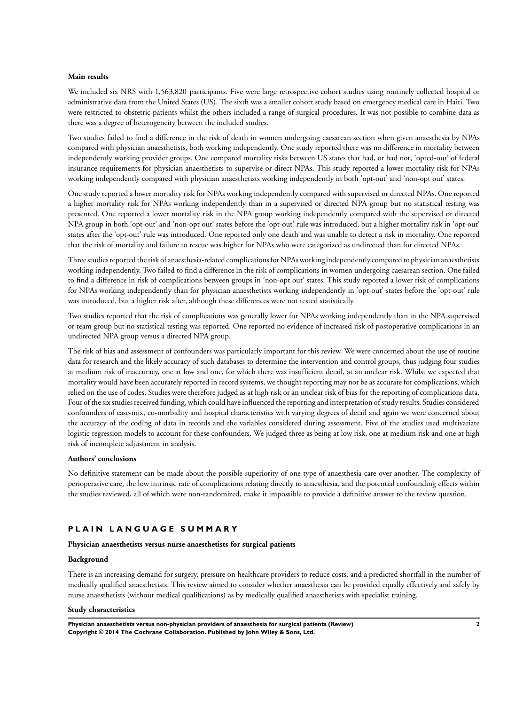#### **Main results**

We included six NRS with 1,563,820 participants. Five were large retrospective cohort studies using routinely collected hospital or administrative data from the United States (US). The sixth was a smaller cohort study based on emergency medical care in Haiti. Two were restricted to obstetric patients whilst the others included a range of surgical procedures. It was not possible to combine data as there was a degree of heterogeneity between the included studies.

Two studies failed to find a difference in the risk of death in women undergoing caesarean section when given anaesthesia by NPAs compared with physician anaesthetists, both working independently. One study reported there was no difference in mortality between independently working provider groups. One compared mortality risks between US states that had, or had not, 'opted-out' of federal insurance requirements for physician anaesthetists to supervise or direct NPAs. This study reported a lower mortality risk for NPAs working independently compared with physician anaesthetists working independently in both 'opt-out' and 'non-opt out' states.

One study reported a lower mortality risk for NPAs working independently compared with supervised or directed NPAs. One reported a higher mortality risk for NPAs working independently than in a supervised or directed NPA group but no statistical testing was presented. One reported a lower mortality risk in the NPA group working independently compared with the supervised or directed NPA group in both 'opt-out' and 'non-opt out' states before the 'opt-out' rule was introduced, but a higher mortality risk in 'opt-out' states after the 'opt-out' rule was introduced. One reported only one death and was unable to detect a risk in mortality. One reported that the risk of mortality and failure to rescue was higher for NPAs who were categorized as undirected than for directed NPAs.

Three studies reported the risk of anaesthesia-related complicationsfor NPAs working independently compared to physician anaesthetists working independently. Two failed to find a difference in the risk of complications in women undergoing caesarean section. One failed to find a difference in risk of complications between groups in 'non-opt out' states. This study reported a lower risk of complications for NPAs working independently than for physician anaesthetists working independently in 'opt-out' states before the 'opt-out' rule was introduced, but a higher risk after, although these differences were not tested statistically.

Two studies reported that the risk of complications was generally lower for NPAs working independently than in the NPA supervised or team group but no statistical testing was reported. One reported no evidence of increased risk of postoperative complications in an undirected NPA group versus a directed NPA group.

The risk of bias and assessment of confounders was particularly important for this review. We were concerned about the use of routine data for research and the likely accuracy of such databases to determine the intervention and control groups, thus judging four studies at medium risk of inaccuracy, one at low and one, for which there was insufficient detail, at an unclear risk. Whilst we expected that mortality would have been accurately reported in record systems, we thought reporting may not be as accurate for complications, which relied on the use of codes. Studies were therefore judged as at high risk or an unclear risk of bias for the reporting of complications data. Four of the six studies received funding, which could have influenced the reporting and interpretation of study results. Studies considered confounders of case-mix, co-morbidity and hospital characteristics with varying degrees of detail and again we were concerned about the accuracy of the coding of data in records and the variables considered during assessment. Five of the studies used multivariate logistic regression models to account for these confounders. We judged three as being at low risk, one at medium risk and one at high risk of incomplete adjustment in analysis.

#### **Authors' conclusions**

No definitive statement can be made about the possible superiority of one type of anaesthesia care over another. The complexity of perioperative care, the low intrinsic rate of complications relating directly to anaesthesia, and the potential confounding effects within the studies reviewed, all of which were non-randomized, make it impossible to provide a definitive answer to the review question.

# **P L A I N L A N G U A G E S U M M A R Y**

#### **Physician anaesthetists versus nurse anaesthetists for surgical patients**

#### **Background**

There is an increasing demand for surgery, pressure on healthcare providers to reduce costs, and a predicted shortfall in the number of medically qualified anaesthetists. This review aimed to consider whether anaesthesia can be provided equally effectively and safely by nurse anaesthetists (without medical qualifications) as by medically qualified anaesthetists with specialist training.

#### **Study characteristics**

**Physician anaesthetists versus non-physician providers of anaesthesia for surgical patients (Review) 2 Copyright © 2014 The Cochrane Collaboration. Published by John Wiley & Sons, Ltd.**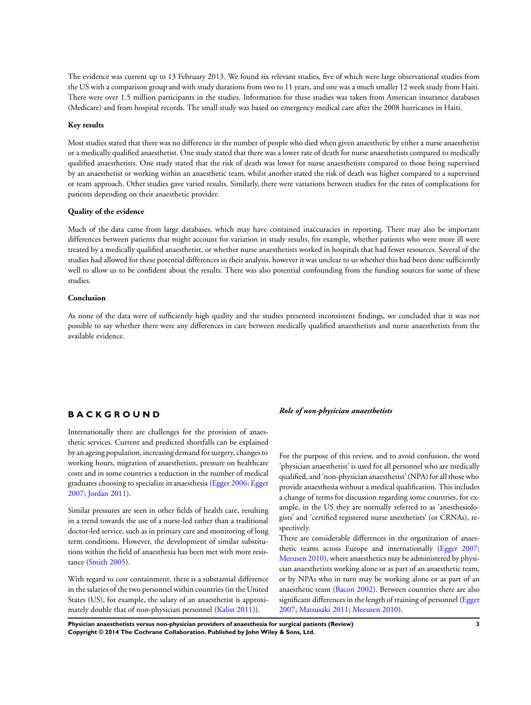<span id="page-4-0"></span>The evidence was current up to 13 February 2013. We found six relevant studies, five of which were large observational studies from the US with a comparison group and with study durations from two to 11 years, and one was a much smaller 12 week study from Haiti. There were over 1.5 million participants in the studies. Information for these studies was taken from American insurance databases (Medicare) and from hospital records. The small study was based on emergency medical care after the 2008 hurricanes in Haiti.

#### **Key results**

Most studies stated that there was no difference in the number of people who died when given anaesthetic by either a nurse anaesthetist or a medically qualified anaesthetist. One study stated that there was a lower rate of death for nurse anaesthetists compared to medically qualified anaesthetists. One study stated that the risk of death was lower for nurse anaesthetists compared to those being supervised by an anaesthetist or working within an anaesthetic team, whilst another stated the risk of death was higher compared to a supervised or team approach. Other studies gave varied results. Similarly, there were variations between studies for the rates of complications for patients depending on their anaesthetic provider.

#### **Quality of the evidence**

Much of the data came from large databases, which may have contained inaccuracies in reporting. There may also be important differences between patients that might account for variation in study results, for example, whether patients who were more ill were treated by a medically qualified anaesthetist, or whether nurse anaesthetists worked in hospitals that had fewer resources. Several of the studies had allowed for these potential differences in their analysis, however it was unclear to us whether this had been done sufficiently well to allow us to be confident about the results. There was also potential confounding from the funding sources for some of these studies.

#### **Conclusion**

As none of the data were of sufficiently high quality and the studies presented inconsistent findings, we concluded that it was not possible to say whether there were any differences in care between medically qualified anaesthetists and nurse anaesthetists from the available evidence.

# **B A C K G R O U N D**

Internationally there are challenges for the provision of anaesthetic services. Current and predicted shortfalls can be explained by an ageing population, increasing demand for surgery, changes to working hours, migration of anaesthetists, pressure on healthcare costs and in some countries a reduction in the number of medical graduates choosing to specialize in anaesthesia ([Egger 2006](#page-17-0); [Egger](#page-17-0) [2007](#page-17-0); [Jordan 2011\)](#page-17-0).

Similar pressures are seen in other fields of health care, resulting in a trend towards the use of a nurse-led rather than a traditional doctor-led service, such as in primary care and monitoring of long term conditions. However, the development of similar substitutions within the field of anaesthesia has been met with more resistance ([Smith 2005\)](#page-17-0).

With regard to cost containment, there is a substantial difference in the salaries of the two personnel within countries (in the United States (US), for example, the salary of an anaesthetist is approximately double that of non-physician personnel [\(Kalist 2011\)](#page-17-0)).

#### *Role of non-physician anaesthetists*

For the purpose of this review, and to avoid confusion, the word 'physician anaesthetist' is used for all personnel who are medically qualified, and 'non-physician anaesthetist' (NPA) for all those who provide anaesthesia without a medical qualification. This includes a change of terms for discussion regarding some countries, for example, in the US they are normally referred to as 'anesthesiologists' and 'certified registered nurse anesthetists' (or CRNAs), respectively.

There are considerable differences in the organization of anaesthetic teams across Europe and internationally [\(Egger 2007;](#page-17-0) [Meeusen 2010\)](#page-17-0), where anaesthetics may be administered by physician anaesthetists working alone or as part of an anaesthetic team, or by NPAs who in turn may be working alone or as part of an anaesthetic team [\(Bacon 2002](#page-17-0)). Between countries there are also significant differences in the length of training of personnel [\(Egger](#page-17-0) [2007](#page-17-0); [Matsusaki 2011](#page-17-0); [Meeusen 2010\)](#page-17-0).

**Physician anaesthetists versus non-physician providers of anaesthesia for surgical patients (Review) 3 Copyright © 2014 The Cochrane Collaboration. Published by John Wiley & Sons, Ltd.**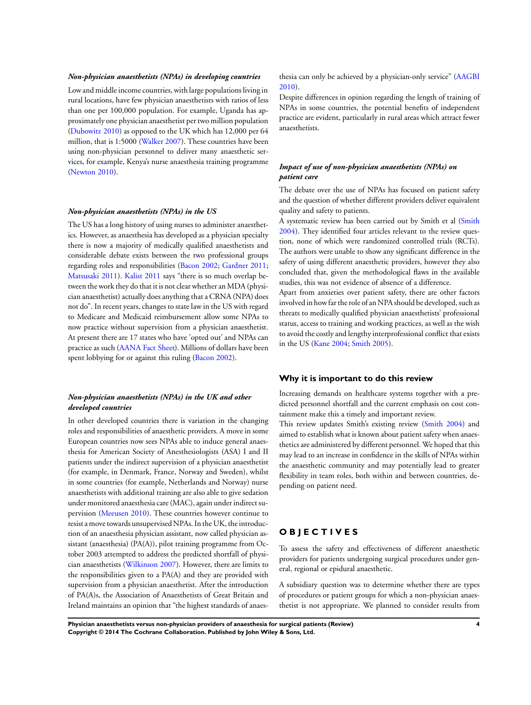#### *Non-physician anaesthetists (NPAs) in developing countries*

Low and middle income countries, with large populations living in rural locations, have few physician anaesthetists with ratios of less than one per 100,000 population. For example, Uganda has approximately one physician anaesthetist per two million population [\(Dubowitz 2010\)](#page-17-0) as opposed to the UK which has 12,000 per 64 million, that is 1:5000 ([Walker 2007](#page-17-0)). These countries have been using non-physician personnel to deliver many anaesthetic services, for example, Kenya's nurse anaesthesia training programme [\(Newton 2010\)](#page-17-0).

#### *Non-physician anaesthetists (NPAs) in the US*

The US has a long history of using nurses to administer anaesthetics. However, as anaesthesia has developed as a physician specialty there is now a majority of medically qualified anaesthetists and considerable debate exists between the two professional groups regarding roles and responsibilities [\(Bacon 2002](#page-17-0); [Gardner 2011;](#page-17-0) [Matsusaki 2011](#page-17-0)). [Kalist 2011](#page-17-0) says "there is so much overlap between the work they do that it is not clear whether an MDA (physician anaesthetist) actually does anything that a CRNA (NPA) does not do". In recent years, changes to state law in the US with regard to Medicare and Medicaid reimbursement allow some NPAs to now practice without supervision from a physician anaesthetist. At present there are 17 states who have 'opted out' and NPAs can practice as such ([AANA Fact Sheet\)](http://www.aana.com/advocacy/stategovernmentaffairs/Pages/Fact-Sheet-Concerning-State-Opt-Outs.aspx). Millions of dollars have been spent lobbying for or against this ruling ([Bacon 2002\)](#page-17-0).

## *Non-physician anaesthetists (NPAs) in the UK and other developed countries*

In other developed countries there is variation in the changing roles and responsibilities of anaesthetic providers. A move in some European countries now sees NPAs able to induce general anaesthesia for American Society of Anesthesiologists (ASA) I and II patients under the indirect supervision of a physician anaesthetist (for example, in Denmark, France, Norway and Sweden), whilst in some countries (for example, Netherlands and Norway) nurse anaesthetists with additional training are also able to give sedation under monitored anaesthesia care (MAC), again under indirect supervision [\(Meeusen 2010\)](#page-17-0). These countries however continue to resist a move towards unsupervised NPAs. In the UK, the introduction of an anaesthesia physician assistant, now called physician assistant (anaesthesia) (PA(A)), pilot training programme from October 2003 attempted to address the predicted shortfall of physician anaesthetists ([Wilkinson 2007\)](#page-17-0). However, there are limits to the responsibilities given to a PA(A) and they are provided with supervision from a physician anaesthetist. After the introduction of PA(A)s, the Association of Anaesthetists of Great Britain and Ireland maintains an opinion that "the highest standards of anaesthesia can only be achieved by a physician-only service" ([AAGBI](#page-17-0) [2010](#page-17-0)).

Despite differences in opinion regarding the length of training of NPAs in some countries, the potential benefits of independent practice are evident, particularly in rural areas which attract fewer anaesthetists.

# *Impact of use of non-physician anaesthetists (NPAs) on patient care*

The debate over the use of NPAs has focused on patient safety and the question of whether different providers deliver equivalent quality and safety to patients.

A systematic review has been carried out by Smith et al [\(Smith](#page-17-0) [2004](#page-17-0)). They identified four articles relevant to the review question, none of which were randomized controlled trials (RCTs). The authors were unable to show any significant difference in the safety of using different anaesthetic providers, however they also concluded that, given the methodological flaws in the available studies, this was not evidence of absence of a difference.

Apart from anxieties over patient safety, there are other factors involved in howfar the role of an NPA should be developed, such as threats to medically qualified physician anaesthetists' professional status, access to training and working practices, as well as the wish to avoid the costly and lengthy interprofessional conflict that exists in the US ([Kane 2004](#page-17-0); [Smith 2005\)](#page-17-0).

#### **Why it is important to do this review**

Increasing demands on healthcare systems together with a predicted personnel shortfall and the current emphasis on cost containment make this a timely and important review.

This review updates Smith's existing review [\(Smith 2004\)](#page-17-0) and aimed to establish what is known about patient safety when anaesthetics are administered by different personnel. We hoped that this may lead to an increase in confidence in the skills of NPAs within the anaesthetic community and may potentially lead to greater flexibility in team roles, both within and between countries, depending on patient need.

# **O B J E C T I V E S**

To assess the safety and effectiveness of different anaesthetic providers for patients undergoing surgical procedures under general, regional or epidural anaesthetic.

A subsidiary question was to determine whether there are types of procedures or patient groups for which a non-physician anaesthetist is not appropriate. We planned to consider results from

**Physician anaesthetists versus non-physician providers of anaesthesia for surgical patients (Review) 4 Copyright © 2014 The Cochrane Collaboration. Published by John Wiley & Sons, Ltd.**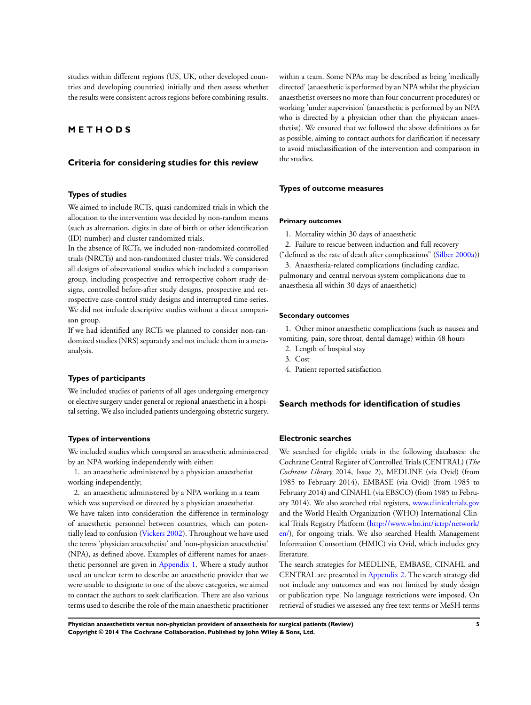studies within different regions (US, UK, other developed countries and developing countries) initially and then assess whether the results were consistent across regions before combining results.

# **M E T H O D S**

#### **Criteria for considering studies for this review**

#### **Types of studies**

We aimed to include RCTs, quasi-randomized trials in which the allocation to the intervention was decided by non-random means (such as alternation, digits in date of birth or other identification (ID) number) and cluster randomized trials.

In the absence of RCTs, we included non-randomized controlled trials (NRCTs) and non-randomized cluster trials. We considered all designs of observational studies which included a comparison group, including prospective and retrospective cohort study designs, controlled before-after study designs, prospective and retrospective case-control study designs and interrupted time-series. We did not include descriptive studies without a direct comparison group.

If we had identified any RCTs we planned to consider non-randomized studies (NRS) separately and not include them in a metaanalysis.

#### **Types of participants**

We included studies of patients of all ages undergoing emergency or elective surgery under general or regional anaesthetic in a hospital setting. We also included patients undergoing obstetric surgery.

#### **Types of interventions**

We included studies which compared an anaesthetic administered by an NPA working independently with either:

1. an anaesthetic administered by a physician anaesthetist working independently;

2. an anaesthetic administered by a NPA working in a team which was supervised or directed by a physician anaesthetist. We have taken into consideration the difference in terminology of anaesthetic personnel between countries, which can potentially lead to confusion [\(Vickers 2002\)](#page-17-0). Throughout we have used the terms 'physician anaesthetist' and 'non-physician anaesthetist' (NPA), as defined above. Examples of different names for anaesthetic personnel are given in [Appendix 1](#page-35-0). Where a study author used an unclear term to describe an anaesthetic provider that we were unable to designate to one of the above categories, we aimed to contact the authors to seek clarification. There are also various terms used to describe the role of the main anaesthetic practitioner

within a team. Some NPAs may be described as being 'medically directed' (anaesthetic is performed by an NPA whilst the physician anaesthetist oversees no more than four concurrent procedures) or working 'under supervision' (anaesthetic is performed by an NPA who is directed by a physician other than the physician anaesthetist). We ensured that we followed the above definitions as far as possible, aiming to contact authors for clarification if necessary to avoid misclassification of the intervention and comparison in the studies.

#### **Types of outcome measures**

#### **Primary outcomes**

1. Mortality within 30 days of anaesthetic

2. Failure to rescue between induction and full recovery

("defined as the rate of death after complications" ([Silber 2000a](#page-17-0))) 3. Anaesthesia-related complications (including cardiac,

pulmonary and central nervous system complications due to anaesthesia all within 30 days of anaesthetic)

#### **Secondary outcomes**

1. Other minor anaesthetic complications (such as nausea and vomiting, pain, sore throat, dental damage) within 48 hours

- 2. Length of hospital stay
- 3. Cost
- 4. Patient reported satisfaction

### **Search methods for identification of studies**

#### **Electronic searches**

We searched for eligible trials in the following databases: the Cochrane Central Register of Controlled Trials (CENTRAL) (*The Cochrane Library* 2014, Issue 2), MEDLINE (via Ovid) (from 1985 to February 2014), EMBASE (via Ovid) (from 1985 to February 2014) and CINAHL (via EBSCO) (from 1985 to February 2014). We also searched trial registers, [www.clinicaltrials.gov](http://www.clinicaltrials.gov) and the World Health Organization (WHO) International Clinical Trials Registry Platform ([http://www.who.int/ictrp/network/](http://www.who.int/ictrp/network/en/) [en/](http://www.who.int/ictrp/network/en/)), for ongoing trials. We also searched Health Management Information Consortium (HMIC) via Ovid, which includes grey literature.

The search strategies for MEDLINE, EMBASE, CINAHL and CENTRAL are presented in [Appendix 2.](#page-36-0) The search strategy did not include any outcomes and was not limited by study design or publication type. No language restrictions were imposed. On retrieval of studies we assessed any free text terms or MeSH terms

**Physician anaesthetists versus non-physician providers of anaesthesia for surgical patients (Review) 5 Copyright © 2014 The Cochrane Collaboration. Published by John Wiley & Sons, Ltd.**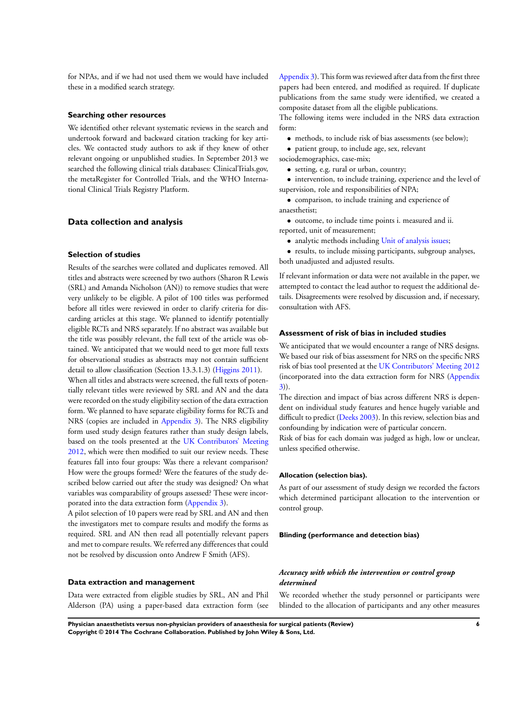for NPAs, and if we had not used them we would have included these in a modified search strategy.

#### **Searching other resources**

We identified other relevant systematic reviews in the search and undertook forward and backward citation tracking for key articles. We contacted study authors to ask if they knew of other relevant ongoing or unpublished studies. In September 2013 we searched the following clinical trials databases: ClinicalTrials.gov, the metaRegister for Controlled Trials, and the WHO International Clinical Trials Registry Platform.

#### **Data collection and analysis**

#### **Selection of studies**

Results of the searches were collated and duplicates removed. All titles and abstracts were screened by two authors (Sharon R Lewis (SRL) and Amanda Nicholson (AN)) to remove studies that were very unlikely to be eligible. A pilot of 100 titles was performed before all titles were reviewed in order to clarify criteria for discarding articles at this stage. We planned to identify potentially eligible RCTs and NRS separately. If no abstract was available but the title was possibly relevant, the full text of the article was obtained. We anticipated that we would need to get more full texts for observational studies as abstracts may not contain sufficient detail to allow classification (Section 13.3.1.3) [\(Higgins 2011](#page-17-0)). When all titles and abstracts were screened, the full texts of potentially relevant titles were reviewed by SRL and AN and the data were recorded on the study eligibility section of the data extraction form. We planned to have separate eligibility forms for RCTs and NRS (copies are included in [Appendix 3\)](#page-42-0). The NRS eligibility form used study design features rather than study design labels, based on the tools presented at the [UK Contributors' Meeting](#page-17-0) [2012](#page-17-0), which were then modified to suit our review needs. These features fall into four groups: Was there a relevant comparison? How were the groups formed? Were the features of the study described below carried out after the study was designed? On what variables was comparability of groups assessed? These were incorporated into the data extraction form [\(Appendix 3\)](#page-42-0).

A pilot selection of 10 papers were read by SRL and AN and then the investigators met to compare results and modify the forms as required. SRL and AN then read all potentially relevant papers and met to compare results. We referred any differences that could not be resolved by discussion onto Andrew F Smith (AFS).

#### **Data extraction and management**

Data were extracted from eligible studies by SRL, AN and Phil Alderson (PA) using a paper-based data extraction form (see [Appendix 3\)](#page-42-0). This form was reviewed after data from the first three papers had been entered, and modified as required. If duplicate publications from the same study were identified, we created a composite dataset from all the eligible publications.

The following items were included in the NRS data extraction form:

- methods, to include risk of bias assessments (see below);
- patient group, to include age, sex, relevant
- sociodemographics, case-mix;
	- setting, e.g. rural or urban, country;
- intervention, to include training, experience and the level of supervision, role and responsibilities of NPA;
- comparison, to include training and experience of anaesthetist;
- outcome, to include time points i. measured and ii. reported, unit of measurement;
	- analytic methods including [Unit of analysis issues](#page-4-0);
- results, to include missing participants, subgroup analyses, both unadjusted and adjusted results.

If relevant information or data were not available in the paper, we attempted to contact the lead author to request the additional details. Disagreements were resolved by discussion and, if necessary, consultation with AFS.

#### **Assessment of risk of bias in included studies**

We anticipated that we would encounter a range of NRS designs. We based our risk of bias assessment for NRS on the specific NRS risk of bias tool presented at the [UK Contributors' Meeting 2012](#page-17-0) (incorporated into the data extraction form for NRS [\(Appendix](#page-42-0) [3\)](#page-42-0)).

The direction and impact of bias across different NRS is dependent on individual study features and hence hugely variable and difficult to predict [\(Deeks 2003\)](#page-17-0). In this review, selection bias and confounding by indication were of particular concern.

Risk of bias for each domain was judged as high, low or unclear, unless specified otherwise.

#### **Allocation (selection bias).**

As part of our assessment of study design we recorded the factors which determined participant allocation to the intervention or control group.

#### **Blinding (performance and detection bias)**

# *Accuracy with which the intervention or control group determined*

We recorded whether the study personnel or participants were blinded to the allocation of participants and any other measures

**Physician anaesthetists versus non-physician providers of anaesthesia for surgical patients (Review) 6 Copyright © 2014 The Cochrane Collaboration. Published by John Wiley & Sons, Ltd.**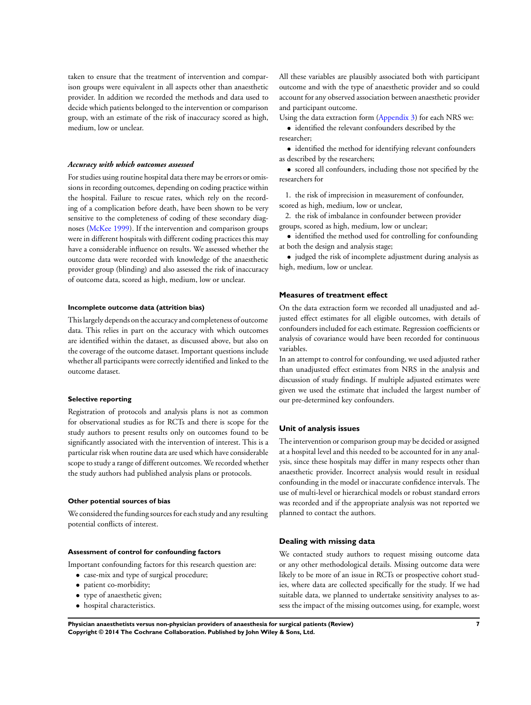taken to ensure that the treatment of intervention and comparison groups were equivalent in all aspects other than anaesthetic provider. In addition we recorded the methods and data used to decide which patients belonged to the intervention or comparison group, with an estimate of the risk of inaccuracy scored as high, medium, low or unclear.

#### *Accuracy with which outcomes assessed*

For studies using routine hospital data there may be errors or omissions in recording outcomes, depending on coding practice within the hospital. Failure to rescue rates, which rely on the recording of a complication before death, have been shown to be very sensitive to the completeness of coding of these secondary diagnoses ([McKee 1999](#page-17-0)). If the intervention and comparison groups were in different hospitals with different coding practices this may have a considerable influence on results. We assessed whether the outcome data were recorded with knowledge of the anaesthetic provider group (blinding) and also assessed the risk of inaccuracy of outcome data, scored as high, medium, low or unclear.

#### **Incomplete outcome data (attrition bias)**

This largely depends on the accuracy and completeness of outcome data. This relies in part on the accuracy with which outcomes are identified within the dataset, as discussed above, but also on the coverage of the outcome dataset. Important questions include whether all participants were correctly identified and linked to the outcome dataset.

#### **Selective reporting**

Registration of protocols and analysis plans is not as common for observational studies as for RCTs and there is scope for the study authors to present results only on outcomes found to be significantly associated with the intervention of interest. This is a particular risk when routine data are used which have considerable scope to study a range of different outcomes. We recorded whether the study authors had published analysis plans or protocols.

#### **Other potential sources of bias**

We considered the funding sources for each study and any resulting potential conflicts of interest.

#### **Assessment of control for confounding factors**

Important confounding factors for this research question are:

- case-mix and type of surgical procedure;
- patient co-morbidity;
- type of anaesthetic given;
- hospital characteristics.

All these variables are plausibly associated both with participant outcome and with the type of anaesthetic provider and so could account for any observed association between anaesthetic provider and participant outcome.

Using the data extraction form ([Appendix 3](#page-42-0)) for each NRS we: • identified the relevant confounders described by the researcher;

• identified the method for identifying relevant confounders as described by the researchers;

• scored all confounders, including those not specified by the researchers for

1. the risk of imprecision in measurement of confounder, scored as high, medium, low or unclear,

2. the risk of imbalance in confounder between provider groups, scored as high, medium, low or unclear;

• identified the method used for controlling for confounding at both the design and analysis stage;

• judged the risk of incomplete adjustment during analysis as high, medium, low or unclear.

#### **Measures of treatment effect**

On the data extraction form we recorded all unadjusted and adjusted effect estimates for all eligible outcomes, with details of confounders included for each estimate. Regression coefficients or analysis of covariance would have been recorded for continuous variables.

In an attempt to control for confounding, we used adjusted rather than unadjusted effect estimates from NRS in the analysis and discussion of study findings. If multiple adjusted estimates were given we used the estimate that included the largest number of our pre-determined key confounders.

### **Unit of analysis issues**

The intervention or comparison group may be decided or assigned at a hospital level and this needed to be accounted for in any analysis, since these hospitals may differ in many respects other than anaesthetic provider. Incorrect analysis would result in residual confounding in the model or inaccurate confidence intervals. The use of multi-level or hierarchical models or robust standard errors was recorded and if the appropriate analysis was not reported we planned to contact the authors.

# **Dealing with missing data**

We contacted study authors to request missing outcome data or any other methodological details. Missing outcome data were likely to be more of an issue in RCTs or prospective cohort studies, where data are collected specifically for the study. If we had suitable data, we planned to undertake sensitivity analyses to assess the impact of the missing outcomes using, for example, worst

**Physician anaesthetists versus non-physician providers of anaesthesia for surgical patients (Review) 7 Copyright © 2014 The Cochrane Collaboration. Published by John Wiley & Sons, Ltd.**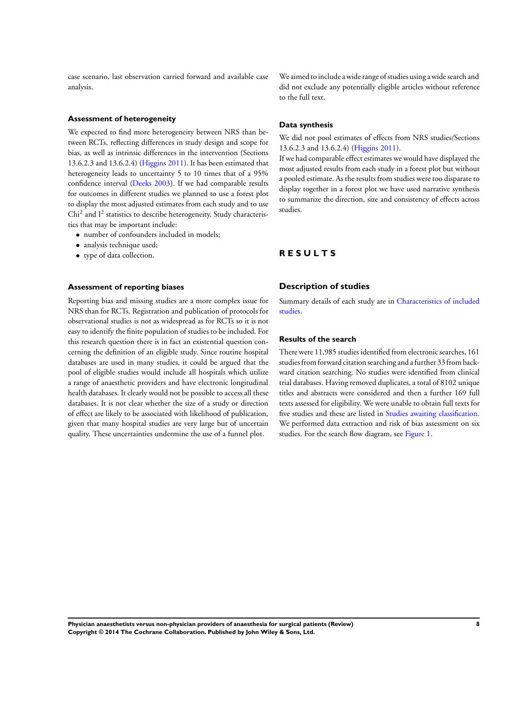case scenario, last observation carried forward and available case analysis.

#### **Assessment of heterogeneity**

We expected to find more heterogeneity between NRS than between RCTs, reflecting differences in study design and scope for bias, as well as intrinsic differences in the intervention (Sections 13.6.2.3 and 13.6.2.4) [\(Higgins 2011](#page-17-0)). It has been estimated that heterogeneity leads to uncertainty 5 to 10 times that of a 95% confidence interval ([Deeks 2003](#page-17-0)). If we had comparable results for outcomes in different studies we planned to use a forest plot to display the most adjusted estimates from each study and to use Chi<sup>2</sup> and I<sup>2</sup> statistics to describe heterogeneity. Study characteristics that may be important include:

- number of confounders included in models;
- analysis technique used;
- type of data collection.

#### **Assessment of reporting biases**

Reporting bias and missing studies are a more complex issue for NRS than for RCTs. Registration and publication of protocols for observational studies is not as widespread as for RCTs so it is not easy to identify the finite population of studies to be included. For this research question there is in fact an existential question concerning the definition of an eligible study. Since routine hospital databases are used in many studies, it could be argued that the pool of eligible studies would include all hospitals which utilize a range of anaesthetic providers and have electronic longitudinal health databases. It clearly would not be possible to access all these databases. It is not clear whether the size of a study or direction of effect are likely to be associated with likelihood of publication, given that many hospital studies are very large but of uncertain quality. These uncertainties undermine the use of a funnel plot.

We aimed to include a wide range of studies using a wide search and did not exclude any potentially eligible articles without reference to the full text.

#### **Data synthesis**

We did not pool estimates of effects from NRS studies*(*Sections 13.6.2.3 and 13.6.2.4) [\(Higgins 2011\)](#page-17-0).

If we had comparable effect estimates we would have displayed the most adjusted results from each study in a forest plot but without a pooled estimate. As the results from studies were too disparate to display together in a forest plot we have used narrative synthesis to summarize the direction, size and consistency of effects across studies.

# **R E S U L T S**

#### **Description of studies**

Summary details of each study are in [Characteristics of included](#page-20-0) [studies.](#page-20-0)

#### **Results of the search**

There were 11,985 studies identified from electronic searches, 161 studies from forward citation searching and a further 33 from backward citation searching. No studies were identified from clinical trial databases. Having removed duplicates, a total of 8102 unique titles and abstracts were considered and then a further 169 full texts assessed for eligibility. We were unable to obtain full texts for five studies and these are listed in [Studies awaiting classification.](#page-17-0) We performed data extraction and risk of bias assessment on six studies. For the search flow diagram, see [Figure 1](#page-10-0).

**Physician anaesthetists versus non-physician providers of anaesthesia for surgical patients (Review) 8 Copyright © 2014 The Cochrane Collaboration. Published by John Wiley & Sons, Ltd.**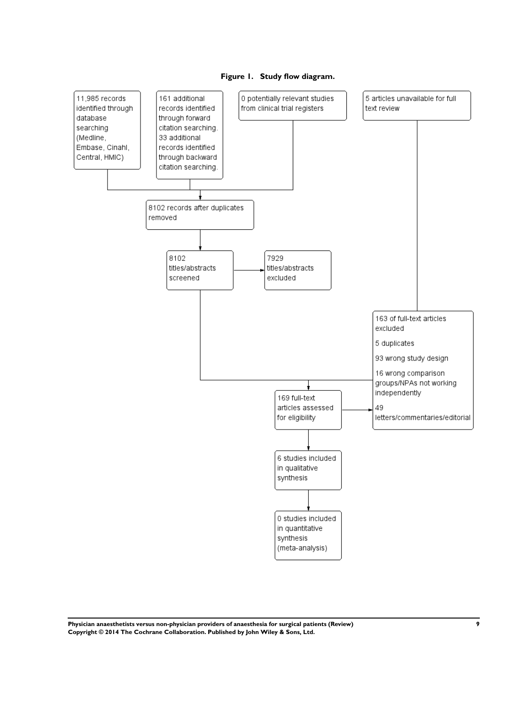

<span id="page-10-0"></span>

**Physician anaesthetists versus non-physician providers of anaesthesia for surgical patients (Review) 9 Copyright © 2014 The Cochrane Collaboration. Published by John Wiley & Sons, Ltd.**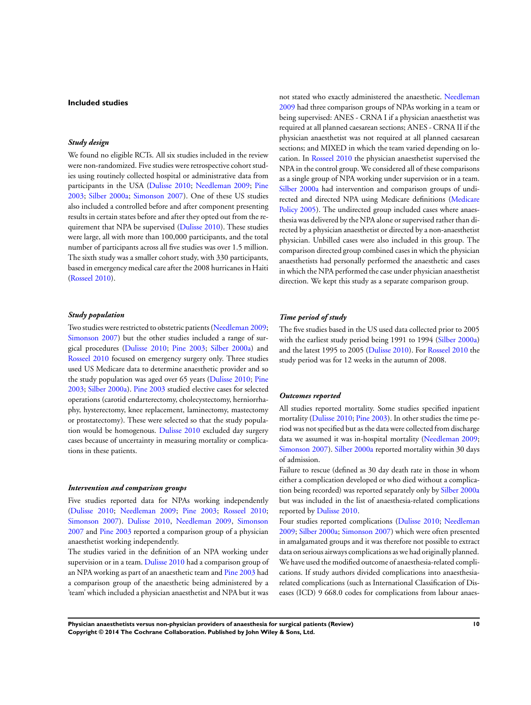#### **Included studies**

#### *Study design*

We found no eligible RCTs. All six studies included in the review were non-randomized. Five studies were retrospective cohort studies using routinely collected hospital or administrative data from participants in the USA [\(Dulisse 2010;](#page-17-0) [Needleman 2009](#page-17-0); [Pine](#page-17-0) [2003](#page-17-0); [Silber 2000a](#page-17-0); [Simonson 2007\)](#page-17-0). One of these US studies also included a controlled before and after component presenting results in certain states before and after they opted out from the requirement that NPA be supervised ([Dulisse 2010](#page-17-0)). These studies were large, all with more than 100,000 participants, and the total number of participants across all five studies was over 1.5 million. The sixth study was a smaller cohort study, with 330 participants, based in emergency medical care after the 2008 hurricanes in Haiti [\(Rosseel 2010\)](#page-17-0).

# *Study population*

Two studies were restricted to obstetric patients [\(Needleman 2009;](#page-17-0) [Simonson 2007](#page-17-0)) but the other studies included a range of surgical procedures ([Dulisse 2010](#page-17-0); [Pine 2003](#page-17-0); [Silber 2000a\)](#page-17-0) and [Rosseel 2010](#page-17-0) focused on emergency surgery only. Three studies used US Medicare data to determine anaesthetic provider and so the study population was aged over 65 years [\(Dulisse 2010](#page-17-0); [Pine](#page-17-0) [2003](#page-17-0); [Silber 2000a\)](#page-17-0). [Pine 2003](#page-17-0) studied elective cases for selected operations (carotid endarterectomy, cholecystectomy, herniorrhaphy, hysterectomy, knee replacement, laminectomy, mastectomy or prostatectomy). These were selected so that the study population would be homogenous. [Dulisse 2010](#page-17-0) excluded day surgery cases because of uncertainty in measuring mortality or complications in these patients.

#### *Intervention and comparison groups*

Five studies reported data for NPAs working independently [\(Dulisse 2010;](#page-17-0) [Needleman 2009;](#page-17-0) [Pine 2003](#page-17-0); [Rosseel 2010;](#page-17-0) [Simonson 2007](#page-17-0)). [Dulisse 2010,](#page-17-0) [Needleman 2009,](#page-17-0) [Simonson](#page-17-0) [2007](#page-17-0) and [Pine 2003](#page-17-0) reported a comparison group of a physician anaesthetist working independently.

The studies varied in the definition of an NPA working under supervision or in a team. [Dulisse 2010](#page-17-0) had a comparison group of an NPA working as part of an anaesthetic team and [Pine 2003](#page-17-0) had a comparison group of the anaesthetic being administered by a 'team' which included a physician anaesthetist and NPA but it was

not stated who exactly administered the anaesthetic. [Needleman](#page-17-0) [2009](#page-17-0) had three comparison groups of NPAs working in a team or being supervised: ANES - CRNA I if a physician anaesthetist was required at all planned caesarean sections; ANES - CRNA II if the physician anaesthetist was not required at all planned caesarean sections; and MIXED in which the team varied depending on location. In [Rosseel 2010](#page-17-0) the physician anaesthetist supervised the NPA in the control group. We considered all of these comparisons as a single group of NPA working under supervision or in a team. [Silber 2000a](#page-17-0) had intervention and comparison groups of undirected and directed NPA using Medicare definitions [\(Medicare](#page-17-0) [Policy 2005\)](#page-17-0). The undirected group included cases where anaesthesia was delivered by the NPA alone or supervised rather than directed by a physician anaesthetist or directed by a non-anaesthetist physician. Unbilled cases were also included in this group. The comparison directed group combined cases in which the physician anaesthetists had personally performed the anaesthetic and cases in which the NPA performed the case under physician anaesthetist direction. We kept this study as a separate comparison group.

#### *Time period of study*

The five studies based in the US used data collected prior to 2005 with the earliest study period being 1991 to 1994 [\(Silber 2000a](#page-17-0)) and the latest 1995 to 2005 [\(Dulisse 2010\)](#page-17-0). For [Rosseel 2010](#page-17-0) the study period was for 12 weeks in the autumn of 2008.

#### *Outcomes reported*

All studies reported mortality. Some studies specified inpatient mortality [\(Dulisse 2010](#page-17-0); [Pine 2003\)](#page-17-0). In other studies the time period was not specified but as the data were collected from discharge data we assumed it was in-hospital mortality ([Needleman 2009;](#page-17-0) [Simonson 2007](#page-17-0)). [Silber 2000a](#page-17-0) reported mortality within 30 days of admission.

Failure to rescue (defined as 30 day death rate in those in whom either a complication developed or who died without a complication being recorded) was reported separately only by [Silber 2000a](#page-17-0) but was included in the list of anaesthesia-related complications reported by [Dulisse 2010](#page-17-0).

Four studies reported complications ([Dulisse 2010](#page-17-0); [Needleman](#page-17-0) [2009](#page-17-0); [Silber 2000a](#page-17-0); [Simonson 2007\)](#page-17-0) which were often presented in amalgamated groups and it was therefore not possible to extract data on serious airways complications as we had originally planned. We have used the modified outcome of anaesthesia-related complications. If study authors divided complications into anaesthesiarelated complications (such as International Classification of Diseases (ICD) 9 668.0 codes for complications from labour anaes-

**Physician anaesthetists versus non-physician providers of anaesthesia for surgical patients (Review) 10 Copyright © 2014 The Cochrane Collaboration. Published by John Wiley & Sons, Ltd.**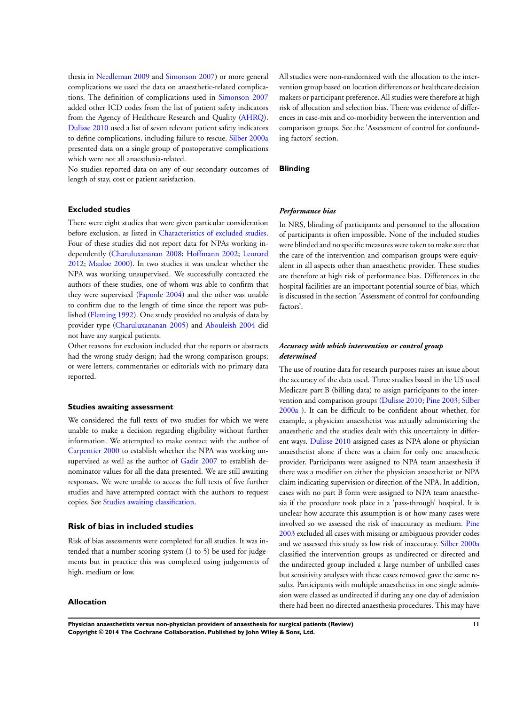thesia in [Needleman 2009](#page-17-0) and [Simonson 2007](#page-17-0)) or more general complications we used the data on anaesthetic-related complications. The definition of complications used in [Simonson 2007](#page-17-0) added other ICD codes from the list of patient safety indicators from the Agency of Healthcare Research and Quality ([AHRQ](#page-17-0)). [Dulisse 2010](#page-17-0) used a list of seven relevant patient safety indicators to define complications, including failure to rescue. [Silber 2000a](#page-17-0) presented data on a single group of postoperative complications which were not all anaesthesia-related.

No studies reported data on any of our secondary outcomes of length of stay, cost or patient satisfaction.

#### **Excluded studies**

There were eight studies that were given particular consideration before exclusion, as listed in [Characteristics of excluded studies.](#page-28-0) Four of these studies did not report data for NPAs working independently ([Charuluxananan 2008](#page-17-0); [Hoffmann 2002](#page-17-0); [Leonard](#page-17-0) [2012](#page-17-0); [Maaløe 2000\)](#page-17-0). In two studies it was unclear whether the NPA was working unsupervised. We successfully contacted the authors of these studies, one of whom was able to confirm that they were supervised ([Faponle 2004](#page-17-0)) and the other was unable to confirm due to the length of time since the report was published [\(Fleming 1992\)](#page-17-0). One study provided no analysis of data by provider type [\(Charuluxananan 2005\)](#page-17-0) and [Abouleish 2004](#page-17-0) did not have any surgical patients.

Other reasons for exclusion included that the reports or abstracts had the wrong study design; had the wrong comparison groups; or were letters, commentaries or editorials with no primary data reported.

#### **Studies awaiting assessment**

We considered the full texts of two studies for which we were unable to make a decision regarding eligibility without further information. We attempted to make contact with the author of [Carpentier 2000](#page-17-0) to establish whether the NPA was working unsupervised as well as the author of [Gadir 2007](#page-17-0) to establish denominator values for all the data presented. We are still awaiting responses. We were unable to access the full texts of five further studies and have attempted contact with the authors to request copies. See [Studies awaiting classification](#page-17-0).

#### **Risk of bias in included studies**

Risk of bias assessments were completed for all studies. It was intended that a number scoring system (1 to 5) be used for judgements but in practice this was completed using judgements of high, medium or low.

# **Allocation**

All studies were non-randomized with the allocation to the intervention group based on location differences or healthcare decision makers or participant preference. All studies were therefore at high risk of allocation and selection bias. There was evidence of differences in case-mix and co-morbidity between the intervention and comparison groups. See the 'Assessment of control for confounding factors' section.

#### **Blinding**

#### *Performance bias*

In NRS, blinding of participants and personnel to the allocation of participants is often impossible. None of the included studies were blinded and no specific measures were taken to make sure that the care of the intervention and comparison groups were equivalent in all aspects other than anaesthetic provider. These studies are therefore at high risk of performance bias. Differences in the hospital facilities are an important potential source of bias, which is discussed in the section 'Assessment of control for confounding factors'.

### *Accuracy with which intervention or control group determined*

The use of routine data for research purposes raises an issue about the accuracy of the data used. Three studies based in the US used Medicare part B (billing data) to assign participants to the intervention and comparison groups [\(Dulisse 2010;](#page-17-0) [Pine 2003;](#page-17-0) [Silber](#page-17-0) [2000a](#page-17-0) ). It can be difficult to be confident about whether, for example, a physician anaesthetist was actually administering the anaesthetic and the studies dealt with this uncertainty in different ways. [Dulisse 2010](#page-17-0) assigned cases as NPA alone or physician anaesthetist alone if there was a claim for only one anaesthetic provider. Participants were assigned to NPA team anaesthesia if there was a modifier on either the physician anaesthetist or NPA claim indicating supervision or direction of the NPA. In addition, cases with no part B form were assigned to NPA team anaesthesia if the procedure took place in a 'pass-through' hospital. It is unclear how accurate this assumption is or how many cases were involved so we assessed the risk of inaccuracy as medium. [Pine](#page-17-0) [2003](#page-17-0) excluded all cases with missing or ambiguous provider codes and we assessed this study as low risk of inaccuracy. [Silber 2000a](#page-17-0) classified the intervention groups as undirected or directed and the undirected group included a large number of unbilled cases but sensitivity analyses with these cases removed gave the same results. Participants with multiple anaesthetics in one single admission were classed as undirected if during any one day of admission there had been no directed anaesthesia procedures. This may have

**Physician anaesthetists versus non-physician providers of anaesthesia for surgical patients (Review) 11 Copyright © 2014 The Cochrane Collaboration. Published by John Wiley & Sons, Ltd.**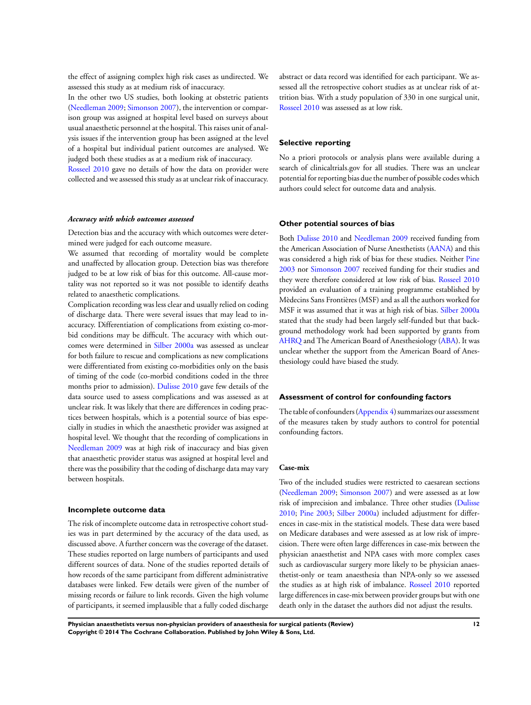the effect of assigning complex high risk cases as undirected. We assessed this study as at medium risk of inaccuracy.

In the other two US studies, both looking at obstetric patients [\(Needleman 2009;](#page-17-0) [Simonson 2007\)](#page-17-0), the intervention or comparison group was assigned at hospital level based on surveys about usual anaesthetic personnel at the hospital. This raises unit of analysis issues if the intervention group has been assigned at the level of a hospital but individual patient outcomes are analysed. We judged both these studies as at a medium risk of inaccuracy.

[Rosseel 2010](#page-17-0) gave no details of how the data on provider were collected and we assessed this study as at unclear risk of inaccuracy.

# *Accuracy with which outcomes assessed*

Detection bias and the accuracy with which outcomes were determined were judged for each outcome measure.

We assumed that recording of mortality would be complete and unaffected by allocation group. Detection bias was therefore judged to be at low risk of bias for this outcome. All-cause mortality was not reported so it was not possible to identify deaths related to anaesthetic complications.

Complication recording was less clear and usually relied on coding of discharge data. There were several issues that may lead to inaccuracy. Differentiation of complications from existing co-morbid conditions may be difficult. The accuracy with which outcomes were determined in [Silber 2000a](#page-17-0) was assessed as unclear for both failure to rescue and complications as new complications were differentiated from existing co-morbidities only on the basis of timing of the code (co-morbid conditions coded in the three months prior to admission). [Dulisse 2010](#page-17-0) gave few details of the data source used to assess complications and was assessed as at unclear risk. It was likely that there are differences in coding practices between hospitals, which is a potential source of bias especially in studies in which the anaesthetic provider was assigned at hospital level. We thought that the recording of complications in [Needleman 2009](#page-17-0) was at high risk of inaccuracy and bias given that anaesthetic provider status was assigned at hospital level and there was the possibility that the coding of discharge data may vary between hospitals.

#### **Incomplete outcome data**

The risk of incomplete outcome data in retrospective cohort studies was in part determined by the accuracy of the data used, as discussed above. A further concern was the coverage of the dataset. These studies reported on large numbers of participants and used different sources of data. None of the studies reported details of how records of the same participant from different administrative databases were linked. Few details were given of the number of missing records or failure to link records. Given the high volume of participants, it seemed implausible that a fully coded discharge

abstract or data record was identified for each participant. We assessed all the retrospective cohort studies as at unclear risk of attrition bias. With a study population of 330 in one surgical unit, [Rosseel 2010](#page-17-0) was assessed as at low risk.

#### **Selective reporting**

No a priori protocols or analysis plans were available during a search of clinicaltrials.gov for all studies. There was an unclear potential for reporting bias due the number of possible codeswhich authors could select for outcome data and analysis.

#### **Other potential sources of bias**

Both [Dulisse 2010](#page-17-0) and [Needleman 2009](#page-17-0) received funding from the American Association of Nurse Anesthetists ([AANA\)](#page-17-0) and this was considered a high risk of bias for these studies. Neither [Pine](#page-17-0) [2003](#page-17-0) nor [Simonson 2007](#page-17-0) received funding for their studies and they were therefore considered at low risk of bias. [Rosseel 2010](#page-17-0) provided an evaluation of a training programme established by Mèdecins Sans Frontières (MSF) and as all the authors worked for MSF it was assumed that it was at high risk of bias. [Silber 2000a](#page-17-0) stated that the study had been largely self-funded but that background methodology work had been supported by grants from [AHRQ](#page-17-0) and The American Board of Anesthesiology ([ABA](#page-17-0)). It was unclear whether the support from the American Board of Anesthesiology could have biased the study.

#### **Assessment of control for confounding factors**

The table of confounders [\(Appendix 4\)](#page-70-0) summarizes our assessment of the measures taken by study authors to control for potential confounding factors.

#### **Case-mix**

Two of the included studies were restricted to caesarean sections [\(Needleman 2009;](#page-17-0) [Simonson 2007](#page-17-0)) and were assessed as at low risk of imprecision and imbalance. Three other studies ([Dulisse](#page-17-0) [2010](#page-17-0); [Pine 2003;](#page-17-0) [Silber 2000a\)](#page-17-0) included adjustment for differences in case-mix in the statistical models. These data were based on Medicare databases and were assessed as at low risk of imprecision. There were often large differences in case-mix between the physician anaesthetist and NPA cases with more complex cases such as cardiovascular surgery more likely to be physician anaesthetist-only or team anaesthesia than NPA-only so we assessed the studies as at high risk of imbalance. [Rosseel 2010](#page-17-0) reported large differences in case-mix between provider groups but with one death only in the dataset the authors did not adjust the results.

**Physician anaesthetists versus non-physician providers of anaesthesia for surgical patients (Review) 12 Copyright © 2014 The Cochrane Collaboration. Published by John Wiley & Sons, Ltd.**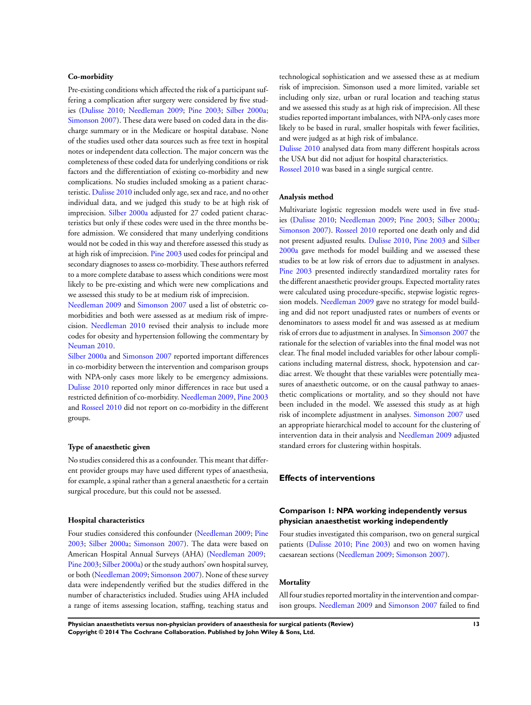#### **Co-morbidity**

Pre-existing conditions which affected the risk of a participant suffering a complication after surgery were considered by five studies [\(Dulisse 2010](#page-17-0); [Needleman 2009](#page-17-0); [Pine 2003](#page-17-0); [Silber 2000a;](#page-17-0) [Simonson 2007\)](#page-17-0). These data were based on coded data in the discharge summary or in the Medicare or hospital database. None of the studies used other data sources such as free text in hospital notes or independent data collection. The major concern was the completeness of these coded data for underlying conditions or risk factors and the differentiation of existing co-morbidity and new complications. No studies included smoking as a patient characteristic. [Dulisse 2010](#page-17-0) included only age, sex and race, and no other individual data, and we judged this study to be at high risk of imprecision. [Silber 2000a](#page-17-0) adjusted for 27 coded patient characteristics but only if these codes were used in the three months before admission. We considered that many underlying conditions would not be coded in this way and therefore assessed this study as at high risk of imprecision. [Pine 2003](#page-17-0) used codes for principal and secondary diagnoses to assess co-morbidity. These authors referred to a more complete database to assess which conditions were most likely to be pre-existing and which were new complications and we assessed this study to be at medium risk of imprecision.

[Needleman 2009](#page-17-0) and [Simonson 2007](#page-17-0) used a list of obstetric comorbidities and both were assessed as at medium risk of imprecision. [Needleman 2010](#page-17-0) revised their analysis to include more codes for obesity and hypertension following the commentary by [Neuman 2010.](#page-17-0)

[Silber 2000a](#page-17-0) and [Simonson 2007](#page-17-0) reported important differences in co-morbidity between the intervention and comparison groups with NPA-only cases more likely to be emergency admissions. [Dulisse 2010](#page-17-0) reported only minor differences in race but used a restricted definition of co-morbidity. [Needleman 2009](#page-17-0), [Pine 2003](#page-17-0) and [Rosseel 2010](#page-17-0) did not report on co-morbidity in the different groups.

#### **Type of anaesthetic given**

No studies considered this as a confounder. This meant that different provider groups may have used different types of anaesthesia, for example, a spinal rather than a general anaesthetic for a certain surgical procedure, but this could not be assessed.

#### **Hospital characteristics**

Four studies considered this confounder [\(Needleman 2009](#page-17-0); [Pine](#page-17-0) [2003](#page-17-0); [Silber 2000a;](#page-17-0) [Simonson 2007](#page-17-0)). The data were based on American Hospital Annual Surveys (AHA) ([Needleman 2009;](#page-17-0) [Pine 2003](#page-17-0); [Silber 2000a\)](#page-17-0) or the study authors' own hospital survey, or both ([Needleman 2009](#page-17-0); [Simonson 2007\)](#page-17-0). None of these survey data were independently verified but the studies differed in the number of characteristics included. Studies using AHA included a range of items assessing location, staffing, teaching status and

technological sophistication and we assessed these as at medium risk of imprecision. Simonson used a more limited, variable set including only size, urban or rural location and teaching status and we assessed this study as at high risk of imprecision. All these studies reported important imbalances, with NPA-only cases more likely to be based in rural, smaller hospitals with fewer facilities, and were judged as at high risk of imbalance.

[Dulisse 2010](#page-17-0) analysed data from many different hospitals across the USA but did not adjust for hospital characteristics. [Rosseel 2010](#page-17-0) was based in a single surgical centre.

#### **Analysis method**

Multivariate logistic regression models were used in five studies [\(Dulisse 2010](#page-17-0); [Needleman 2009](#page-17-0); [Pine 2003](#page-17-0); [Silber 2000a;](#page-17-0) [Simonson 2007\)](#page-17-0). [Rosseel 2010](#page-17-0) reported one death only and did not present adjusted results. [Dulisse 2010](#page-17-0), [Pine 2003](#page-17-0) and [Silber](#page-17-0) [2000a](#page-17-0) gave methods for model building and we assessed these studies to be at low risk of errors due to adjustment in analyses. [Pine 2003](#page-17-0) presented indirectly standardized mortality rates for the different anaesthetic provider groups. Expected mortality rates were calculated using procedure-specific, stepwise logistic regression models. [Needleman 2009](#page-17-0) gave no strategy for model building and did not report unadjusted rates or numbers of events or denominators to assess model fit and was assessed as at medium risk of errors due to adjustment in analyses. In [Simonson 2007](#page-17-0) the rationale for the selection of variables into the final model was not clear. The final model included variables for other labour complications including maternal distress, shock, hypotension and cardiac arrest. We thought that these variables were potentially measures of anaesthetic outcome, or on the causal pathway to anaesthetic complications or mortality, and so they should not have been included in the model. We assessed this study as at high risk of incomplete adjustment in analyses. [Simonson 2007](#page-17-0) used an appropriate hierarchical model to account for the clustering of intervention data in their analysis and [Needleman 2009](#page-17-0) adjusted standard errors for clustering within hospitals.

# **Effects of interventions**

# **Comparison 1: NPA working independently versus physician anaesthetist working independently**

Four studies investigated this comparison, two on general surgical patients ([Dulisse 2010](#page-17-0); [Pine 2003](#page-17-0)) and two on women having caesarean sections ([Needleman 2009;](#page-17-0) [Simonson 2007](#page-17-0)).

#### **Mortality**

All four studies reported mortality in the intervention and comparison groups. [Needleman 2009](#page-17-0) and [Simonson 2007](#page-17-0) failed to find

**Physician anaesthetists versus non-physician providers of anaesthesia for surgical patients (Review) 13 Copyright © 2014 The Cochrane Collaboration. Published by John Wiley & Sons, Ltd.**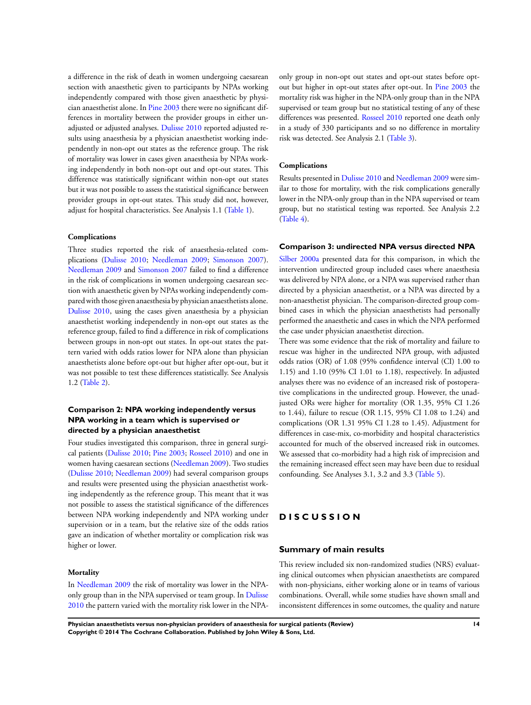a difference in the risk of death in women undergoing caesarean section with anaesthetic given to participants by NPAs working independently compared with those given anaesthetic by physician anaesthetist alone. In [Pine 2003](#page-17-0) there were no significant differences in mortality between the provider groups in either unadjusted or adjusted analyses. [Dulisse 2010](#page-17-0) reported adjusted results using anaesthesia by a physician anaesthetist working independently in non-opt out states as the reference group. The risk of mortality was lower in cases given anaesthesia by NPAs working independently in both non-opt out and opt-out states. This difference was statistically significant within non-opt out states but it was not possible to assess the statistical significance between provider groups in opt-out states. This study did not, however, adjust for hospital characteristics. See Analysis 1.1 [\(Table 1\)](#page-31-0).

#### **Complications**

Three studies reported the risk of anaesthesia-related complications ([Dulisse 2010](#page-17-0); [Needleman 2009;](#page-17-0) [Simonson 2007](#page-17-0)). [Needleman 2009](#page-17-0) and [Simonson 2007](#page-17-0) failed to find a difference in the risk of complications in women undergoing caesarean section with anaesthetic given by NPAs working independently compared with those given anaesthesia by physician anaesthetists alone. [Dulisse 2010](#page-17-0), using the cases given anaesthesia by a physician anaesthetist working independently in non-opt out states as the reference group, failed to find a difference in risk of complications between groups in non-opt out states. In opt-out states the pattern varied with odds ratios lower for NPA alone than physician anaesthetists alone before opt-out but higher after opt-out, but it was not possible to test these differences statistically. See Analysis 1.2 ([Table 2](#page-32-0)).

# **Comparison 2: NPA working independently versus NPA working in a team which is supervised or directed by a physician anaesthetist**

Four studies investigated this comparison, three in general surgical patients ([Dulisse 2010;](#page-17-0) [Pine 2003;](#page-17-0) [Rosseel 2010](#page-17-0)) and one in women having caesarean sections [\(Needleman 2009\)](#page-17-0). Two studies [\(Dulisse 2010;](#page-17-0) [Needleman 2009](#page-17-0)) had several comparison groups and results were presented using the physician anaesthetist working independently as the reference group. This meant that it was not possible to assess the statistical significance of the differences between NPA working independently and NPA working under supervision or in a team, but the relative size of the odds ratios gave an indication of whether mortality or complication risk was higher or lower.

#### **Mortality**

In [Needleman 2009](#page-17-0) the risk of mortality was lower in the NPAonly group than in the NPA supervised or team group. In [Dulisse](#page-17-0) [2010](#page-17-0) the pattern varied with the mortality risk lower in the NPA-

only group in non-opt out states and opt-out states before optout but higher in opt-out states after opt-out. In [Pine 2003](#page-17-0) the mortality risk was higher in the NPA-only group than in the NPA supervised or team group but no statistical testing of any of these differences was presented. [Rosseel 2010](#page-17-0) reported one death only in a study of 330 participants and so no difference in mortality risk was detected. See Analysis 2.1 ([Table 3](#page-32-0)).

#### **Complications**

Results presented in [Dulisse 2010](#page-17-0) and [Needleman 2009](#page-17-0) were similar to those for mortality, with the risk complications generally lower in the NPA-only group than in the NPA supervised or team group, but no statistical testing was reported. See Analysis 2.2 [\(Table 4\)](#page-33-0).

#### **Comparison 3: undirected NPA versus directed NPA**

[Silber 2000a](#page-17-0) presented data for this comparison, in which the intervention undirected group included cases where anaesthesia was delivered by NPA alone, or a NPA was supervised rather than directed by a physician anaesthetist, or a NPA was directed by a non-anaesthetist physician. The comparison-directed group combined cases in which the physician anaesthetists had personally performed the anaesthetic and cases in which the NPA performed the case under physician anaesthetist direction.

There was some evidence that the risk of mortality and failure to rescue was higher in the undirected NPA group, with adjusted odds ratios (OR) of 1.08 (95% confidence interval (CI) 1.00 to 1.15) and 1.10 (95% CI 1.01 to 1.18), respectively. In adjusted analyses there was no evidence of an increased risk of postoperative complications in the undirected group. However, the unadjusted ORs were higher for mortality (OR 1.35, 95% CI 1.26 to 1.44), failure to rescue (OR 1.15, 95% CI 1.08 to 1.24) and complications (OR 1.31 95% CI 1.28 to 1.45). Adjustment for differences in case-mix, co-morbidity and hospital characteristics accounted for much of the observed increased risk in outcomes. We assessed that co-morbidity had a high risk of imprecision and the remaining increased effect seen may have been due to residual confounding. See Analyses 3.1, 3.2 and 3.3 ([Table 5](#page-34-0)).

# **D I S C U S S I O N**

#### **Summary of main results**

This review included six non-randomized studies (NRS) evaluating clinical outcomes when physician anaesthetists are compared with non-physicians, either working alone or in teams of various combinations. Overall, while some studies have shown small and inconsistent differences in some outcomes, the quality and nature

**Physician anaesthetists versus non-physician providers of anaesthesia for surgical patients (Review) 14 Copyright © 2014 The Cochrane Collaboration. Published by John Wiley & Sons, Ltd.**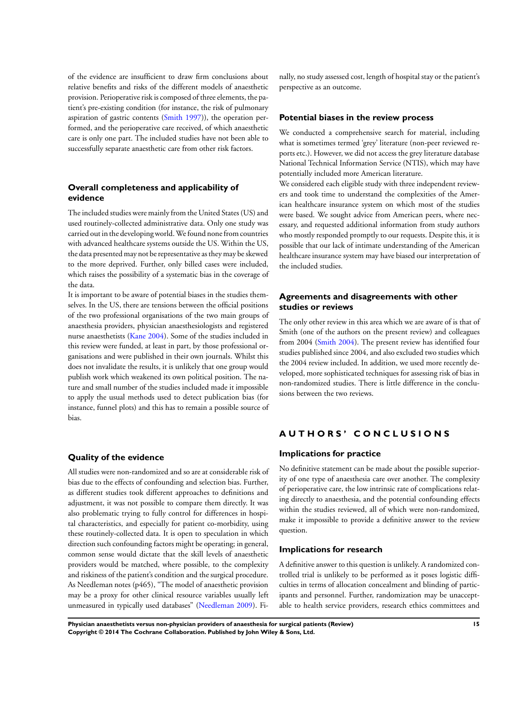of the evidence are insufficient to draw firm conclusions about relative benefits and risks of the different models of anaesthetic provision. Perioperative risk is composed of three elements, the patient's pre-existing condition (for instance, the risk of pulmonary aspiration of gastric contents ([Smith 1997\)](#page-17-0)), the operation performed, and the perioperative care received, of which anaesthetic care is only one part. The included studies have not been able to successfully separate anaesthetic care from other risk factors.

# **Overall completeness and applicability of evidence**

The included studies were mainly from the United States (US) and used routinely-collected administrative data. Only one study was carried out in the developing world.We found none from countries with advanced healthcare systems outside the US. Within the US, the data presented may not be representative as they may be skewed to the more deprived. Further, only billed cases were included, which raises the possibility of a systematic bias in the coverage of the data.

It is important to be aware of potential biases in the studies themselves. In the US, there are tensions between the official positions of the two professional organisations of the two main groups of anaesthesia providers, physician anaesthesiologists and registered nurse anaesthetists ([Kane 2004\)](#page-17-0). Some of the studies included in this review were funded, at least in part, by those professional organisations and were published in their own journals. Whilst this does not invalidate the results, it is unlikely that one group would publish work which weakened its own political position. The nature and small number of the studies included made it impossible to apply the usual methods used to detect publication bias (for instance, funnel plots) and this has to remain a possible source of bias.

#### **Quality of the evidence**

All studies were non-randomized and so are at considerable risk of bias due to the effects of confounding and selection bias. Further, as different studies took different approaches to definitions and adjustment, it was not possible to compare them directly. It was also problematic trying to fully control for differences in hospital characteristics, and especially for patient co-morbidity, using these routinely-collected data. It is open to speculation in which direction such confounding factors might be operating; in general, common sense would dictate that the skill levels of anaesthetic providers would be matched, where possible, to the complexity and riskiness of the patient's condition and the surgical procedure. As Needleman notes (p465), "The model of anaesthetic provision may be a proxy for other clinical resource variables usually left unmeasured in typically used databases" ([Needleman 2009](#page-17-0)). Finally, no study assessed cost, length of hospital stay or the patient's perspective as an outcome.

#### **Potential biases in the review process**

We conducted a comprehensive search for material, including what is sometimes termed 'grey' literature (non-peer reviewed reports etc.). However, we did not access the grey literature database National Technical Information Service (NTIS), which may have potentially included more American literature.

We considered each eligible study with three independent reviewers and took time to understand the complexities of the American healthcare insurance system on which most of the studies were based. We sought advice from American peers, where necessary, and requested additional information from study authors who mostly responded promptly to our requests. Despite this, it is possible that our lack of intimate understanding of the American healthcare insurance system may have biased our interpretation of the included studies.

# **Agreements and disagreements with other studies or reviews**

The only other review in this area which we are aware of is that of Smith (one of the authors on the present review) and colleagues from 2004 [\(Smith 2004\)](#page-17-0). The present review has identified four studies published since 2004, and also excluded two studies which the 2004 review included. In addition, we used more recently developed, more sophisticated techniques for assessing risk of bias in non-randomized studies. There is little difference in the conclusions between the two reviews.

# **A U T H O R S ' C O N C L U S I O N S**

#### **Implications for practice**

No definitive statement can be made about the possible superiority of one type of anaesthesia care over another. The complexity of perioperative care, the low intrinsic rate of complications relating directly to anaesthesia, and the potential confounding effects within the studies reviewed, all of which were non-randomized, make it impossible to provide a definitive answer to the review question.

#### **Implications for research**

A definitive answer to this question is unlikely. A randomized controlled trial is unlikely to be performed as it poses logistic difficulties in terms of allocation concealment and blinding of participants and personnel. Further, randomization may be unacceptable to health service providers, research ethics committees and

**Physician anaesthetists versus non-physician providers of anaesthesia for surgical patients (Review) 15 Copyright © 2014 The Cochrane Collaboration. Published by John Wiley & Sons, Ltd.**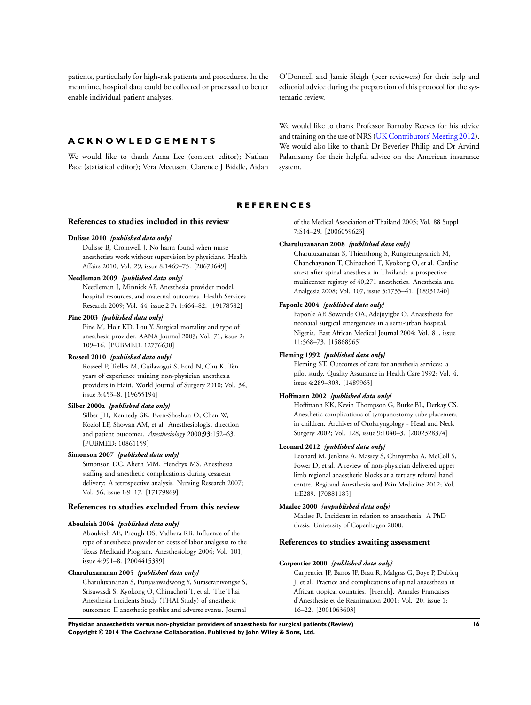<span id="page-17-0"></span>patients, particularly for high-risk patients and procedures. In the meantime, hospital data could be collected or processed to better enable individual patient analyses.

**A C K N O W L E D G E M E N T S**

We would like to thank Anna Lee (content editor); Nathan Pace (statistical editor); Vera Meeusen, Clarence J Biddle, Aidan O'Donnell and Jamie Sleigh (peer reviewers) for their help and editorial advice during the preparation of this protocol for the systematic review.

We would like to thank Professor Barnaby Reeves for his advice and training on the use of NRS (UK Contributors' Meeting 2012). We would also like to thank Dr Beverley Philip and Dr Arvind Palanisamy for their helpful advice on the American insurance system.

# **R E F E R E N C E S**

#### **References to studies included in this review**

#### **Dulisse 2010** *{published data only}*

Dulisse B, Cromwell J. No harm found when nurse anesthetists work without supervision by physicians. Health Affairs 2010; Vol. 29, issue 8:1469–75. [20679649]

#### **Needleman 2009** *{published data only}*

Needleman J, Minnick AF. Anesthesia provider model, hospital resources, and maternal outcomes. Health Services Research 2009; Vol. 44, issue 2 Pt 1:464–82. [19178582]

#### **Pine 2003** *{published data only}*

Pine M, Holt KD, Lou Y. Surgical mortality and type of anesthesia provider. AANA Journal 2003; Vol. 71, issue 2: 109–16. [PUBMED: 12776638]

#### **Rosseel 2010** *{published data only}*

Rosseel P, Trelles M, Guilavogui S, Ford N, Chu K. Ten years of experience training non-physician anesthesia providers in Haiti. World Journal of Surgery 2010; Vol. 34, issue 3:453–8. [19655194]

#### **Silber 2000a** *{published data only}*

Silber JH, Kennedy SK, Even-Shoshan O, Chen W, Koziol LF, Showan AM, et al. Anesthesiologist direction and patient outcomes. *Anesthesiology* 2000;**93**:152–63. [PUBMED: 10861159]

#### **Simonson 2007** *{published data only}*

Simonson DC, Ahern MM, Hendryx MS. Anesthesia staffing and anesthetic complications during cesarean delivery: A retrospective analysis. Nursing Research 2007; Vol. 56, issue 1:9–17. [17179869]

#### **References to studies excluded from this review**

#### **Abouleish 2004** *{published data only}*

Abouleish AE, Prough DS, Vadhera RB. Influence of the type of anesthesia provider on costs of labor analgesia to the Texas Medicaid Program. Anesthesiology 2004; Vol. 101, issue 4:991–8. [2004415389]

#### **Charuluxananan 2005** *{published data only}*

Charuluxananan S, Punjasawadwong Y, Suraseranivongse S, Srisawasdi S, Kyokong O, Chinachoti T, et al. The Thai Anesthesia Incidents Study (THAI Study) of anesthetic outcomes: II anesthetic profiles and adverse events. Journal

of the Medical Association of Thailand 2005; Vol. 88 Suppl 7:S14–29. [2006059623]

#### **Charuluxananan 2008** *{published data only}*

Charuluxananan S, Thienthong S, Rungreungvanich M, Chanchayanon T, Chinachoti T, Kyokong O, et al. Cardiac arrest after spinal anesthesia in Thailand: a prospective multicenter registry of 40,271 anesthetics. Anesthesia and Analgesia 2008; Vol. 107, issue 5:1735–41. [18931240]

#### **Faponle 2004** *{published data only}*

Faponle AF, Sowande OA, Adejuyigbe O. Anaesthesia for neonatal surgical emergencies in a semi-urban hospital, Nigeria. East African Medical Journal 2004; Vol. 81, issue 11:568–73. [15868965]

#### **Fleming 1992** *{published data only}*

Fleming ST. Outcomes of care for anesthesia services: a pilot study. Quality Assurance in Health Care 1992; Vol. 4, issue 4:289–303. [1489965]

#### **Hoffmann 2002** *{published data only}*

Hoffmann KK, Kevin Thompson G, Burke BL, Derkay CS. Anesthetic complications of tympanostomy tube placement in children. Archives of Otolaryngology - Head and Neck Surgery 2002; Vol. 128, issue 9:1040–3. [2002328374]

#### **Leonard 2012** *{published data only}*

Leonard M, Jenkins A, Massey S, Chinyimba A, McColl S, Power D, et al. A review of non-physician delivered upper limb regional anaesthetic blocks at a tertiary referral hand centre. Regional Anesthesia and Pain Medicine 2012; Vol. 1:E289. [70881185]

#### **Maaløe 2000** *{unpublished data only}*

Maaløe R. Incidents in relation to anaesthesia. A PhD thesis. University of Copenhagen 2000.

#### **References to studies awaiting assessment**

#### **Carpentier 2000** *{published data only}*

Carpentier JP, Banos JP, Brau R, Malgras G, Boye P, Dubicq J, et al. Practice and complications of spinal anaesthesia in African tropical countries. [French]. Annales Francaises d'Anesthesie et de Reanimation 2001; Vol. 20, issue 1: 16–22. [2001063603]

**Physician anaesthetists versus non-physician providers of anaesthesia for surgical patients (Review) 16 Copyright © 2014 The Cochrane Collaboration. Published by John Wiley & Sons, Ltd.**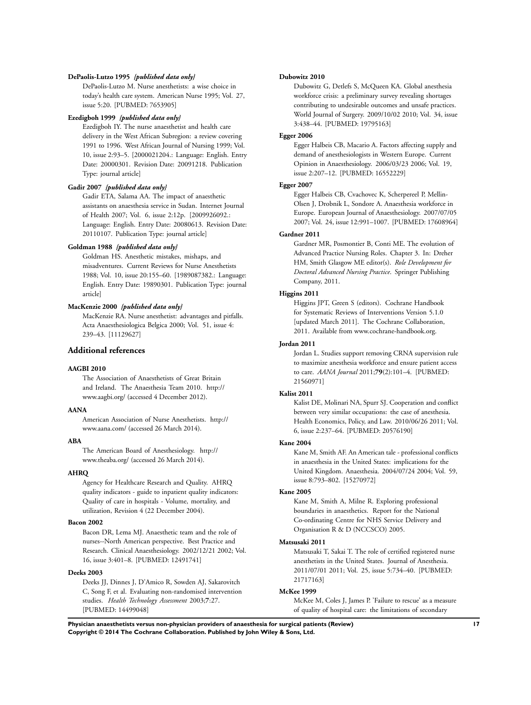#### **DePaolis-Lutzo 1995** *{published data only}*

DePaolis-Lutzo M. Nurse anesthetists: a wise choice in today's health care system. American Nurse 1995; Vol. 27, issue 5:20. [PUBMED: 7653905]

#### **Ezedigboh 1999** *{published data only}*

Ezedigboh IY. The nurse anaesthetist and health care delivery in the West African Subregion: a review covering 1991 to 1996. West African Journal of Nursing 1999; Vol. 10, issue 2:93–5. [2000021204.: Language: English. Entry Date: 20000301. Revision Date: 20091218. Publication Type: journal article]

#### **Gadir 2007** *{published data only}*

Gadir ETA, Salama AA. The impact of anaesthetic assistants on anaesthesia service in Sudan. Internet Journal of Health 2007; Vol. 6, issue 2:12p. [2009926092.: Language: English. Entry Date: 20080613. Revision Date: 20110107. Publication Type: journal article]

## **Goldman 1988** *{published data only}*

Goldman HS. Anesthetic mistakes, mishaps, and misadventures. Current Reviews for Nurse Anesthetists 1988; Vol. 10, issue 20:155–60. [1989087382.: Language: English. Entry Date: 19890301. Publication Type: journal article]

# **MacKenzie 2000** *{published data only}*

MacKenzie RA. Nurse anesthetist: advantages and pitfalls. Acta Anaesthesiologica Belgica 2000; Vol. 51, issue 4: 239–43. [11129627]

#### **Additional references**

#### **AAGBI 2010**

The Association of Anaesthetists of Great Britain and Ireland. The Anaesthesia Team 2010. http:// www.aagbi.org/ (accessed 4 December 2012).

#### **AANA**

American Association of Nurse Anesthetists. http:// www.aana.com/ (accessed 26 March 2014).

#### **ABA**

The American Board of Anesthesiology. http:// www.theaba.org/ (accessed 26 March 2014).

#### **AHRQ**

Agency for Healthcare Research and Quality. AHRQ quality indicators - guide to inpatient quality indicators: Quality of care in hospitals - Volume, mortality, and utilization, Revision 4 (22 December 2004).

#### **Bacon 2002**

Bacon DR, Lema MJ. Anaesthetic team and the role of nurses--North American perspective. Best Practice and Research. Clinical Anaesthesiology. 2002/12/21 2002; Vol. 16, issue 3:401–8. [PUBMED: 12491741]

#### **Deeks 2003**

Deeks JJ, Dinnes J, D'Amico R, Sowden AJ, Sakarovitch C, Song F, et al. Evaluating non-randomised intervention studies. *Health Technology Assessment* 2003;**7**:27. [PUBMED: 14499048]

#### **Dubowitz 2010**

Dubowitz G, Detlefs S, McQueen KA. Global anesthesia workforce crisis: a preliminary survey revealing shortages contributing to undesirable outcomes and unsafe practices. World Journal of Surgery. 2009/10/02 2010; Vol. 34, issue 3:438–44. [PUBMED: 19795163]

#### **Egger 2006**

Egger Halbeis CB, Macario A. Factors affecting supply and demand of anesthesiologists in Western Europe. Current Opinion in Anaesthesiology. 2006/03/23 2006; Vol. 19, issue 2:207–12. [PUBMED: 16552229]

#### **Egger 2007**

Egger Halbeis CB, Cvachovec K, Scherpereel P, Mellin-Olsen J, Drobnik L, Sondore A. Anaesthesia workforce in Europe. European Journal of Anaesthesiology. 2007/07/05 2007; Vol. 24, issue 12:991–1007. [PUBMED: 17608964]

#### **Gardner 2011**

Gardner MR, Posmontier B, Conti ME. The evolution of Advanced Practice Nursing Roles. Chapter 3. In: Dreher HM, Smith Glasgow ME editor(s). *Role Development for Doctoral Advanced Nursing Practice*. Springer Publishing Company, 2011.

#### **Higgins 2011**

Higgins JPT, Green S (editors). Cochrane Handbook for Systematic Reviews of Interventions Version 5.1.0 [updated March 2011]. The Cochrane Collaboration, 2011. Available from www.cochrane-handbook.org.

#### **Jordan 2011**

Jordan L. Studies support removing CRNA supervision rule to maximize anesthesia workforce and ensure patient access to care. *AANA Journal* 2011;**79**(2):101–4. [PUBMED: 21560971]

#### **Kalist 2011**

Kalist DE, Molinari NA, Spurr SJ. Cooperation and conflict between very similar occupations: the case of anesthesia. Health Economics, Policy, and Law. 2010/06/26 2011; Vol. 6, issue 2:237–64. [PUBMED: 20576190]

#### **Kane 2004**

Kane M, Smith AF. An American tale - professional conflicts in anaesthesia in the United States: implications for the United Kingdom. Anaesthesia. 2004/07/24 2004; Vol. 59, issue 8:793–802. [15270972]

#### **Kane 2005**

Kane M, Smith A, Milne R. Exploring professional boundaries in anaesthetics. Report for the National Co-ordinating Centre for NHS Service Delivery and Organisation R & D (NCCSCO) 2005.

#### **Matsusaki 2011**

Matsusaki T, Sakai T. The role of certified registered nurse anesthetists in the United States. Journal of Anesthesia. 2011/07/01 2011; Vol. 25, issue 5:734–40. [PUBMED: 21717163]

#### **McKee 1999**

McKee M, Coles J, James P. 'Failure to rescue' as a measure of quality of hospital care: the limitations of secondary

**Physician anaesthetists versus non-physician providers of anaesthesia for surgical patients (Review) 17 Copyright © 2014 The Cochrane Collaboration. Published by John Wiley & Sons, Ltd.**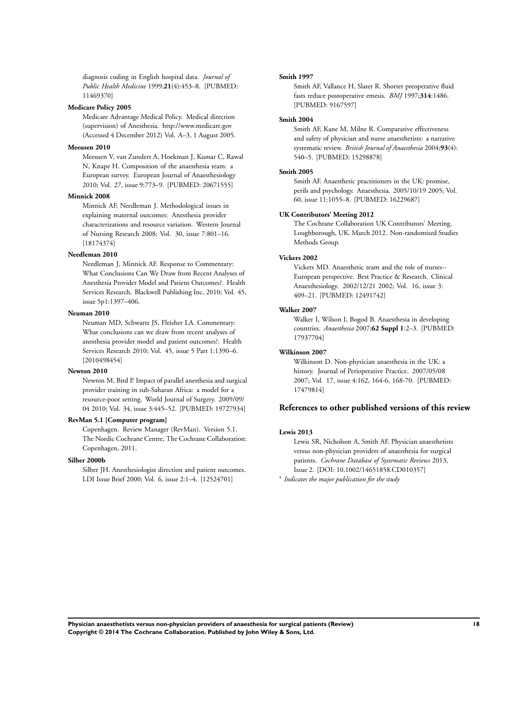diagnosis coding in English hospital data. *Journal of Public Health Medicine* 1999;**21**(4):453–8. [PUBMED: 11469370]

#### **Medicare Policy 2005**

Medicare Advantage Medical Policy. Medical direction (supervision) of Anesthesia. http://www.medicare.gov (Accessed 4 December 2012) Vol. A–3, 1 August 2005.

#### **Meeusen 2010**

Meeusen V, van Zundert A, Hoekman J, Kumar C, Rawal N, Knape H. Composition of the anaesthesia team: a European survey. European Journal of Anaesthesiology 2010; Vol. 27, issue 9:773–9. [PUBMED: 20671555]

#### **Minnick 2008**

Minnick AF, Needleman J. Methodological issues in explaining maternal outcomes: Anesthesia provider characterizations and resource variation. Western Journal of Nursing Research 2008; Vol. 30, issue 7:801–16. [18174374]

#### **Needleman 2010**

Needleman J, Minnick AF. Response to Commentary: What Conclusions Can We Draw from Recent Analyses of Anesthesia Provider Model and Patient Outcomes?. Health Services Research. Blackwell Publishing Inc, 2010; Vol. 45, issue 5p1:1397–406.

#### **Neuman 2010**

Neuman MD, Schwartz JS, Fleisher LA. Commentary: What conclusions can we draw from recent analyses of anesthesia provider model and patient outcomes?. Health Services Research 2010; Vol. 45, issue 5 Part 1:1390–6. [2010498454]

#### **Newton 2010**

Newton M, Bird P. Impact of parallel anesthesia and surgical provider training in sub-Saharan Africa: a model for a resource-poor setting. World Journal of Surgery. 2009/09/ 04 2010; Vol. 34, issue 3:445–52. [PUBMED: 19727934]

#### **RevMan 5.1 [Computer program]**

Copenhagen. Review Manager (RevMan). Version 5.1. The Nordic Cochrane Centre, The Cochrane Collaboration: Copenhagen, 2011.

#### **Silber 2000b**

Silber JH. Anesthesiologist direction and patient outcomes. LDI Issue Brief 2000; Vol. 6, issue 2:1–4. [12524701]

#### **Smith 1997**

Smith AF, Vallance H, Slater R. Shorter preoperative fluid fasts reduce postoperative emesis. *BMJ* 1997;**314**:1486. [PUBMED: 9167597]

#### **Smith 2004**

Smith AF, Kane M, Milne R. Comparative effectiveness and safety of physician and nurse anaesthetists: a narrative systematic review. *British Journal of Anaesthesia* 2004;**93**(4): 540–5. [PUBMED: 15298878]

#### **Smith 2005**

Smith AF. Anaesthetic practitioners in the UK: promise, perils and psychology. Anaesthesia. 2005/10/19 2005; Vol. 60, issue 11:1055–8. [PUBMED: 16229687]

#### **UK Contributors' Meeting 2012**

The Cochrane Collaboration UK Contributors' Meeting. Loughborough, UK. March 2012. Non-randomised Studies Methods Group.

#### **Vickers 2002**

Vickers MD. Anaesthetic team and the role of nurses-- European perspective. Best Practice & Research. Clinical Anaesthesiology. 2002/12/21 2002; Vol. 16, issue 3: 409–21. [PUBMED: 12491742]

#### **Walker 2007**

Walker I, Wilson I, Bogod B. Anaesthesia in developing countries. *Anaesthesia* 2007;**62 Suppl 1**:2–3. [PUBMED: 17937704]

#### **Wilkinson 2007**

Wilkinson D. Non-physician anaesthesia in the UK: a history. Journal of Perioperative Practice. 2007/05/08 2007; Vol. 17, issue 4:162, 164-6, 168-70. [PUBMED: 17479814]

#### **References to other published versions of this review**

#### **Lewis 2013**

Lewis SR, Nicholson A, Smith AF. Physician anaesthetists versus non-physician providers of anaesthesia for surgical patients. *Cochrane Database of Systematic Reviews* 2013, Issue 2. [DOI: 10.1002/14651858.CD010357] ∗ *Indicates the major publication for the study*

**Physician anaesthetists versus non-physician providers of anaesthesia for surgical patients (Review) 18 Copyright © 2014 The Cochrane Collaboration. Published by John Wiley & Sons, Ltd.**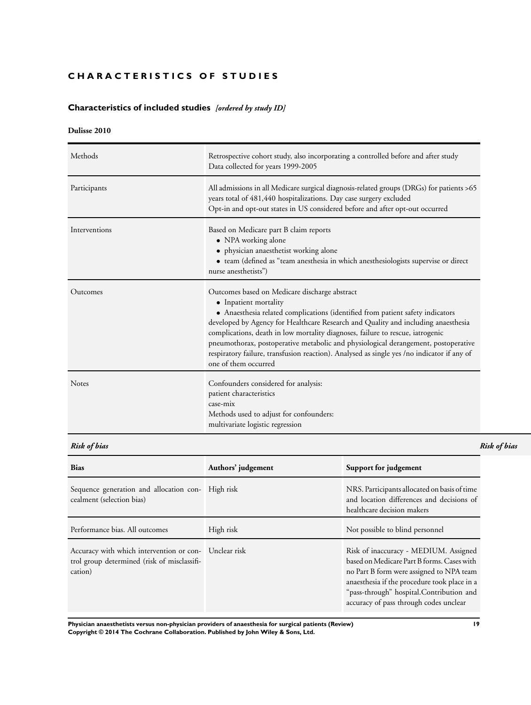# <span id="page-20-0"></span>**CHARACTERISTICS OF STUDIES**

# **Characteristics of included studies** *[ordered by study ID]*

# **Dulisse 2010**

| Methods       | Retrospective cohort study, also incorporating a controlled before and after study<br>Data collected for years 1999-2005                                                                                                                                                                                                                                                                                                                                                                                                                    |
|---------------|---------------------------------------------------------------------------------------------------------------------------------------------------------------------------------------------------------------------------------------------------------------------------------------------------------------------------------------------------------------------------------------------------------------------------------------------------------------------------------------------------------------------------------------------|
| Participants  | All admissions in all Medicare surgical diagnosis-related groups (DRGs) for patients >65<br>years total of 481,440 hospitalizations. Day case surgery excluded<br>Opt-in and opt-out states in US considered before and after opt-out occurred                                                                                                                                                                                                                                                                                              |
| Interventions | Based on Medicare part B claim reports<br>• NPA working alone<br>· physician anaesthetist working alone<br>• team (defined as "team anesthesia in which anesthesiologists supervise or direct<br>nurse anesthetists")                                                                                                                                                                                                                                                                                                                       |
| Outcomes      | Outcomes based on Medicare discharge abstract<br>• Inpatient mortality<br>• Anaesthesia related complications (identified from patient safety indicators<br>developed by Agency for Healthcare Research and Quality and including anaesthesia<br>complications, death in low mortality diagnoses, failure to rescue, iatrogenic<br>pneumothorax, postoperative metabolic and physiological derangement, postoperative<br>respiratory failure, transfusion reaction). Analysed as single yes /no indicator if any of<br>one of them occurred |
| <b>Notes</b>  | Confounders considered for analysis:<br>patient characteristics<br>case-mix<br>Methods used to adjust for confounders:<br>multivariate logistic regression                                                                                                                                                                                                                                                                                                                                                                                  |

| <b>Bias</b>                                                                                                     | Authors' judgement | Support for judgement                                                                                                                                                                                                                                                 |
|-----------------------------------------------------------------------------------------------------------------|--------------------|-----------------------------------------------------------------------------------------------------------------------------------------------------------------------------------------------------------------------------------------------------------------------|
| Sequence generation and allocation con- High risk<br>cealment (selection bias)                                  |                    | NRS. Participants allocated on basis of time<br>and location differences and decisions of<br>healthcare decision makers                                                                                                                                               |
| Performance bias. All outcomes                                                                                  | High risk          | Not possible to blind personnel                                                                                                                                                                                                                                       |
| Accuracy with which intervention or con- Unclear risk<br>trol group determined (risk of misclassifi-<br>cation) |                    | Risk of inaccuracy - MEDIUM. Assigned<br>based on Medicare Part B forms. Cases with<br>no Part B form were assigned to NPA team<br>anaesthesia if the procedure took place in a<br>"pass-through" hospital.Contribution and<br>accuracy of pass through codes unclear |

*Risk of bias Risk of bias*

**Physician anaesthetists versus non-physician providers of anaesthesia for surgical patients (Review) 19 Copyright © 2014 The Cochrane Collaboration. Published by John Wiley & Sons, Ltd.**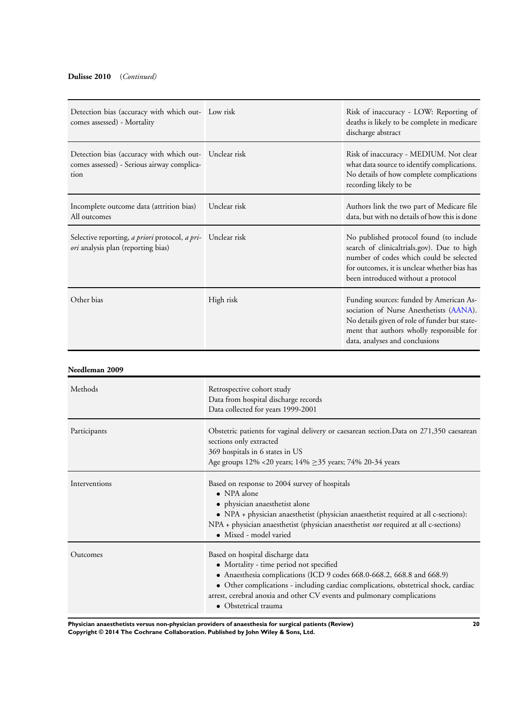# **Dulisse 2010** (*Continued)*

| Detection bias (accuracy with which out- Low risk<br>comes assessed) - Mortality                              |              | Risk of inaccuracy - LOW: Reporting of<br>deaths is likely to be complete in medicare<br>discharge abstract                                                                                                            |
|---------------------------------------------------------------------------------------------------------------|--------------|------------------------------------------------------------------------------------------------------------------------------------------------------------------------------------------------------------------------|
| Detection bias (accuracy with which out-   Unclear risk<br>comes assessed) - Serious airway complica-<br>tion |              | Risk of inaccuracy - MEDIUM. Not clear<br>what data source to identify complications.<br>No details of how complete complications<br>recording likely to be                                                            |
| Incomplete outcome data (attrition bias)<br>All outcomes                                                      | Unclear risk | Authors link the two part of Medicare file<br>data, but with no details of how this is done                                                                                                                            |
| Selective reporting, a priori protocol, a pri- Unclear risk<br>ori analysis plan (reporting bias)             |              | No published protocol found (to include<br>search of clinicaltrials.gov). Due to high<br>number of codes which could be selected<br>for outcomes, it is unclear whether bias has<br>been introduced without a protocol |
| Other bias                                                                                                    | High risk    | Funding sources: funded by American As-<br>sociation of Nurse Anesthetists (AANA).<br>No details given of role of funder but state-<br>ment that authors wholly responsible for<br>data, analyses and conclusions      |

# **Needleman 2009**

| Methods       | Retrospective cohort study<br>Data from hospital discharge records<br>Data collected for years 1999-2001                                                                                                                                                                                                                                        |
|---------------|-------------------------------------------------------------------------------------------------------------------------------------------------------------------------------------------------------------------------------------------------------------------------------------------------------------------------------------------------|
| Participants  | Obstetric patients for vaginal delivery or caesarean section. Data on 271,350 caesarean<br>sections only extracted<br>369 hospitals in 6 states in US<br>Age groups $12\%$ <20 years; $14\% \ge 35$ years; 74% 20-34 years                                                                                                                      |
| Interventions | Based on response to 2004 survey of hospitals<br>$\bullet$ NPA alone<br>• physician anaesthetist alone<br>• $NPA$ + physician anaesthetist (physician anaesthetist required at all c-sections):<br>NPA + physician anaesthetist (physician anaesthetist <i>not</i> required at all c-sections)<br>· Mixed - model varied                        |
| Outcomes      | Based on hospital discharge data<br>• Mortality - time period not specified<br>• Anaesthesia complications (ICD 9 codes 668.0-668.2, 668.8 and 668.9)<br>• Other complications - including cardiac complications, obstetrical shock, cardiac<br>arrest, cerebral anoxia and other CV events and pulmonary complications<br>• Obstetrical trauma |

**Physician anaesthetists versus non-physician providers of anaesthesia for surgical patients (Review) 20 Copyright © 2014 The Cochrane Collaboration. Published by John Wiley & Sons, Ltd.**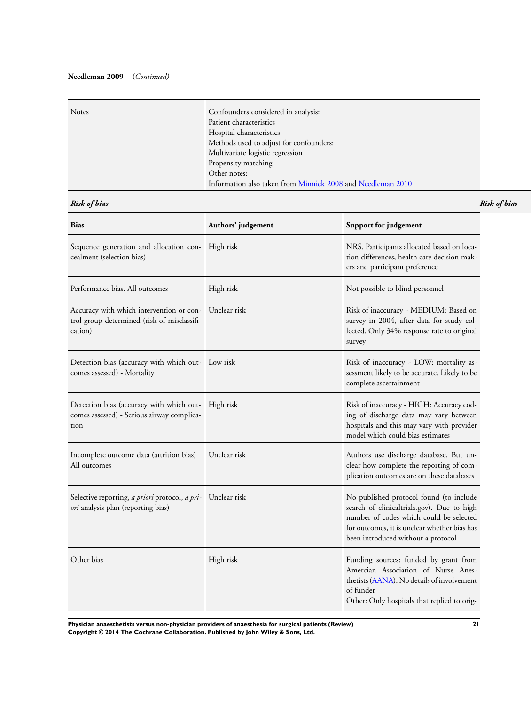# **Needleman 2009** (*Continued)*

| <b>Notes</b> | Confounders considered in analysis:                         |
|--------------|-------------------------------------------------------------|
|              | Patient characteristics                                     |
|              | Hospital characteristics                                    |
|              | Methods used to adjust for confounders:                     |
|              | Multivariate logistic regression                            |
|              | Propensity matching                                         |
|              | Other notes:                                                |
|              | Information also taken from Minnick 2008 and Needleman 2010 |

#### *Risk of bias Risk of bias*

| <b>Bias</b>                                                                                                     | Authors' judgement | Support for judgement                                                                                                                                                                                                  |
|-----------------------------------------------------------------------------------------------------------------|--------------------|------------------------------------------------------------------------------------------------------------------------------------------------------------------------------------------------------------------------|
| Sequence generation and allocation con- High risk<br>cealment (selection bias)                                  |                    | NRS. Participants allocated based on loca-<br>tion differences, health care decision mak-<br>ers and participant preference                                                                                            |
| Performance bias. All outcomes                                                                                  | High risk          | Not possible to blind personnel                                                                                                                                                                                        |
| Accuracy with which intervention or con- Unclear risk<br>trol group determined (risk of misclassifi-<br>cation) |                    | Risk of inaccuracy - MEDIUM: Based on<br>survey in 2004, after data for study col-<br>lected. Only 34% response rate to original<br>survey                                                                             |
| Detection bias (accuracy with which out- Low risk<br>comes assessed) - Mortality                                |                    | Risk of inaccuracy - LOW: mortality as-<br>sessment likely to be accurate. Likely to be<br>complete ascertainment                                                                                                      |
| Detection bias (accuracy with which out- High risk<br>comes assessed) - Serious airway complica-<br>tion        |                    | Risk of inaccuracy - HIGH: Accuracy cod-<br>ing of discharge data may vary between<br>hospitals and this may vary with provider<br>model which could bias estimates                                                    |
| Incomplete outcome data (attrition bias)<br>All outcomes                                                        | Unclear risk       | Authors use discharge database. But un-<br>clear how complete the reporting of com-<br>plication outcomes are on these databases                                                                                       |
| Selective reporting, a priori protocol, a pri- Unclear risk<br>ori analysis plan (reporting bias)               |                    | No published protocol found (to include<br>search of clinicaltrials.gov). Due to high<br>number of codes which could be selected<br>for outcomes, it is unclear whether bias has<br>been introduced without a protocol |
| Other bias                                                                                                      | High risk          | Funding sources: funded by grant from<br>Amercian Association of Nurse Anes-<br>thetists (AANA). No details of involvement<br>of funder                                                                                |

**Physician anaesthetists versus non-physician providers of anaesthesia for surgical patients (Review) 21 Copyright © 2014 The Cochrane Collaboration. Published by John Wiley & Sons, Ltd.**

Other: Only hospitals that replied to orig-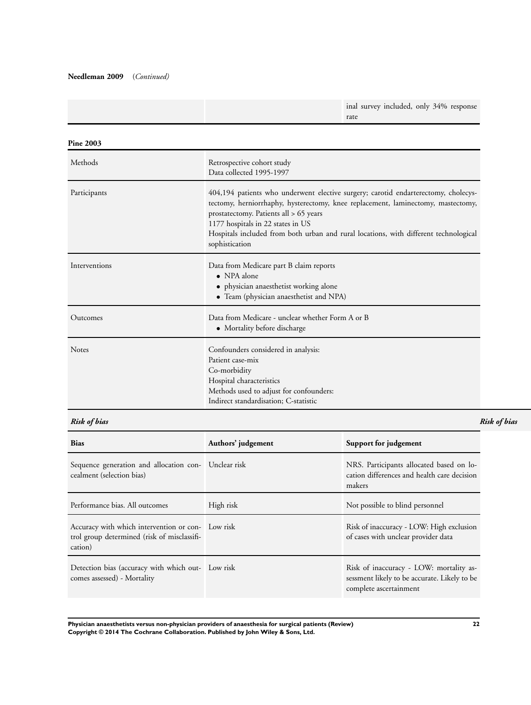|                  | inal survey included, only 34% response<br>rate                                                                                                                                                                                                                                                                                                                 |
|------------------|-----------------------------------------------------------------------------------------------------------------------------------------------------------------------------------------------------------------------------------------------------------------------------------------------------------------------------------------------------------------|
| <b>Pine 2003</b> |                                                                                                                                                                                                                                                                                                                                                                 |
| Methods          | Retrospective cohort study<br>Data collected 1995-1997                                                                                                                                                                                                                                                                                                          |
| Participants     | 404,194 patients who underwent elective surgery; carotid endarterectomy, cholecys-<br>tectomy, herniorrhaphy, hysterectomy, knee replacement, laminectomy, mastectomy,<br>prostatectomy. Patients all > 65 years<br>1177 hospitals in 22 states in US<br>Hospitals included from both urban and rural locations, with different technological<br>sophistication |
| Interventions    | Data from Medicare part B claim reports<br>$\bullet$ NPA alone<br>· physician anaesthetist working alone<br>• Team (physician anaesthetist and NPA)                                                                                                                                                                                                             |
| Outcomes         | Data from Medicare - unclear whether Form A or B<br>• Mortality before discharge                                                                                                                                                                                                                                                                                |
| <b>Notes</b>     | Confounders considered in analysis:<br>Patient case-mix<br>Co-morbidity<br>Hospital characteristics<br>Methods used to adjust for confounders:<br>Indirect standardisation; C-statistic                                                                                                                                                                         |

*Risk of bias Risk of bias*

| <b>Bias</b>                                                                                                 | Authors' judgement | Support for judgement                                                                                             |
|-------------------------------------------------------------------------------------------------------------|--------------------|-------------------------------------------------------------------------------------------------------------------|
| Sequence generation and allocation con- Unclear risk<br>cealment (selection bias)                           |                    | NRS. Participants allocated based on lo-<br>cation differences and health care decision<br>makers                 |
| Performance bias. All outcomes                                                                              | High risk          | Not possible to blind personnel                                                                                   |
| Accuracy with which intervention or con- Low risk<br>trol group determined (risk of misclassifi-<br>cation) |                    | Risk of inaccuracy - LOW: High exclusion<br>of cases with unclear provider data                                   |
| Detection bias (accuracy with which out- Low risk<br>comes assessed) - Mortality                            |                    | Risk of inaccuracy - LOW: mortality as-<br>sessment likely to be accurate. Likely to be<br>complete ascertainment |

**Physician anaesthetists versus non-physician providers of anaesthesia for surgical patients (Review) 22 Copyright © 2014 The Cochrane Collaboration. Published by John Wiley & Sons, Ltd.**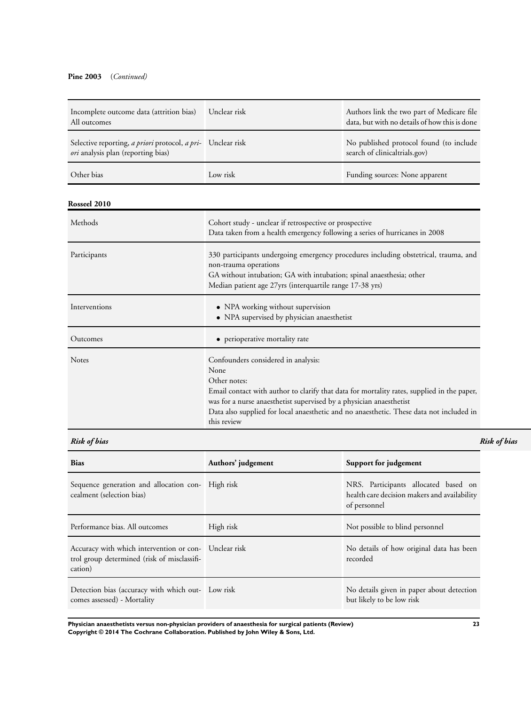# **Pine 2003** (*Continued)*

| Incomplete outcome data (attrition bias)<br>All outcomes                                                        | Unclear risk                                                                                                                                                                                                                                                                                                                               | Authors link the two part of Medicare file<br>data, but with no details of how this is done                                           |              |
|-----------------------------------------------------------------------------------------------------------------|--------------------------------------------------------------------------------------------------------------------------------------------------------------------------------------------------------------------------------------------------------------------------------------------------------------------------------------------|---------------------------------------------------------------------------------------------------------------------------------------|--------------|
| Selective reporting, a priori protocol, a pri- Unclear risk<br>ori analysis plan (reporting bias)               |                                                                                                                                                                                                                                                                                                                                            | No published protocol found (to include<br>search of clinicaltrials.gov)                                                              |              |
| Other bias                                                                                                      | Low risk                                                                                                                                                                                                                                                                                                                                   | Funding sources: None apparent                                                                                                        |              |
| Rosseel 2010                                                                                                    |                                                                                                                                                                                                                                                                                                                                            |                                                                                                                                       |              |
| Methods                                                                                                         |                                                                                                                                                                                                                                                                                                                                            | Cohort study - unclear if retrospective or prospective<br>Data taken from a health emergency following a series of hurricanes in 2008 |              |
| Participants                                                                                                    | 330 participants undergoing emergency procedures including obstetrical, trauma, and<br>non-trauma operations<br>GA without intubation; GA with intubation; spinal anaesthesia; other<br>Median patient age 27yrs (interquartile range 17-38 yrs)                                                                                           |                                                                                                                                       |              |
| Interventions                                                                                                   | • NPA working without supervision<br>• NPA supervised by physician anaesthetist                                                                                                                                                                                                                                                            |                                                                                                                                       |              |
| Outcomes                                                                                                        | • perioperative mortality rate                                                                                                                                                                                                                                                                                                             |                                                                                                                                       |              |
| Notes                                                                                                           | Confounders considered in analysis:<br>None<br>Other notes:<br>Email contact with author to clarify that data for mortality rates, supplied in the paper,<br>was for a nurse anaesthetist supervised by a physician anaesthetist<br>Data also supplied for local anaesthetic and no anaesthetic. These data not included in<br>this review |                                                                                                                                       |              |
| <b>Risk of bias</b>                                                                                             |                                                                                                                                                                                                                                                                                                                                            |                                                                                                                                       | Risk of bias |
| Bias                                                                                                            | Authors' judgement                                                                                                                                                                                                                                                                                                                         | Support for judgement                                                                                                                 |              |
| Sequence generation and allocation con- High risk<br>cealment (selection bias)                                  |                                                                                                                                                                                                                                                                                                                                            | NRS. Participants allocated based on<br>health care decision makers and availability<br>of personnel                                  |              |
| Performance bias. All outcomes                                                                                  | High risk                                                                                                                                                                                                                                                                                                                                  | Not possible to blind personnel                                                                                                       |              |
| Accuracy with which intervention or con- Unclear risk<br>trol group determined (risk of misclassifi-<br>cation) |                                                                                                                                                                                                                                                                                                                                            | No details of how original data has been<br>recorded                                                                                  |              |
| Detection bias (accuracy with which out- Low risk<br>comes assessed) - Mortality                                |                                                                                                                                                                                                                                                                                                                                            | No details given in paper about detection<br>but likely to be low risk                                                                |              |

**Physician anaesthetists versus non-physician providers of anaesthesia for surgical patients (Review) 23 Copyright © 2014 The Cochrane Collaboration. Published by John Wiley & Sons, Ltd.**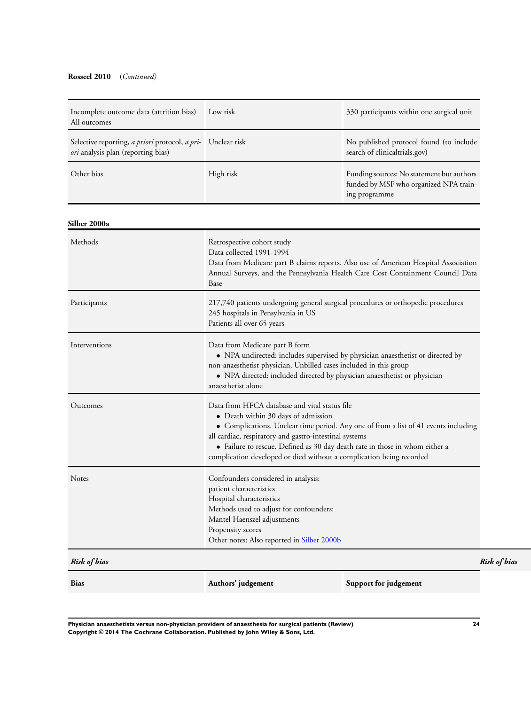# **Rosseel 2010** (*Continued)*

| Incomplete outcome data (attrition bias)<br>All outcomes                                          | Low risk                                                                                                                                                                                                                                                                                                                                                                                     | 330 participants within one surgical unit                                                            |
|---------------------------------------------------------------------------------------------------|----------------------------------------------------------------------------------------------------------------------------------------------------------------------------------------------------------------------------------------------------------------------------------------------------------------------------------------------------------------------------------------------|------------------------------------------------------------------------------------------------------|
| Selective reporting, a priori protocol, a pri- Unclear risk<br>ori analysis plan (reporting bias) |                                                                                                                                                                                                                                                                                                                                                                                              | No published protocol found (to include<br>search of clinicaltrials.gov)                             |
| Other bias                                                                                        | High risk                                                                                                                                                                                                                                                                                                                                                                                    | Funding sources: No statement but authors<br>funded by MSF who organized NPA train-<br>ing programme |
| Silber 2000a                                                                                      |                                                                                                                                                                                                                                                                                                                                                                                              |                                                                                                      |
| Methods                                                                                           | Retrospective cohort study<br>Data collected 1991-1994<br>Data from Medicare part B claims reports. Also use of American Hospital Association<br>Annual Surveys, and the Pennsylvania Health Care Cost Containment Council Data<br>Base                                                                                                                                                      |                                                                                                      |
| Participants                                                                                      | 217,740 patients undergoing general surgical procedures or orthopedic procedures<br>245 hospitals in Pensylvania in US<br>Patients all over 65 years                                                                                                                                                                                                                                         |                                                                                                      |
| Interventions                                                                                     | Data from Medicare part B form<br>• NPA undirected: includes supervised by physician anaesthetist or directed by<br>non-anaesthetist physician, Unbilled cases included in this group<br>• NPA directed: included directed by physician anaesthetist or physician<br>anaesthetist alone                                                                                                      |                                                                                                      |
| Outcomes                                                                                          | Data from HFCA database and vital status file<br>• Death within 30 days of admission<br>• Complications. Unclear time period. Any one of from a list of 41 events including<br>all cardiac, respiratory and gastro-intestinal systems<br>• Failure to rescue. Defined as 30 day death rate in those in whom either a<br>complication developed or died without a complication being recorded |                                                                                                      |
| Notes                                                                                             | Confounders considered in analysis:<br>patient characteristics<br>Hospital characteristics<br>Methods used to adjust for confounders:<br>Mantel Haenszel adjustments<br>Propensity scores<br>Other notes: Also reported in Silber 2000b                                                                                                                                                      |                                                                                                      |
| <b>Risk of bias</b>                                                                               |                                                                                                                                                                                                                                                                                                                                                                                              | Risk of bias                                                                                         |
| <b>Bias</b>                                                                                       | Authors' judgement                                                                                                                                                                                                                                                                                                                                                                           | <b>Support for judgement</b>                                                                         |

**Physician anaesthetists versus non-physician providers of anaesthesia for surgical patients (Review) 24 Copyright © 2014 The Cochrane Collaboration. Published by John Wiley & Sons, Ltd.**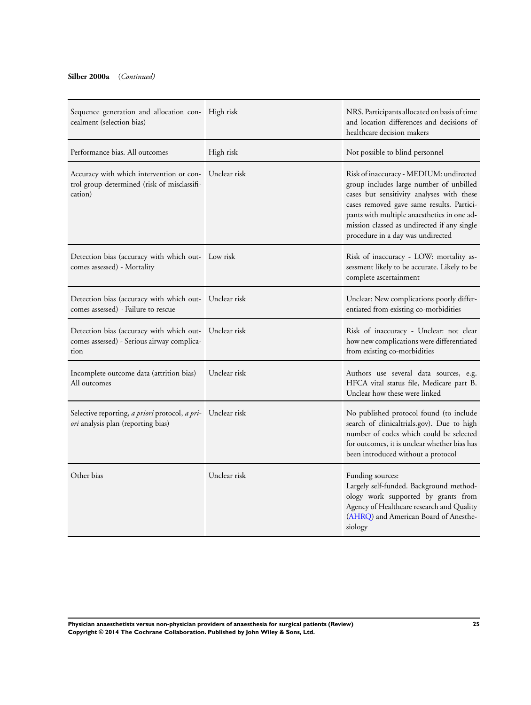# **Silber 2000a** (*Continued)*

| Sequence generation and allocation con- High risk<br>cealment (selection bias)                                  |              | NRS. Participants allocated on basis of time<br>and location differences and decisions of<br>healthcare decision makers                                                                                                                                                                                         |
|-----------------------------------------------------------------------------------------------------------------|--------------|-----------------------------------------------------------------------------------------------------------------------------------------------------------------------------------------------------------------------------------------------------------------------------------------------------------------|
| Performance bias. All outcomes                                                                                  | High risk    | Not possible to blind personnel                                                                                                                                                                                                                                                                                 |
| Accuracy with which intervention or con- Unclear risk<br>trol group determined (risk of misclassifi-<br>cation) |              | Risk of inaccuracy - MEDIUM: undirected<br>group includes large number of unbilled<br>cases but sensitivity analyses with these<br>cases removed gave same results. Partici-<br>pants with multiple anaesthetics in one ad-<br>mission classed as undirected if any single<br>procedure in a day was undirected |
| Detection bias (accuracy with which out- Low risk<br>comes assessed) - Mortality                                |              | Risk of inaccuracy - LOW: mortality as-<br>sessment likely to be accurate. Likely to be<br>complete ascertainment                                                                                                                                                                                               |
| Detection bias (accuracy with which out- Unclear risk<br>comes assessed) - Failure to rescue                    |              | Unclear: New complications poorly differ-<br>entiated from existing co-morbidities                                                                                                                                                                                                                              |
| Detection bias (accuracy with which out- Unclear risk<br>comes assessed) - Serious airway complica-<br>tion     |              | Risk of inaccuracy - Unclear: not clear<br>how new complications were differentiated<br>from existing co-morbidities                                                                                                                                                                                            |
| Incomplete outcome data (attrition bias)<br>All outcomes                                                        | Unclear risk | Authors use several data sources, e.g.<br>HFCA vital status file, Medicare part B.<br>Unclear how these were linked                                                                                                                                                                                             |
| Selective reporting, a priori protocol, a pri- Unclear risk<br>ori analysis plan (reporting bias)               |              | No published protocol found (to include<br>search of clinicaltrials.gov). Due to high<br>number of codes which could be selected<br>for outcomes, it is unclear whether bias has<br>been introduced without a protocol                                                                                          |
| Other bias                                                                                                      | Unclear risk | Funding sources:<br>Largely self-funded. Background method-<br>ology work supported by grants from<br>Agency of Healthcare research and Quality<br>(AHRQ) and American Board of Anesthe-<br>siology                                                                                                             |

**Physician anaesthetists versus non-physician providers of anaesthesia for surgical patients (Review) 25 Copyright © 2014 The Cochrane Collaboration. Published by John Wiley & Sons, Ltd.**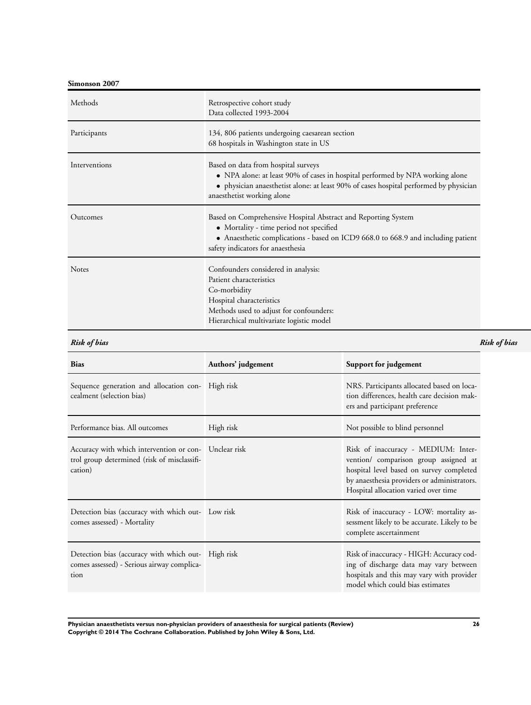**Simonson 2007**

| Methods       | Retrospective cohort study<br>Data collected 1993-2004                                                                                                                                                                                      |
|---------------|---------------------------------------------------------------------------------------------------------------------------------------------------------------------------------------------------------------------------------------------|
| Participants  | 134, 806 patients undergoing caesarean section<br>68 hospitals in Washington state in US                                                                                                                                                    |
| Interventions | Based on data from hospital surveys<br>• NPA alone: at least 90% of cases in hospital performed by NPA working alone<br>• physician anaesthetist alone: at least 90% of cases hospital performed by physician<br>anaesthetist working alone |
| Outcomes      | Based on Comprehensive Hospital Abstract and Reporting System<br>• Mortality - time period not specified<br>• Anaesthetic complications - based on ICD9 668.0 to 668.9 and including patient<br>safety indicators for anaesthesia           |
| <b>Notes</b>  | Confounders considered in analysis:<br>Patient characteristics<br>Co-morbidity<br>Hospital characteristics<br>Methods used to adjust for confounders:<br>Hierarchical multivariate logistic model                                           |

| <b>Risk of bias</b><br><b>Risk of bias</b>                                                                      |                    |                                                                                                                                                                                                                 |  |  |
|-----------------------------------------------------------------------------------------------------------------|--------------------|-----------------------------------------------------------------------------------------------------------------------------------------------------------------------------------------------------------------|--|--|
| <b>Bias</b>                                                                                                     | Authors' judgement | Support for judgement                                                                                                                                                                                           |  |  |
| Sequence generation and allocation con- High risk<br>cealment (selection bias)                                  |                    | NRS. Participants allocated based on loca-<br>tion differences, health care decision mak-<br>ers and participant preference                                                                                     |  |  |
| Performance bias. All outcomes                                                                                  | High risk          | Not possible to blind personnel                                                                                                                                                                                 |  |  |
| Accuracy with which intervention or con- Unclear risk<br>trol group determined (risk of misclassifi-<br>cation) |                    | Risk of inaccuracy - MEDIUM: Inter-<br>vention/ comparison group assigned at<br>hospital level based on survey completed<br>by anaesthesia providers or administrators.<br>Hospital allocation varied over time |  |  |
| Detection bias (accuracy with which out- Low risk<br>comes assessed) - Mortality                                |                    | Risk of inaccuracy - LOW: mortality as-<br>sessment likely to be accurate. Likely to be<br>complete ascertainment                                                                                               |  |  |
| Detection bias (accuracy with which out- High risk<br>comes assessed) - Serious airway complica-<br>tion        |                    | Risk of inaccuracy - HIGH: Accuracy cod-<br>ing of discharge data may vary between<br>hospitals and this may vary with provider<br>model which could bias estimates                                             |  |  |

**Physician anaesthetists versus non-physician providers of anaesthesia for surgical patients (Review) 26 Copyright © 2014 The Cochrane Collaboration. Published by John Wiley & Sons, Ltd.**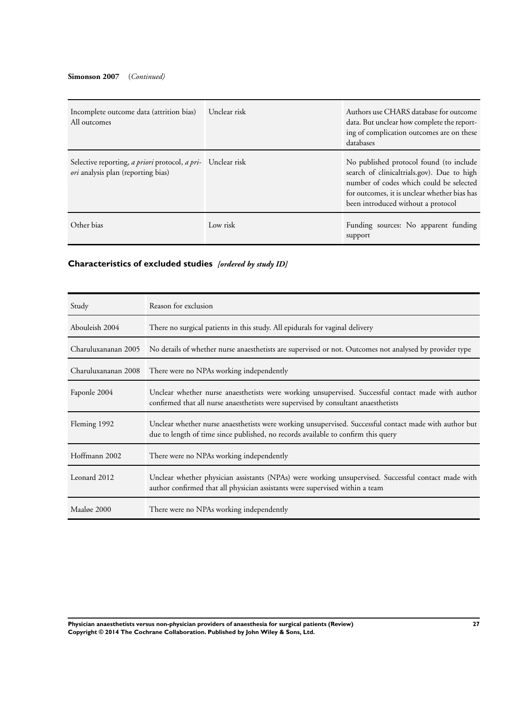# <span id="page-28-0"></span>**Simonson 2007** (*Continued)*

| Incomplete outcome data (attrition bias)<br>All outcomes                                                 | Unclear risk | Authors use CHARS database for outcome<br>data. But unclear how complete the report-<br>ing of complication outcomes are on these<br>databases                                                                         |
|----------------------------------------------------------------------------------------------------------|--------------|------------------------------------------------------------------------------------------------------------------------------------------------------------------------------------------------------------------------|
| Selective reporting, a priori protocol, a pri- Unclear risk<br><i>ori</i> analysis plan (reporting bias) |              | No published protocol found (to include<br>search of clinicaltrials.gov). Due to high<br>number of codes which could be selected<br>for outcomes, it is unclear whether bias has<br>been introduced without a protocol |
| Other hias                                                                                               | Low risk     | Funding sources: No apparent funding<br>support                                                                                                                                                                        |

# **Characteristics of excluded studies** *[ordered by study ID]*

| Study               | Reason for exclusion                                                                                                                                                                        |
|---------------------|---------------------------------------------------------------------------------------------------------------------------------------------------------------------------------------------|
| Abouleish 2004      | There no surgical patients in this study. All epidurals for vaginal delivery                                                                                                                |
| Charuluxananan 2005 | No details of whether nurse anaesthetists are supervised or not. Outcomes not analysed by provider type                                                                                     |
| Charuluxananan 2008 | There were no NPAs working independently                                                                                                                                                    |
| Faponle 2004        | Unclear whether nurse anaesthetists were working unsupervised. Successful contact made with author<br>confirmed that all nurse anaesthetists were supervised by consultant anaesthetists    |
| Fleming 1992        | Unclear whether nurse anaesthetists were working unsupervised. Successful contact made with author but<br>due to length of time since published, no records available to confirm this query |
| Hoffmann 2002       | There were no NPAs working independently                                                                                                                                                    |
| Leonard 2012        | Unclear whether physician assistants (NPAs) were working unsupervised. Successful contact made with<br>author confirmed that all physician assistants were supervised within a team         |
| Maaløe 2000         | There were no NPAs working independently                                                                                                                                                    |

**Physician anaesthetists versus non-physician providers of anaesthesia for surgical patients (Review) 27 Copyright © 2014 The Cochrane Collaboration. Published by John Wiley & Sons, Ltd.**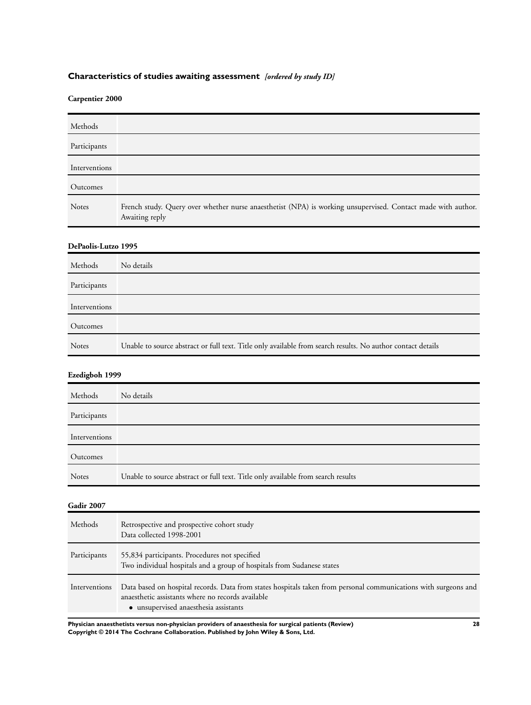# **Characteristics of studies awaiting assessment** *[ordered by study ID]*

# **Carpentier 2000**

| Methods       |                                                                                                                                |
|---------------|--------------------------------------------------------------------------------------------------------------------------------|
| Participants  |                                                                                                                                |
| Interventions |                                                                                                                                |
| Outcomes      |                                                                                                                                |
| Notes         | French study. Query over whether nurse anaesthetist (NPA) is working unsupervised. Contact made with author.<br>Awaiting reply |

## **DePaolis-Lutzo 1995**

| Methods       | No details                                                                                                  |
|---------------|-------------------------------------------------------------------------------------------------------------|
| Participants  |                                                                                                             |
| Interventions |                                                                                                             |
| Outcomes      |                                                                                                             |
| <b>Notes</b>  | Unable to source abstract or full text. Title only available from search results. No author contact details |

# **Ezedigboh 1999**

| Methods       | No details                                                                       |
|---------------|----------------------------------------------------------------------------------|
| Participants  |                                                                                  |
| Interventions |                                                                                  |
| Outcomes      |                                                                                  |
| <b>Notes</b>  | Unable to source abstract or full text. Title only available from search results |

### **Gadir 2007**

| <b>Methods</b> | Retrospective and prospective cohort study<br>Data collected 1998-2001                                                                                                                                        |
|----------------|---------------------------------------------------------------------------------------------------------------------------------------------------------------------------------------------------------------|
| Participants   | 55,834 participants. Procedures not specified<br>Two individual hospitals and a group of hospitals from Sudanese states                                                                                       |
| Interventions  | Data based on hospital records. Data from states hospitals taken from personal communications with surgeons and<br>anaesthetic assistants where no records available<br>• unsupervised anaesthesia assistants |

**Physician anaesthetists versus non-physician providers of anaesthesia for surgical patients (Review) 28 Copyright © 2014 The Cochrane Collaboration. Published by John Wiley & Sons, Ltd.**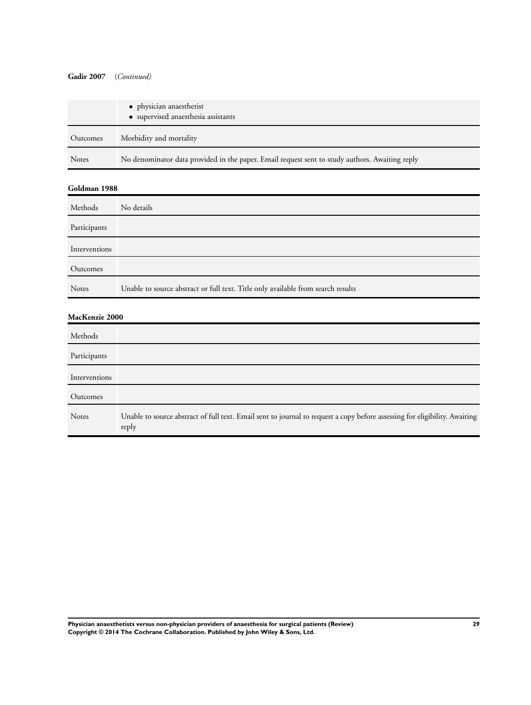# **Gadir 2007** (*Continued)*

|          | · physician anaesthetist<br>• supervised anaesthesia assistants                                |
|----------|------------------------------------------------------------------------------------------------|
| Outcomes | Morbidity and mortality                                                                        |
| Notes    | No denominator data provided in the paper. Email request sent to study authors. Awaiting reply |

# **Goldman 1988**

| Methods        | No details                                                                                                                          |
|----------------|-------------------------------------------------------------------------------------------------------------------------------------|
| Participants   |                                                                                                                                     |
| Interventions  |                                                                                                                                     |
| Outcomes       |                                                                                                                                     |
| <b>Notes</b>   | Unable to source abstract or full text. Title only available from search results                                                    |
| MacKenzie 2000 |                                                                                                                                     |
| Methods        |                                                                                                                                     |
| Participants   |                                                                                                                                     |
| Interventions  |                                                                                                                                     |
| Outcomes       |                                                                                                                                     |
| <b>Notes</b>   | Unable to source abstract of full text. Email sent to journal to request a copy before assessing for eligibility. Awaiting<br>reply |

**Physician anaesthetists versus non-physician providers of anaesthesia for surgical patients (Review) 29 Copyright © 2014 The Cochrane Collaboration. Published by John Wiley & Sons, Ltd.**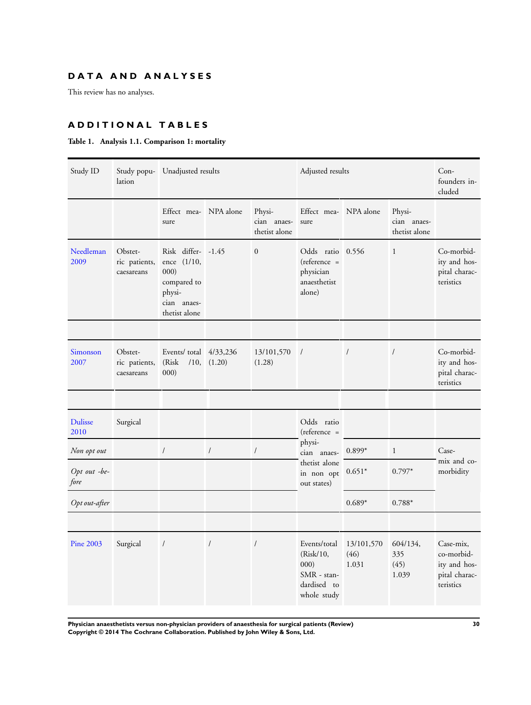# <span id="page-31-0"></span>**D A T A A N D A N A L Y S E S**

This review has no analyses.

# **A D D I T I O N A L T A B L E S**

# **Table 1. Analysis 1.1. Comparison 1: mortality**

| Study ID               | lation                                 | Study popu- Unadjusted results                                                                     |                    |                                        | Adjusted results                                                                                    |                             |                                        | Con-<br>founders in-<br>cluded                                        |
|------------------------|----------------------------------------|----------------------------------------------------------------------------------------------------|--------------------|----------------------------------------|-----------------------------------------------------------------------------------------------------|-----------------------------|----------------------------------------|-----------------------------------------------------------------------|
|                        |                                        | Effect mea- NPA alone<br>sure                                                                      |                    | Physi-<br>cian anaes-<br>thetist alone | Effect mea- NPA alone<br>sure                                                                       |                             | Physi-<br>cian anaes-<br>thetist alone |                                                                       |
| Needleman<br>2009      | Obstet-<br>ric patients,<br>caesareans | Risk differ- -1.45<br>ence (1/10,<br>000)<br>compared to<br>physi-<br>cian anaes-<br>thetist alone |                    | $\boldsymbol{0}$                       | Odds ratio 0.556<br>(reference =<br>physician<br>anaesthetist<br>alone)                             |                             | $\mathbf{1}$                           | Co-morbid-<br>ity and hos-<br>pital charac-<br>teristics              |
|                        |                                        |                                                                                                    |                    |                                        |                                                                                                     |                             |                                        |                                                                       |
| Simonson<br>2007       | Obstet-<br>ric patients,<br>caesareans | Events/total<br>(Risk)<br>/10,<br>000)                                                             | 4/33,236<br>(1.20) | 13/101,570<br>(1.28)                   | $\sqrt{ }$                                                                                          | $\sqrt{2}$                  | $\prime$                               | Co-morbid-<br>ity and hos-<br>pital charac-<br>teristics              |
|                        |                                        |                                                                                                    |                    |                                        |                                                                                                     |                             |                                        |                                                                       |
| <b>Dulisse</b><br>2010 | Surgical                               |                                                                                                    |                    |                                        | Odds ratio<br>$(reference =$<br>physi-<br>cian anaes-<br>thetist alone<br>in non opt<br>out states) |                             |                                        |                                                                       |
| Non opt out            |                                        | $\sqrt{ }$                                                                                         | $\sqrt{2}$         | $\sqrt{ }$                             |                                                                                                     | $0.899*$                    | $\mathbf{1}$                           | Case-                                                                 |
| Opt out -be-<br>fore   |                                        |                                                                                                    |                    |                                        |                                                                                                     |                             | $0.651*$                               | $0.797*$                                                              |
| Opt out-after          |                                        |                                                                                                    |                    |                                        |                                                                                                     | $0.689*$                    | $0.788*$                               |                                                                       |
|                        |                                        |                                                                                                    |                    |                                        |                                                                                                     |                             |                                        |                                                                       |
| Pine 2003              | Surgical                               | $\prime$                                                                                           | $\sqrt{2}$         | $\prime$                               | Events/total<br>(Risk/10,<br>000)<br>SMR - stan-<br>dardised to<br>whole study                      | 13/101,570<br>(46)<br>1.031 | 604/134,<br>335<br>(45)<br>1.039       | Case-mix,<br>co-morbid-<br>ity and hos-<br>pital charac-<br>teristics |

**Physician anaesthetists versus non-physician providers of anaesthesia for surgical patients (Review) 30 Copyright © 2014 The Cochrane Collaboration. Published by John Wiley & Sons, Ltd.**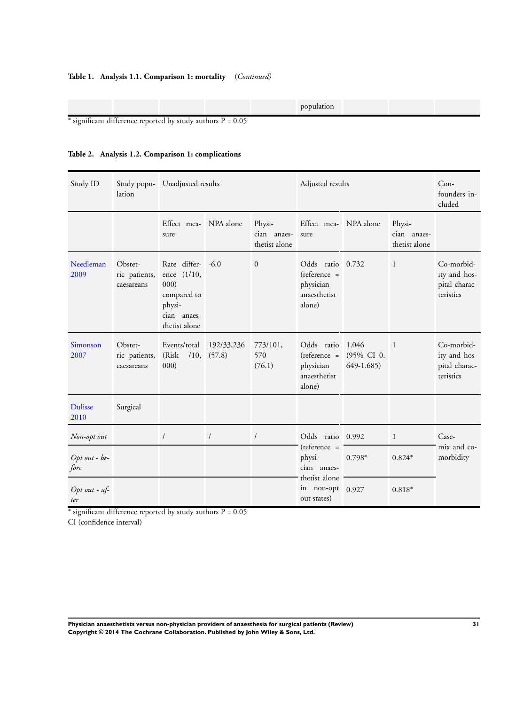# <span id="page-32-0"></span>**Table 1. Analysis 1.1. Comparison 1: mortality** (*Continued)*

|                                                               |  | population |  |
|---------------------------------------------------------------|--|------------|--|
| * significant difference reported by study authors $P = 0.05$ |  |            |  |

| Study ID               | lation                                 | Study popu- Unadjusted results                                                                      |                      |                                        | Adjusted results                                                          |                                                |                                        | $Con-$<br>founders in-<br>cluded                         |
|------------------------|----------------------------------------|-----------------------------------------------------------------------------------------------------|----------------------|----------------------------------------|---------------------------------------------------------------------------|------------------------------------------------|----------------------------------------|----------------------------------------------------------|
|                        |                                        | Effect mea- NPA alone<br>sure                                                                       |                      | Physi-<br>cian anaes-<br>thetist alone | Effect mea- NPA alone<br>sure                                             |                                                | Physi-<br>cian anaes-<br>thetist alone |                                                          |
| Needleman<br>2009      | Obstet-<br>ric patients,<br>caesareans | Rate differ- -6.0<br>ence $(1/10,$<br>000)<br>compared to<br>physi-<br>cian anaes-<br>thetist alone |                      | $\mathbf{0}$                           | Odds ratio 0.732<br>$(reference =$<br>physician<br>anaesthetist<br>alone) |                                                | $\mathbf{1}$                           | Co-morbid-<br>ity and hos-<br>pital charac-<br>teristics |
| Simonson<br>2007       | Obstet-<br>ric patients,<br>caesareans | Events/total<br>(Risk)<br>/10,<br>000)                                                              | 192/33,236<br>(57.8) | 773/101,<br>570<br>(76.1)              | Odds ratio<br>$(reference =$<br>physician<br>anaesthetist<br>alone)       | 1.046<br>$(95\% \text{ CI } 0.$<br>$649-1.685$ | $\overline{1}$                         | Co-morbid-<br>ity and hos-<br>pital charac-<br>teristics |
| <b>Dulisse</b><br>2010 | Surgical                               |                                                                                                     |                      |                                        |                                                                           |                                                |                                        |                                                          |
| Non-opt out            |                                        | $\sqrt{2}$                                                                                          | $\sqrt{2}$           | $\prime$                               | Odds ratio 0.992                                                          |                                                | $\mathbf{1}$                           | Case-                                                    |
| Opt out - be-<br>fore  |                                        |                                                                                                     |                      |                                        | $(reference =$<br>physi-<br>cian anaes-                                   | $0.798*$                                       | $0.824*$                               | mix and co-<br>morbidity                                 |
| Opt out - af-<br>ter   |                                        |                                                                                                     |                      |                                        | thetist alone<br>in non-opt $0.927$<br>out states)                        |                                                | $0.818*$                               |                                                          |

### **Table 2. Analysis 1.2. Comparison 1: complications**

\* significant difference reported by study authors  $P = 0.05$ CI (confidence interval)

**Physician anaesthetists versus non-physician providers of anaesthesia for surgical patients (Review) 31 Copyright © 2014 The Cochrane Collaboration. Published by John Wiley & Sons, Ltd.**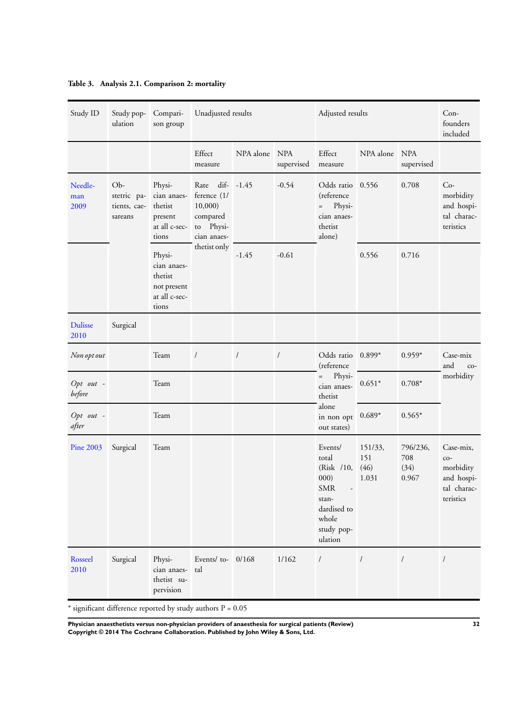| Study ID               | Study pop-<br>ulation                         | Compari-<br>son group                                                     | Unadjusted results                                                                       |            | Adjusted results         |                                                                                                                |                                 | Con-<br>founders<br>included     |                                                                           |
|------------------------|-----------------------------------------------|---------------------------------------------------------------------------|------------------------------------------------------------------------------------------|------------|--------------------------|----------------------------------------------------------------------------------------------------------------|---------------------------------|----------------------------------|---------------------------------------------------------------------------|
|                        |                                               |                                                                           | Effect<br>measure                                                                        | NPA alone  | <b>NPA</b><br>supervised | Effect<br>measure                                                                                              | NPA alone                       | <b>NPA</b><br>supervised         |                                                                           |
| Needle-<br>man<br>2009 | Ob-<br>stetric pa-<br>tients, cae-<br>sareans | Physi-<br>cian anaes-<br>thetist<br>present<br>at all c-sec-<br>tions     | dif-<br>Rate<br>ference (1/<br>10,000)<br>compared<br>Physi-<br>$\rm{to}$<br>cian anaes- | $-1.45$    | $-0.54$                  | Odds ratio<br>(reference<br>Physi-<br>$=$<br>cian anaes-<br>thetist<br>alone)                                  | 0.556                           | 0.708                            | $Co-$<br>morbidity<br>and hospi-<br>tal charac-<br>teristics              |
|                        |                                               | Physi-<br>cian anaes-<br>thetist<br>not present<br>at all c-sec-<br>tions | thetist only                                                                             | $-1.45$    | $-0.61$                  |                                                                                                                | 0.556                           | 0.716                            |                                                                           |
| <b>Dulisse</b><br>2010 | Surgical                                      |                                                                           |                                                                                          |            |                          |                                                                                                                |                                 |                                  |                                                                           |
| Non opt out            |                                               | Team                                                                      | $\prime$                                                                                 | $\sqrt{ }$ | $\overline{1}$           | Odds ratio<br>(reference                                                                                       | $0.899*$                        | $0.959*$                         | Case-mix<br>and<br>co-                                                    |
| Opt out -<br>before    |                                               | Team                                                                      |                                                                                          |            |                          | Physi-<br>$=$<br>cian anaes-<br>thetist                                                                        | $0.651*$                        | $0.708*$                         | morbidity                                                                 |
| Opt out -<br>after     |                                               | Team                                                                      |                                                                                          |            |                          | alone<br>in non opt<br>out states)                                                                             | $0.689*$                        | $0.565*$                         |                                                                           |
| Pine 2003              | Surgical                                      | Team                                                                      |                                                                                          |            |                          | Events/<br>total<br>(Risk /10,<br>000)<br><b>SMR</b><br>stan-<br>dardised to<br>whole<br>study pop-<br>ulation | 151/33,<br>151<br>(46)<br>1.031 | 796/236,<br>708<br>(34)<br>0.967 | Case-mix,<br>$CO-$<br>morbidity<br>and hospi-<br>tal charac-<br>teristics |
| Rosseel<br>2010        | Surgical                                      | Physi-<br>cian anaes-<br>thetist su-<br>pervision                         | Events/ to- 0/168<br>tal                                                                 |            | 1/162                    | $\sqrt{2}$                                                                                                     | $\sqrt{2}$                      | $\sqrt{ }$                       | $\sqrt{2}$                                                                |

# <span id="page-33-0"></span>**Table 3. Analysis 2.1. Comparison 2: mortality**

 $^\ast$  significant difference reported by study authors P = 0.05

**Physician anaesthetists versus non-physician providers of anaesthesia for surgical patients (Review) 32 Copyright © 2014 The Cochrane Collaboration. Published by John Wiley & Sons, Ltd.**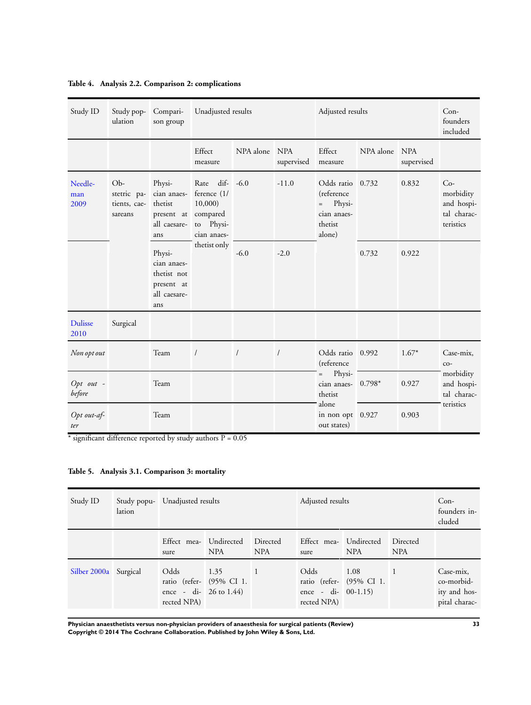| Study ID               | Study pop-<br>ulation                           | Compari-<br>son group                                                     | Unadjusted results                                                        |                         |                          | Adjusted results                                                                    |           |                          | $Con-$<br>founders<br>included                               |
|------------------------|-------------------------------------------------|---------------------------------------------------------------------------|---------------------------------------------------------------------------|-------------------------|--------------------------|-------------------------------------------------------------------------------------|-----------|--------------------------|--------------------------------------------------------------|
|                        |                                                 |                                                                           | Effect<br>measure                                                         | NPA alone               | <b>NPA</b><br>supervised | Effect<br>measure                                                                   | NPA alone | <b>NPA</b><br>supervised |                                                              |
| Needle-<br>man<br>2009 | $Ob-$<br>stetric pa-<br>tients, cae-<br>sareans | Physi-<br>cian anaes-<br>thetist<br>present at<br>all caesare-<br>ans     | Rate<br>ference (1/<br>10,000)<br>compared<br>Physi-<br>to<br>cian anaes- | $\text{dif-}\quad -6.0$ | $-11.0$                  | Odds ratio 0.732<br>(reference<br>Physi-<br>$=$<br>cian anaes-<br>thetist<br>alone) |           | 0.832                    | $Co-$<br>morbidity<br>and hospi-<br>tal charac-<br>teristics |
|                        |                                                 | Physi-<br>cian anaes-<br>thetist not<br>present at<br>all caesare-<br>ans | thetist only                                                              | $-6.0$                  | $-2.0$                   |                                                                                     | 0.732     | 0.922                    |                                                              |
| <b>Dulisse</b><br>2010 | Surgical                                        |                                                                           |                                                                           |                         |                          |                                                                                     |           |                          |                                                              |
| Non opt out            |                                                 | Team                                                                      | $\sqrt{2}$                                                                | $\sqrt{ }$              | $\prime$                 | Odds ratio<br>(reference                                                            | 0.992     | $1.67*$                  | Case-mix,<br>$CO-$                                           |
| Opt out -<br>before    |                                                 | Team                                                                      |                                                                           |                         |                          | Physi-<br>$=$<br>cian anaes-<br>thetist                                             | $0.798*$  | 0.927                    | morbidity<br>and hospi-<br>tal charac-                       |
| Opt out-af-<br>ter     |                                                 | Team                                                                      |                                                                           |                         |                          | alone<br>in non opt $0.927$<br>out states)                                          |           | 0.903                    | teristics                                                    |

# <span id="page-34-0"></span>**Table 4. Analysis 2.2. Comparison 2: complications**

\* significant difference reported by study authors  $P = 0.05$ 

# **Table 5. Analysis 3.1. Comparison 3: mortality**

| Study ID              | lation | Study popu- Unadjusted results                            |                                              |                        | Adjusted results                              | $Con-$<br>founders in-<br>cluded |                        |                                                          |
|-----------------------|--------|-----------------------------------------------------------|----------------------------------------------|------------------------|-----------------------------------------------|----------------------------------|------------------------|----------------------------------------------------------|
|                       |        | Effect mea- Undirected<br>sure                            | <b>NPA</b>                                   | Directed<br><b>NPA</b> | Effect mea- Undirected<br>sure                | <b>NPA</b>                       | Directed<br><b>NPA</b> |                                                          |
| Silber 2000a Surgical |        | Odds<br>ence - di- $26 \text{ to } 1.44$ )<br>rected NPA) | 1.35<br>ratio (refer- $(95\% \text{ CI } 1.$ |                        | Odds<br>ence - di- $00-1.15$ )<br>rected NPA) | 1.08<br>ratio (refer- (95% CI 1. | $\overline{1}$         | Case-mix,<br>co-morbid-<br>ity and hos-<br>pital charac- |

**Physician anaesthetists versus non-physician providers of anaesthesia for surgical patients (Review) 33 Copyright © 2014 The Cochrane Collaboration. Published by John Wiley & Sons, Ltd.**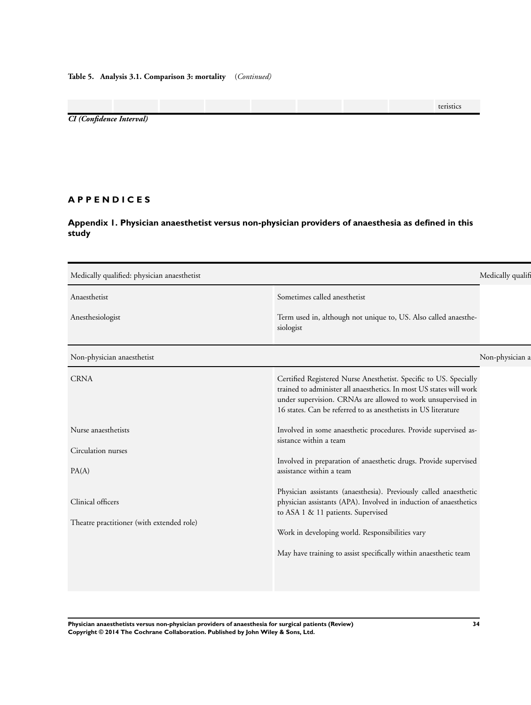<span id="page-35-0"></span>**Table 5. Analysis 3.1. Comparison 3: mortality** (*Continued)*

teristics *CI (Confidence Interval)*

# **A P P E N D I C E S**

# **Appendix 1. Physician anaesthetist versus non-physician providers of anaesthesia as defined in this study**

|                                                                                                                                                                                                                                                                                                     | Medically qualifi |
|-----------------------------------------------------------------------------------------------------------------------------------------------------------------------------------------------------------------------------------------------------------------------------------------------------|-------------------|
| Sometimes called anesthetist                                                                                                                                                                                                                                                                        |                   |
| Term used in, although not unique to, US. Also called anaesthe-<br>siologist                                                                                                                                                                                                                        |                   |
|                                                                                                                                                                                                                                                                                                     | Non-physician a   |
| Certified Registered Nurse Anesthetist. Specific to US. Specially<br>trained to administer all anaesthetics. In most US states will work<br>under supervision. CRNAs are allowed to work unsupervised in<br>16 states. Can be referred to as anesthetists in US literature                          |                   |
| Involved in some anaesthetic procedures. Provide supervised as-<br>sistance within a team<br>Involved in preparation of anaesthetic drugs. Provide supervised<br>assistance within a team                                                                                                           |                   |
| Physician assistants (anaesthesia). Previously called anaesthetic<br>physician assistants (APA). Involved in induction of anaesthetics<br>to ASA 1 & 11 patients. Supervised<br>Work in developing world. Responsibilities vary<br>May have training to assist specifically within anaesthetic team |                   |
|                                                                                                                                                                                                                                                                                                     |                   |

**Physician anaesthetists versus non-physician providers of anaesthesia for surgical patients (Review) 34 Copyright © 2014 The Cochrane Collaboration. Published by John Wiley & Sons, Ltd.**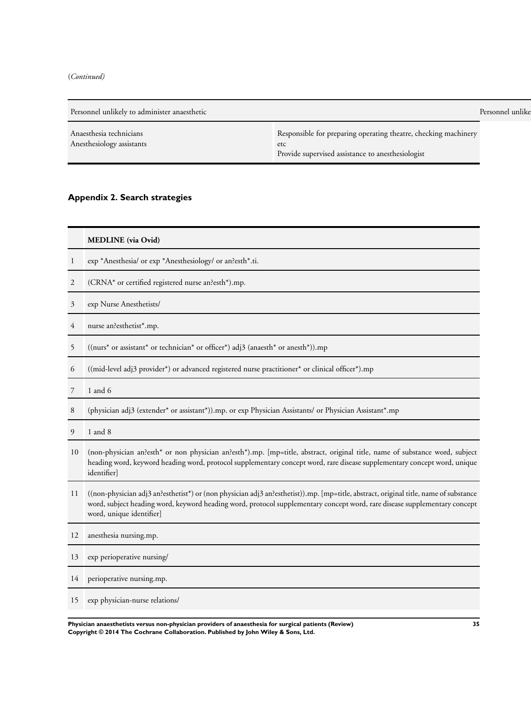| Personnel unlikely to administer anaesthetic<br>Personnel unlike |                                                                                                                             |  |  |  |  |
|------------------------------------------------------------------|-----------------------------------------------------------------------------------------------------------------------------|--|--|--|--|
| Anaesthesia technicians<br>Anesthesiology assistants             | Responsible for preparing operating theatre, checking machinery<br>etc<br>Provide supervised assistance to anesthesiologist |  |  |  |  |

#### **Appendix 2. Search strategies**

**MEDLINE (via Ovid)**

- 1 exp \*Anesthesia/ or exp \*Anesthesiology/ or an?esth\*.ti.
- 2 (CRNA\* or certified registered nurse an?esth\*).mp.
- 3 exp Nurse Anesthetists/
- 4 nurse an?esthetist\*.mp.
- 5 ((nurs\* or assistant\* or technician\* or officer\*) adj3 (anaesth\* or anesth\*)).mp
- 6 ((mid-level adj3 provider\*) or advanced registered nurse practitioner\* or clinical officer\*).mp
- 7 1 and 6
- 8 (physician adj3 (extender\* or assistant\*)).mp. or exp Physician Assistants/ or Physician Assistant\*.mp

#### 9 1 and 8

- 10 (non-physician an?esth\* or non physician an?esth\*).mp. [mp=title, abstract, original title, name of substance word, subject heading word, keyword heading word, protocol supplementary concept word, rare disease supplementary concept word, unique identifier]
- 11 ((non-physician adj3 an?esthetist\*) or (non physician adj3 an?esthetist)).mp. [mp=title, abstract, original title, name of substance word, subject heading word, keyword heading word, protocol supplementary concept word, rare disease supplementary concept word, unique identifier]

12 anesthesia nursing.mp.

13 exp perioperative nursing/

14 perioperative nursing.mp.

15 exp physician-nurse relations/

**Physician anaesthetists versus non-physician providers of anaesthesia for surgical patients (Review) 35 Copyright © 2014 The Cochrane Collaboration. Published by John Wiley & Sons, Ltd.**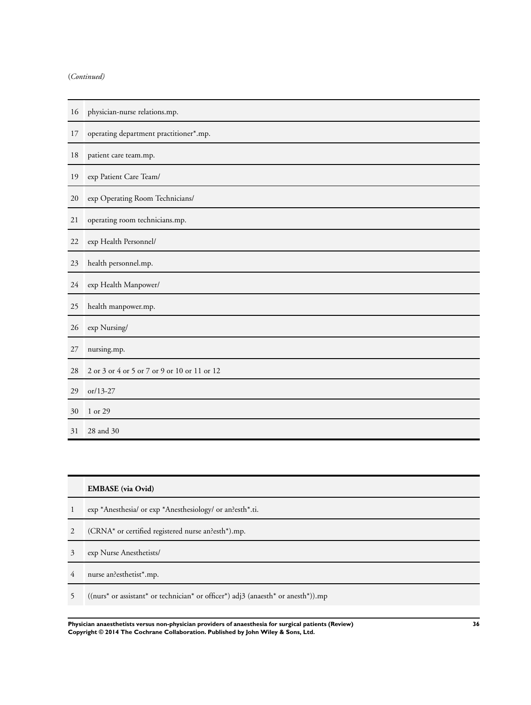| 16 | physician-nurse relations.mp.                |
|----|----------------------------------------------|
| 17 | operating department practitioner*.mp.       |
| 18 | patient care team.mp.                        |
| 19 | exp Patient Care Team/                       |
| 20 | exp Operating Room Technicians/              |
| 21 | operating room technicians.mp.               |
| 22 | exp Health Personnel/                        |
| 23 | health personnel.mp.                         |
| 24 | exp Health Manpower/                         |
| 25 | health manpower.mp.                          |
| 26 | exp Nursing/                                 |
| 27 | nursing.mp.                                  |
| 28 | 2 or 3 or 4 or 5 or 7 or 9 or 10 or 11 or 12 |
| 29 | or/13-27                                     |
| 30 | 1 or 29                                      |
| 31 | 28 and 30                                    |

|   | <b>EMBASE</b> (via Ovid)                                                                                                                                   |
|---|------------------------------------------------------------------------------------------------------------------------------------------------------------|
| 1 | exp *Anesthesia/ or exp *Anesthesiology/ or an?esth*.ti.                                                                                                   |
| 2 | (CRNA* or certified registered nurse an?esth*).mp.                                                                                                         |
| 3 | exp Nurse Anesthetists/                                                                                                                                    |
| 4 | nurse an?esthetist*.mp.                                                                                                                                    |
| 5 | ((nurs <sup>*</sup> or assistant <sup>*</sup> or technician <sup>*</sup> or officer <sup>*</sup> ) adj3 (anaesth <sup>*</sup> or anesth <sup>*</sup> )).mp |

**Physician anaesthetists versus non-physician providers of anaesthesia for surgical patients (Review) 36 Copyright © 2014 The Cochrane Collaboration. Published by John Wiley & Sons, Ltd.**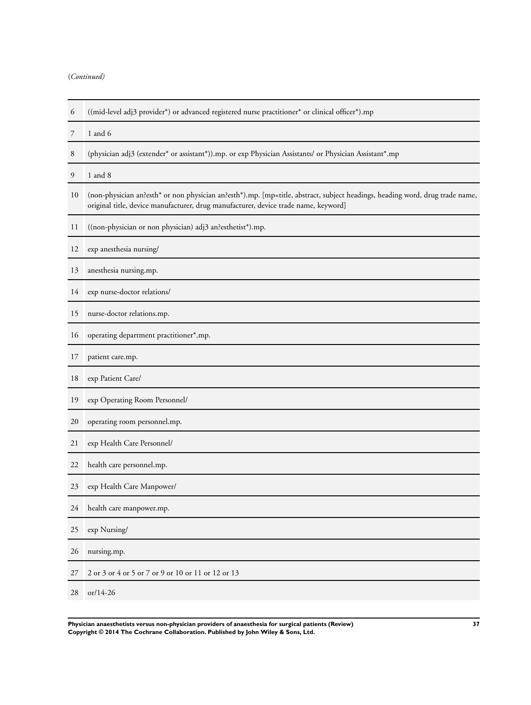| 6  | ((mid-level adj3 provider*) or advanced registered nurse practitioner* or clinical officer*).mp                                                                                                                     |
|----|---------------------------------------------------------------------------------------------------------------------------------------------------------------------------------------------------------------------|
| 7  | 1 and $6$                                                                                                                                                                                                           |
| 8  | (physician adj3 (extender* or assistant*)).mp. or exp Physician Assistants/ or Physician Assistant*.mp                                                                                                              |
| 9  | 1 and 8                                                                                                                                                                                                             |
| 10 | (non-physician an?esth* or non physician an?esth*).mp. [mp=title, abstract, subject headings, heading word, drug trade name,<br>original title, device manufacturer, drug manufacturer, device trade name, keyword] |
| 11 | ((non-physician or non physician) adj3 an?esthetist*).mp.                                                                                                                                                           |
| 12 | exp anesthesia nursing/                                                                                                                                                                                             |
| 13 | anesthesia nursing.mp.                                                                                                                                                                                              |
| 14 | exp nurse-doctor relations/                                                                                                                                                                                         |
| 15 | nurse-doctor relations.mp.                                                                                                                                                                                          |
| 16 | operating department practitioner*.mp.                                                                                                                                                                              |
| 17 | patient care.mp.                                                                                                                                                                                                    |
| 18 | exp Patient Care/                                                                                                                                                                                                   |
| 19 | exp Operating Room Personnel/                                                                                                                                                                                       |
| 20 | operating room personnel.mp.                                                                                                                                                                                        |
| 21 | exp Health Care Personnel/                                                                                                                                                                                          |
| 22 | health care personnel.mp.                                                                                                                                                                                           |
| 23 | exp Health Care Manpower/                                                                                                                                                                                           |
| 24 | health care manpower.mp.                                                                                                                                                                                            |
| 25 | exp Nursing/                                                                                                                                                                                                        |
| 26 | nursing.mp.                                                                                                                                                                                                         |
| 27 | 2 or 3 or 4 or 5 or 7 or 9 or 10 or 11 or 12 or 13                                                                                                                                                                  |
| 28 | $or/14-26$                                                                                                                                                                                                          |

**Physician anaesthetists versus non-physician providers of anaesthesia for surgical patients (Review) 37 Copyright © 2014 The Cochrane Collaboration. Published by John Wiley & Sons, Ltd.**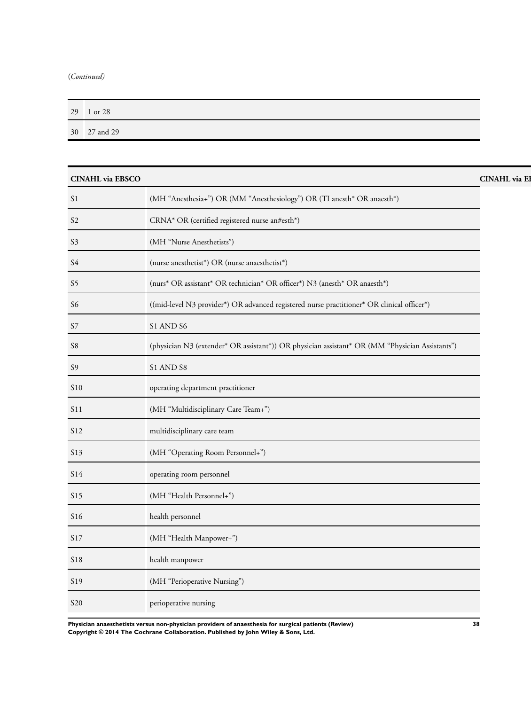| 29 1 or 28   |
|--------------|
| 30 27 and 29 |

| <b>CINAHL via EBSCO</b> |                                                                                                 | CINAHL via El |
|-------------------------|-------------------------------------------------------------------------------------------------|---------------|
| S <sub>1</sub>          | (MH "Anesthesia+") OR (MM "Anesthesiology") OR (TI anesth* OR anaesth*)                         |               |
| S <sub>2</sub>          | CRNA* OR (certified registered nurse an#esth*)                                                  |               |
| S <sub>3</sub>          | (MH "Nurse Anesthetists")                                                                       |               |
| S4                      | (nurse anesthetist*) OR (nurse anaesthetist*)                                                   |               |
| S5                      | (nurs* OR assistant* OR technician* OR officer*) N3 (anesth* OR anaesth*)                       |               |
| S6                      | ((mid-level N3 provider*) OR advanced registered nurse practitioner* OR clinical officer*)      |               |
| S7                      | S1 AND S6                                                                                       |               |
| S <sub>8</sub>          | (physician N3 (extender* OR assistant*)) OR physician assistant* OR (MM "Physician Assistants") |               |
| S <sub>9</sub>          | S1 AND S8                                                                                       |               |
| S <sub>10</sub>         | operating department practitioner                                                               |               |
| <b>S11</b>              | (MH "Multidisciplinary Care Team+")                                                             |               |
| S <sub>12</sub>         | multidisciplinary care team                                                                     |               |
| S <sub>13</sub>         | (MH "Operating Room Personnel+")                                                                |               |
| S <sub>14</sub>         | operating room personnel                                                                        |               |
| S <sub>15</sub>         | (MH "Health Personnel+")                                                                        |               |
| S <sub>16</sub>         | health personnel                                                                                |               |
| S <sub>17</sub>         | (MH "Health Manpower+")                                                                         |               |
| S <sub>18</sub>         | health manpower                                                                                 |               |
| S <sub>19</sub>         | (MH "Perioperative Nursing")                                                                    |               |
| S <sub>20</sub>         | perioperative nursing                                                                           |               |

**Physician anaesthetists versus non-physician providers of anaesthesia for surgical patients (Review) 38 Copyright © 2014 The Cochrane Collaboration. Published by John Wiley & Sons, Ltd.**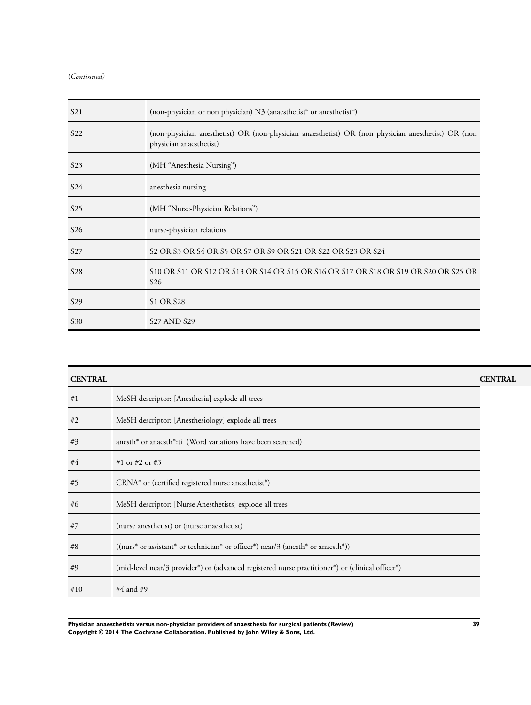| S <sub>21</sub> | (non-physician or non physician) N3 (anaesthetist* or anesthetist*)                                                           |
|-----------------|-------------------------------------------------------------------------------------------------------------------------------|
| S <sub>22</sub> | (non-physician anesthetist) OR (non-physician anaesthetist) OR (non physician anesthetist) OR (non<br>physician anaesthetist) |
| S <sub>23</sub> | (MH "Anesthesia Nursing")                                                                                                     |
| S <sub>24</sub> | anesthesia nursing                                                                                                            |
| S <sub>25</sub> | (MH "Nurse-Physician Relations")                                                                                              |
| S <sub>26</sub> | nurse-physician relations                                                                                                     |
| S <sub>27</sub> | S2 OR S3 OR S4 OR S5 OR S7 OR S9 OR S21 OR S22 OR S23 OR S24                                                                  |
| S <sub>28</sub> | \$10 OR \$11 OR \$12 OR \$13 OR \$14 OR \$15 OR \$16 OR \$17 OR \$18 OR \$19 OR \$20 OR \$25 OR<br>S <sub>26</sub>            |
| S <sub>29</sub> | <b>S1 OR S28</b>                                                                                                              |
| S <sub>30</sub> | <b>S27 AND S29</b>                                                                                                            |

| <b>CENTRAL</b> |                                                                                                  | <b>CENTRAL</b> |
|----------------|--------------------------------------------------------------------------------------------------|----------------|
| #1             | MeSH descriptor: [Anesthesia] explode all trees                                                  |                |
| #2             | MeSH descriptor: [Anesthesiology] explode all trees                                              |                |
| #3             | anesth <sup>*</sup> or anaesth <sup>*</sup> :ti (Word variations have been searched)             |                |
| #4             | #1 or #2 or #3                                                                                   |                |
| #5             | CRNA* or (certified registered nurse anesthetist*)                                               |                |
| #6             | MeSH descriptor: [Nurse Anesthetists] explode all trees                                          |                |
| #7             | (nurse anesthetist) or (nurse anaesthetist)                                                      |                |
| #8             | ((nurs* or assistant* or technician* or officer*) near/3 (anesth* or anaesth*))                  |                |
| #9             | (mid-level near/3 provider*) or (advanced registered nurse practitioner*) or (clinical officer*) |                |
| #10            | #4 and #9                                                                                        |                |

**Physician anaesthetists versus non-physician providers of anaesthesia for surgical patients (Review) 39 Copyright © 2014 The Cochrane Collaboration. Published by John Wiley & Sons, Ltd.**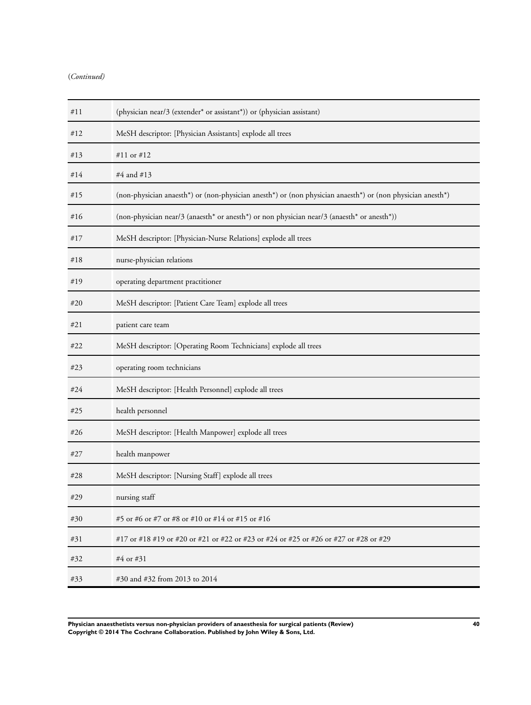| #11 | (physician near/3 (extender* or assistant*)) or (physician assistant)                                      |
|-----|------------------------------------------------------------------------------------------------------------|
| #12 | MeSH descriptor: [Physician Assistants] explode all trees                                                  |
| #13 | #11 or #12                                                                                                 |
| #14 | #4 and #13                                                                                                 |
| #15 | (non-physician anaesth*) or (non-physician anesth*) or (non physician anaesth*) or (non physician anesth*) |
| #16 | (non-physician near/3 (anaesth* or anesth*) or non physician near/3 (anaesth* or anesth*))                 |
| #17 | MeSH descriptor: [Physician-Nurse Relations] explode all trees                                             |
| #18 | nurse-physician relations                                                                                  |
| #19 | operating department practitioner                                                                          |
| #20 | MeSH descriptor: [Patient Care Team] explode all trees                                                     |
| #21 | patient care team                                                                                          |
| #22 | MeSH descriptor: [Operating Room Technicians] explode all trees                                            |
| #23 | operating room technicians                                                                                 |
| #24 | MeSH descriptor: [Health Personnel] explode all trees                                                      |
| #25 | health personnel                                                                                           |
| #26 | MeSH descriptor: [Health Manpower] explode all trees                                                       |
| #27 | health manpower                                                                                            |
| #28 | MeSH descriptor: [Nursing Staff] explode all trees                                                         |
| #29 | nursing staff                                                                                              |
| #30 | #5 or #6 or #7 or #8 or #10 or #14 or #15 or #16                                                           |
| #31 | #17 or #18 #19 or #20 or #21 or #22 or #23 or #24 or #25 or #26 or #27 or #28 or #29                       |
| #32 | #4 or #31                                                                                                  |
| #33 | #30 and #32 from 2013 to 2014                                                                              |

**Physician anaesthetists versus non-physician providers of anaesthesia for surgical patients (Review) 40 Copyright © 2014 The Cochrane Collaboration. Published by John Wiley & Sons, Ltd.**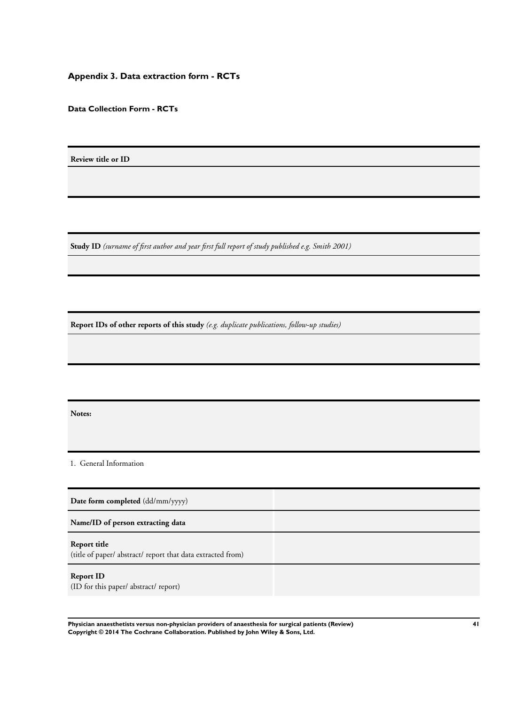**Appendix 3. Data extraction form - RCTs**

**Data Collection Form - RCTs**

**Review title or ID**

**Study ID** *(surname of first author and year first full report of study published e.g. Smith 2001)*

**Report IDs of other reports of this study** *(e.g. duplicate publications, follow-up studies)*

**Notes:**

1. General Information

**Date form completed** (dd/mm/yyyy)

**Name/ID of person extracting data**

#### **Report title**

(title of paper/ abstract/ report that data extracted from)

#### **Report ID**

(ID for this paper/ abstract/ report)

**Physician anaesthetists versus non-physician providers of anaesthesia for surgical patients (Review) 41 Copyright © 2014 The Cochrane Collaboration. Published by John Wiley & Sons, Ltd.**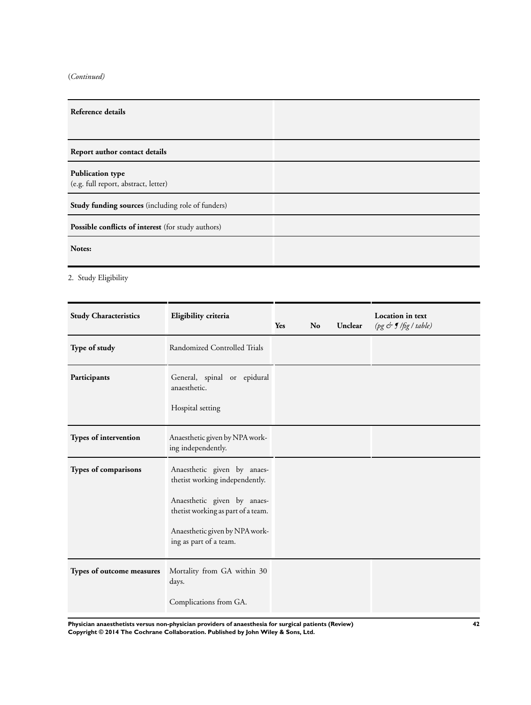| Reference details                                               |  |
|-----------------------------------------------------------------|--|
| Report author contact details                                   |  |
| <b>Publication type</b><br>(e.g. full report, abstract, letter) |  |
| <b>Study funding sources</b> (including role of funders)        |  |
| <b>Possible conflicts of interest</b> (for study authors)       |  |
| Notes:                                                          |  |

2. Study Eligibility

| <b>Study Characteristics</b> | Eligibility criteria                                                                                                                                                                           | Yes | No | Unclear | Location in text<br>(pg & ¶ /fig / table) |
|------------------------------|------------------------------------------------------------------------------------------------------------------------------------------------------------------------------------------------|-----|----|---------|-------------------------------------------|
| Type of study                | Randomized Controlled Trials                                                                                                                                                                   |     |    |         |                                           |
| Participants                 | General, spinal or epidural<br>anaesthetic.<br>Hospital setting                                                                                                                                |     |    |         |                                           |
| Types of intervention        | Anaesthetic given by NPA work-<br>ing independently.                                                                                                                                           |     |    |         |                                           |
| Types of comparisons         | Anaesthetic given by anaes-<br>thetist working independently.<br>Anaesthetic given by anaes-<br>thetist working as part of a team.<br>Anaesthetic given by NPA work-<br>ing as part of a team. |     |    |         |                                           |
| Types of outcome measures    | Mortality from GA within 30<br>days.<br>Complications from GA.                                                                                                                                 |     |    |         |                                           |

**Physician anaesthetists versus non-physician providers of anaesthesia for surgical patients (Review) 42 Copyright © 2014 The Cochrane Collaboration. Published by John Wiley & Sons, Ltd.**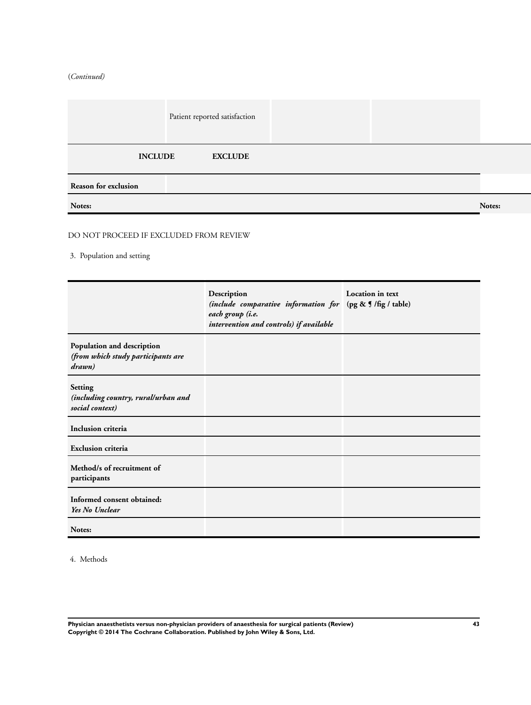|                                                                            | Patient reported satisfaction                                              |                                                            |                  |        |
|----------------------------------------------------------------------------|----------------------------------------------------------------------------|------------------------------------------------------------|------------------|--------|
| <b>INCLUDE</b>                                                             | <b>EXCLUDE</b>                                                             |                                                            |                  |        |
| Reason for exclusion                                                       |                                                                            |                                                            |                  |        |
| Notes:                                                                     |                                                                            |                                                            |                  | Notes: |
| DO NOT PROCEED IF EXCLUDED FROM REVIEW<br>3. Population and setting        |                                                                            |                                                            |                  |        |
|                                                                            | Description<br>each group (i.e.<br>intervention and controls) if available | (include comparative information for (pg & § /fig / table) | Location in text |        |
| Population and description<br>(from which study participants are<br>drawn) |                                                                            |                                                            |                  |        |
| Setting<br>(including country, rural/urban and<br>social context)          |                                                                            |                                                            |                  |        |
| Inclusion criteria                                                         |                                                                            |                                                            |                  |        |
| <b>Exclusion criteria</b>                                                  |                                                                            |                                                            |                  |        |
| Method/s of recruitment of<br>participants                                 |                                                                            |                                                            |                  |        |
| Informed consent obtained:<br>Yes No Unclear                               |                                                                            |                                                            |                  |        |
| Notes:                                                                     |                                                                            |                                                            |                  |        |

4. Methods

**Physician anaesthetists versus non-physician providers of anaesthesia for surgical patients (Review) 43 Copyright © 2014 The Cochrane Collaboration. Published by John Wiley & Sons, Ltd.**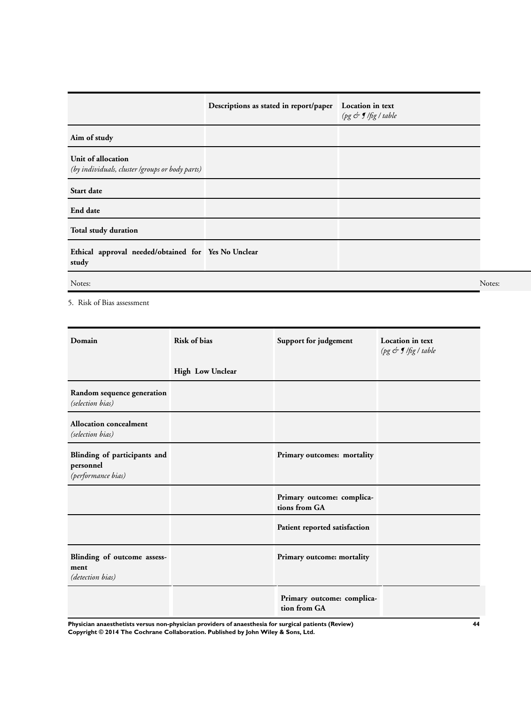|                                                                       | Descriptions as stated in report/paper | <b>Location</b> in text<br>(pg $\circ$ <b>f</b> /fig / table |
|-----------------------------------------------------------------------|----------------------------------------|--------------------------------------------------------------|
| Aim of study                                                          |                                        |                                                              |
| Unit of allocation<br>(by individuals, cluster /groups or body parts) |                                        |                                                              |
| <b>Start</b> date                                                     |                                        |                                                              |
| End date                                                              |                                        |                                                              |
| Total study duration                                                  |                                        |                                                              |
| Ethical approval needed/obtained for Yes No Unclear<br>study          |                                        |                                                              |

5. Risk of Bias assessment

| Domain                                                          | <b>Risk of bias</b> | Support for judgement                       | <b>Location</b> in text<br>(pg $\circ$ $\mathcal{I}$ /fig / table |
|-----------------------------------------------------------------|---------------------|---------------------------------------------|-------------------------------------------------------------------|
|                                                                 | High Low Unclear    |                                             |                                                                   |
| Random sequence generation<br>(selection bias)                  |                     |                                             |                                                                   |
| <b>Allocation concealment</b><br>(selection bias)               |                     |                                             |                                                                   |
| Blinding of participants and<br>personnel<br>(performance bias) |                     | Primary outcomes: mortality                 |                                                                   |
|                                                                 |                     | Primary outcome: complica-<br>tions from GA |                                                                   |
|                                                                 |                     | Patient reported satisfaction               |                                                                   |
| Blinding of outcome assess-<br>ment<br>(detection bias)         |                     | Primary outcome: mortality                  |                                                                   |
|                                                                 |                     | Primary outcome: complica-<br>tion from GA  |                                                                   |

**Physician anaesthetists versus non-physician providers of anaesthesia for surgical patients (Review) 44 Copyright © 2014 The Cochrane Collaboration. Published by John Wiley & Sons, Ltd.**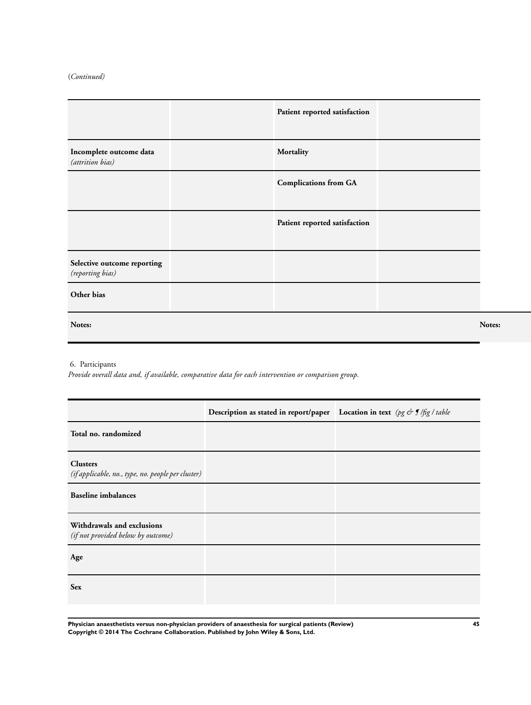|                                                 | Patient reported satisfaction |        |
|-------------------------------------------------|-------------------------------|--------|
| Incomplete outcome data<br>(attrition bias)     | Mortality                     |        |
|                                                 | <b>Complications from GA</b>  |        |
|                                                 | Patient reported satisfaction |        |
| Selective outcome reporting<br>(reporting bias) |                               |        |
| Other bias                                      |                               |        |
| Notes:                                          |                               | Notes: |

6. Participants

*Provide overall data and, if available, comparative data for each intervention or comparison group.*

|                                                                       | Description as stated in report/paper Location in text (pg $\phi$ $\int$ /fig / table |  |
|-----------------------------------------------------------------------|---------------------------------------------------------------------------------------|--|
| Total no. randomized                                                  |                                                                                       |  |
| <b>Clusters</b><br>(if applicable, no., type, no. people per cluster) |                                                                                       |  |
| <b>Baseline imbalances</b>                                            |                                                                                       |  |
| Withdrawals and exclusions<br>(if not provided below by outcome)      |                                                                                       |  |
| Age                                                                   |                                                                                       |  |
| <b>Sex</b>                                                            |                                                                                       |  |

**Physician anaesthetists versus non-physician providers of anaesthesia for surgical patients (Review) 45 Copyright © 2014 The Cochrane Collaboration. Published by John Wiley & Sons, Ltd.**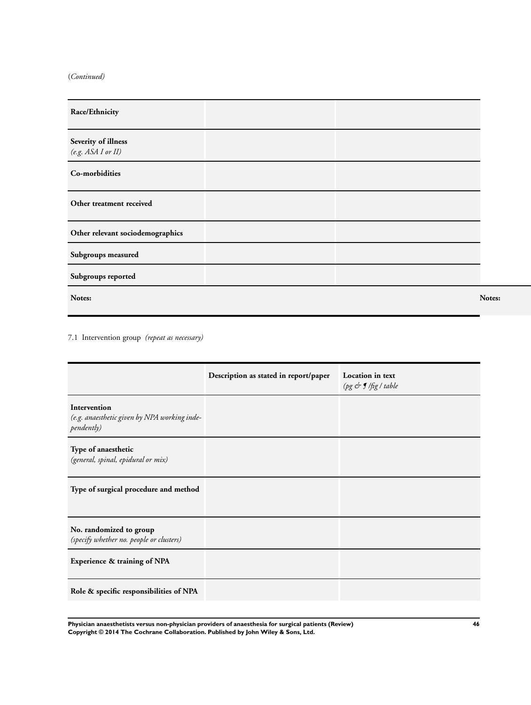| Race/Ethnicity                            |  |        |
|-------------------------------------------|--|--------|
| Severity of illness<br>(e.g. ASA I or II) |  |        |
| Co-morbidities                            |  |        |
| Other treatment received                  |  |        |
| Other relevant sociodemographics          |  |        |
| Subgroups measured                        |  |        |
| Subgroups reported                        |  |        |
| Notes:                                    |  | Notes: |

# 7.1 Intervention group *(repeat as necessary)*

|                                                                                    | Description as stated in report/paper | Location in text<br>(pg $\circ$ <b>f</b> /fig / table |
|------------------------------------------------------------------------------------|---------------------------------------|-------------------------------------------------------|
| Intervention<br>(e.g. anaesthetic given by NPA working inde-<br><i>pendently</i> ) |                                       |                                                       |
| Type of anaesthetic<br>(general, spinal, epidural or mix)                          |                                       |                                                       |
| Type of surgical procedure and method                                              |                                       |                                                       |
| No. randomized to group<br>(specify whether no. people or clusters)                |                                       |                                                       |
| Experience & training of NPA                                                       |                                       |                                                       |
| Role & specific responsibilities of NPA                                            |                                       |                                                       |

**Physician anaesthetists versus non-physician providers of anaesthesia for surgical patients (Review) 46 Copyright © 2014 The Cochrane Collaboration. Published by John Wiley & Sons, Ltd.**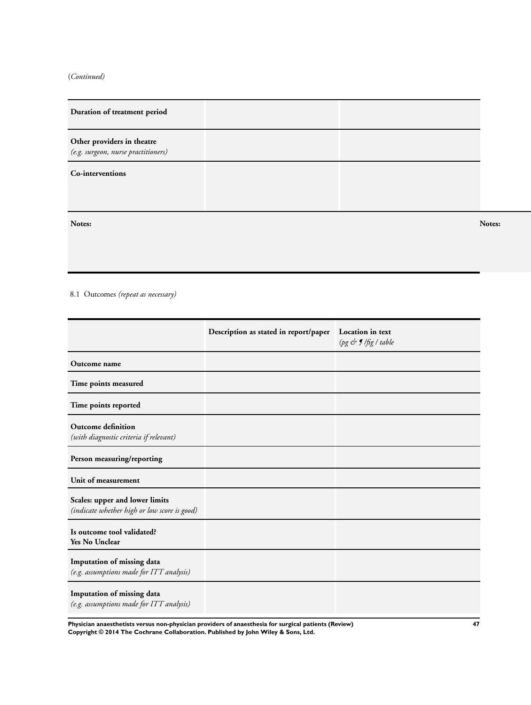| Notes:                                                            |  | Notes: |
|-------------------------------------------------------------------|--|--------|
| Co-interventions                                                  |  |        |
| Other providers in theatre<br>(e.g. surgeon, nurse practitioners) |  |        |
| Duration of treatment period                                      |  |        |

8.1 Outcomes *(repeat as necessary)*

|                                                                                | Description as stated in report/paper | Location in text<br>(pg & ¶ /fig / table |
|--------------------------------------------------------------------------------|---------------------------------------|------------------------------------------|
| Outcome name                                                                   |                                       |                                          |
| Time points measured                                                           |                                       |                                          |
| Time points reported                                                           |                                       |                                          |
| <b>Outcome</b> definition<br>(with diagnostic criteria if relevant)            |                                       |                                          |
| Person measuring/reporting                                                     |                                       |                                          |
| Unit of measurement                                                            |                                       |                                          |
| Scales: upper and lower limits<br>(indicate whether high or low score is good) |                                       |                                          |
| Is outcome tool validated?<br>Yes No Unclear                                   |                                       |                                          |
| Imputation of missing data<br>(e.g. assumptions made for ITT analysis)         |                                       |                                          |
| Imputation of missing data<br>(e.g. assumptions made for ITT analysis)         |                                       |                                          |

**Physician anaesthetists versus non-physician providers of anaesthesia for surgical patients (Review) 47 Copyright © 2014 The Cochrane Collaboration. Published by John Wiley & Sons, Ltd.**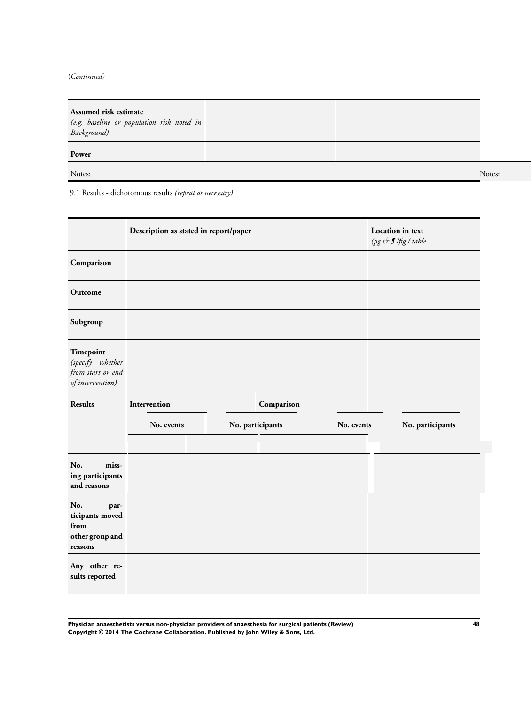| Assumed risk estimate<br>(e.g. baseline or population risk noted in<br>Background) |  |        |
|------------------------------------------------------------------------------------|--|--------|
| Power                                                                              |  |        |
| Notes:                                                                             |  | Notes: |

9.1 Results - dichotomous results *(repeat as necessary)*

|                                                                        | Description as stated in report/paper |                  |            | Location in text<br>(pg & ¶ /fig / table |                  |
|------------------------------------------------------------------------|---------------------------------------|------------------|------------|------------------------------------------|------------------|
| Comparison                                                             |                                       |                  |            |                                          |                  |
| Outcome                                                                |                                       |                  |            |                                          |                  |
| Subgroup                                                               |                                       |                  |            |                                          |                  |
| Timepoint<br>(specify whether<br>from start or end<br>of intervention) |                                       |                  |            |                                          |                  |
| <b>Results</b>                                                         | Intervention                          |                  | Comparison |                                          |                  |
|                                                                        | No. events                            | No. participants |            | No. events                               | No. participants |
| No.<br>miss-<br>ing participants<br>and reasons                        |                                       |                  |            |                                          |                  |
| No.<br>par-<br>ticipants moved<br>from<br>other group and<br>reasons   |                                       |                  |            |                                          |                  |
| Any other re-<br>sults reported                                        |                                       |                  |            |                                          |                  |

**Physician anaesthetists versus non-physician providers of anaesthesia for surgical patients (Review) 48 Copyright © 2014 The Cochrane Collaboration. Published by John Wiley & Sons, Ltd.**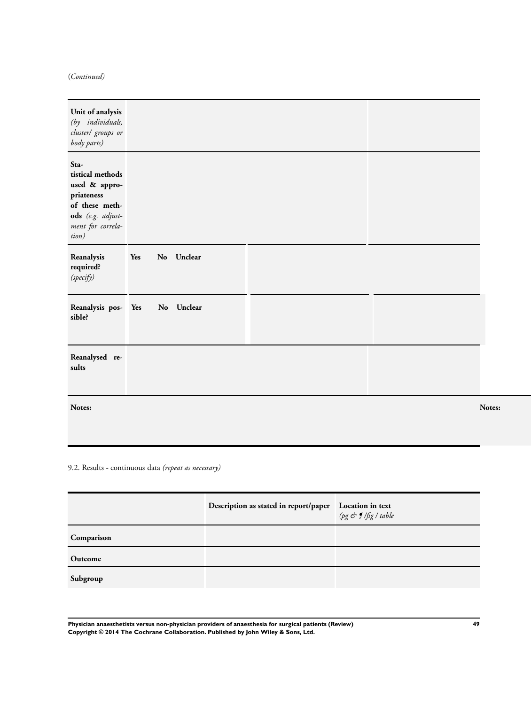| Unit of analysis<br>(by individuals,<br>cluster/ groups or<br>body parts)                                                    |           |         |  |        |
|------------------------------------------------------------------------------------------------------------------------------|-----------|---------|--|--------|
| Sta-<br>tistical methods<br>used & appro-<br>priateness<br>of these meth-<br>ods (e.g. adjust-<br>ment for correla-<br>tion) |           |         |  |        |
| Reanalysis<br>required?<br>(specify)                                                                                         | Yes<br>No | Unclear |  |        |
| Reanalysis pos- Yes<br>sible?                                                                                                | No        | Unclear |  |        |
| Reanalysed re-<br>sults                                                                                                      |           |         |  |        |
| Notes:                                                                                                                       |           |         |  | Notes: |

9.2. Results - continuous data *(repeat as necessary)*

|            | Description as stated in report/paper | Location in text<br>(pg & ¶ /fig / table |
|------------|---------------------------------------|------------------------------------------|
| Comparison |                                       |                                          |
| Outcome    |                                       |                                          |
| Subgroup   |                                       |                                          |

**Physician anaesthetists versus non-physician providers of anaesthesia for surgical patients (Review) 49 Copyright © 2014 The Cochrane Collaboration. Published by John Wiley & Sons, Ltd.**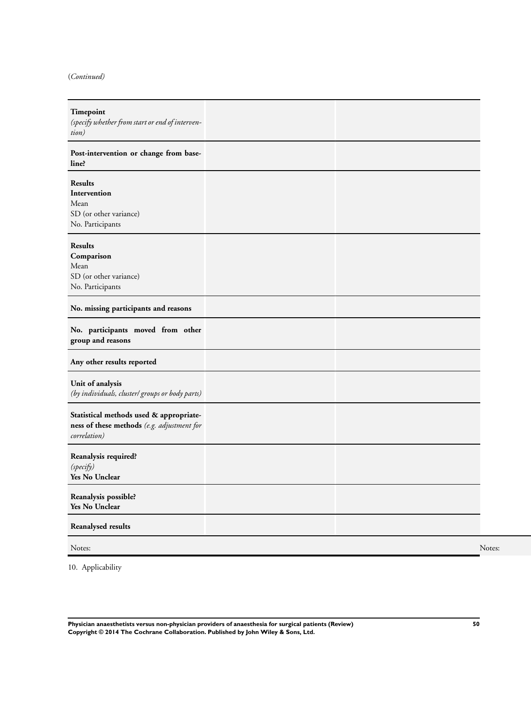| Timepoint<br>(specify whether from start or end of interven-<br>tion)                                 |        |
|-------------------------------------------------------------------------------------------------------|--------|
| Post-intervention or change from base-<br>line?                                                       |        |
| <b>Results</b><br>Intervention<br>Mean<br>SD (or other variance)<br>No. Participants                  |        |
| <b>Results</b><br>Comparison<br>Mean<br>SD (or other variance)<br>No. Participants                    |        |
| No. missing participants and reasons                                                                  |        |
| No. participants moved from other<br>group and reasons                                                |        |
| Any other results reported                                                                            |        |
| Unit of analysis<br>(by individuals, cluster/ groups or body parts)                                   |        |
| Statistical methods used & appropriate-<br>ness of these methods (e.g. adjustment for<br>correlation) |        |
| Reanalysis required?<br>(specify)<br>Yes No Unclear                                                   |        |
| Reanalysis possible?<br>Yes No Unclear                                                                |        |
| Reanalysed results                                                                                    |        |
| Notes:                                                                                                | Notes: |

10. Applicability

**Physician anaesthetists versus non-physician providers of anaesthesia for surgical patients (Review) 50 Copyright © 2014 The Cochrane Collaboration. Published by John Wiley & Sons, Ltd.**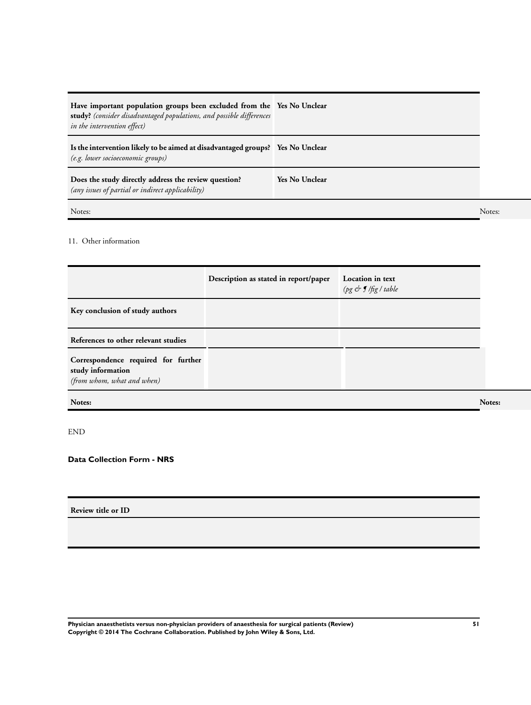| Have important population groups been excluded from the Yes No Unclear<br>study? (consider disadvantaged populations, and possible differences<br>in the intervention effect) |                       |        |
|-------------------------------------------------------------------------------------------------------------------------------------------------------------------------------|-----------------------|--------|
| Is the intervention likely to be aimed at disadvantaged groups? Yes No Unclear<br>(e.g. lower socioeconomic groups)                                                           |                       |        |
| Does the study directly address the review question?<br>(any issues of partial or indirect applicability)                                                                     | <b>Yes No Unclear</b> |        |
| Notes:                                                                                                                                                                        |                       | Notes: |

11. Other information

|                                                                                        | Description as stated in report/paper | Location in text<br>(pg $\circ$ <b>f</b> /fig / table |
|----------------------------------------------------------------------------------------|---------------------------------------|-------------------------------------------------------|
| Key conclusion of study authors                                                        |                                       |                                                       |
| References to other relevant studies                                                   |                                       |                                                       |
| Correspondence required for further<br>study information<br>(from whom, what and when) |                                       |                                                       |
|                                                                                        |                                       |                                                       |

**Notes: Notes:**

END

**Data Collection Form - NRS**

**Review title or ID**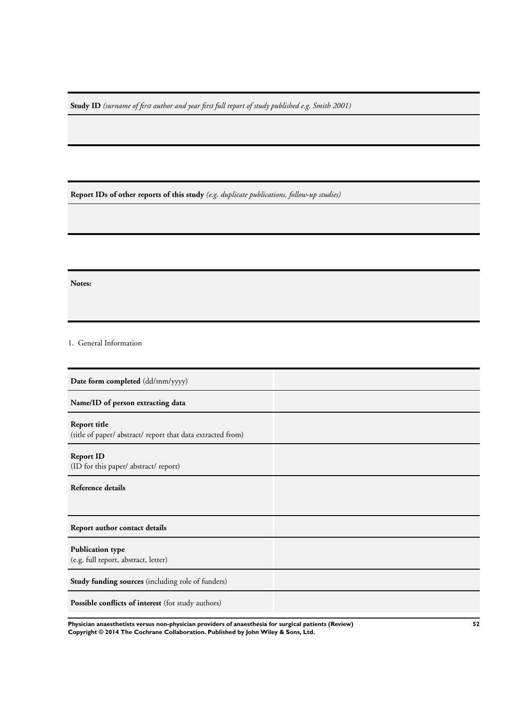**Study ID** *(surname of first author and year first full report of study published e.g. Smith 2001)*

**Report IDs of other reports of this study** *(e.g. duplicate publications, follow-up studies)*

**Notes:**

1. General Information

| Date form completed (dd/mm/yyyy)                                                   |  |
|------------------------------------------------------------------------------------|--|
| Name/ID of person extracting data                                                  |  |
| <b>Report title</b><br>(title of paper/ abstract/ report that data extracted from) |  |
| <b>Report ID</b><br>(ID for this paper/ abstract/ report)                          |  |
| Reference details                                                                  |  |
|                                                                                    |  |
| Report author contact details                                                      |  |
| <b>Publication type</b><br>(e.g. full report, abstract, letter)                    |  |
| <b>Study funding sources</b> (including role of funders)                           |  |
| <b>Possible conflicts of interest</b> (for study authors)                          |  |

**Physician anaesthetists versus non-physician providers of anaesthesia for surgical patients (Review) 52 Copyright © 2014 The Cochrane Collaboration. Published by John Wiley & Sons, Ltd.**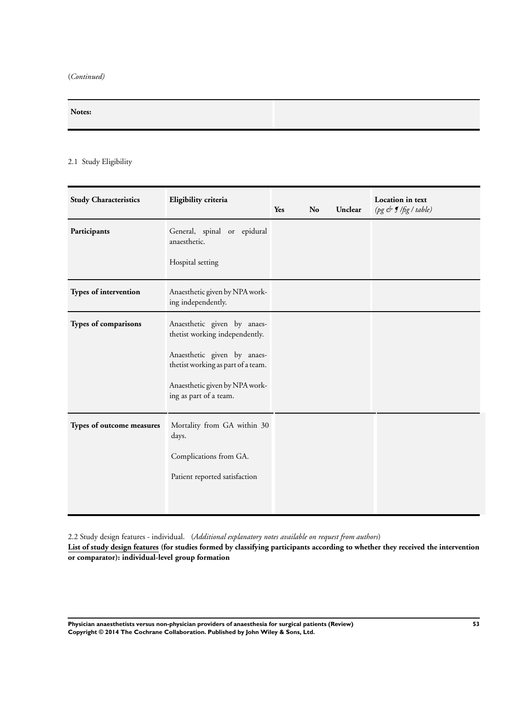# **Notes:**

#### 2.1 Study Eligibility

| <b>Study Characteristics</b> | Eligibility criteria                                                                                                                                                                           | Yes | <b>No</b> | Unclear | Location in text<br>(pg & ¶ /fig / table) |
|------------------------------|------------------------------------------------------------------------------------------------------------------------------------------------------------------------------------------------|-----|-----------|---------|-------------------------------------------|
| Participants                 | General, spinal or epidural<br>anaesthetic.                                                                                                                                                    |     |           |         |                                           |
|                              | Hospital setting                                                                                                                                                                               |     |           |         |                                           |
| Types of intervention        | Anaesthetic given by NPA work-<br>ing independently.                                                                                                                                           |     |           |         |                                           |
| Types of comparisons         | Anaesthetic given by anaes-<br>thetist working independently.<br>Anaesthetic given by anaes-<br>thetist working as part of a team.<br>Anaesthetic given by NPA work-<br>ing as part of a team. |     |           |         |                                           |
| Types of outcome measures    | Mortality from GA within 30<br>days.<br>Complications from GA.<br>Patient reported satisfaction                                                                                                |     |           |         |                                           |

2.2 Study design features - individual. (*Additional explanatory notes available on request from authors*)

**List of study design features (for studies formed by classifying participants according to whether they received the intervention or comparator): individual-level group formation**

**Physician anaesthetists versus non-physician providers of anaesthesia for surgical patients (Review) 53 Copyright © 2014 The Cochrane Collaboration. Published by John Wiley & Sons, Ltd.**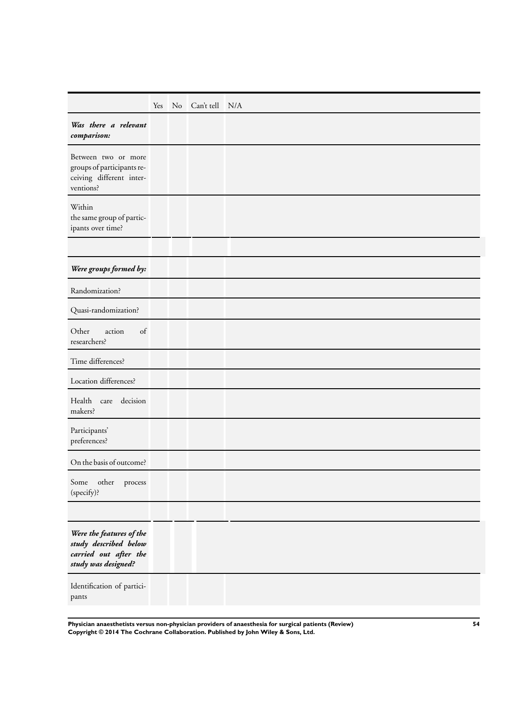|                                                                                                   | Yes | No | Can't tell N/A |  |
|---------------------------------------------------------------------------------------------------|-----|----|----------------|--|
| Was there a relevant<br>comparison:                                                               |     |    |                |  |
| Between two or more<br>groups of participants re-<br>ceiving different inter-<br>ventions?        |     |    |                |  |
| Within<br>the same group of partic-<br>ipants over time?                                          |     |    |                |  |
|                                                                                                   |     |    |                |  |
| Were groups formed by:                                                                            |     |    |                |  |
| Randomization?                                                                                    |     |    |                |  |
| Quasi-randomization?                                                                              |     |    |                |  |
| Other<br>of<br>action<br>researchers?                                                             |     |    |                |  |
| Time differences?                                                                                 |     |    |                |  |
| Location differences?                                                                             |     |    |                |  |
| Health<br>decision<br>care<br>makers?                                                             |     |    |                |  |
| Participants'<br>preferences?                                                                     |     |    |                |  |
| On the basis of outcome?                                                                          |     |    |                |  |
| Some other<br>process<br>$(specify)$ ?                                                            |     |    |                |  |
|                                                                                                   |     |    |                |  |
| Were the features of the<br>study described below<br>carried out after the<br>study was designed? |     |    |                |  |
| Identification of partici-<br>pants                                                               |     |    |                |  |

**Physician anaesthetists versus non-physician providers of anaesthesia for surgical patients (Review) 54 Copyright © 2014 The Cochrane Collaboration. Published by John Wiley & Sons, Ltd.**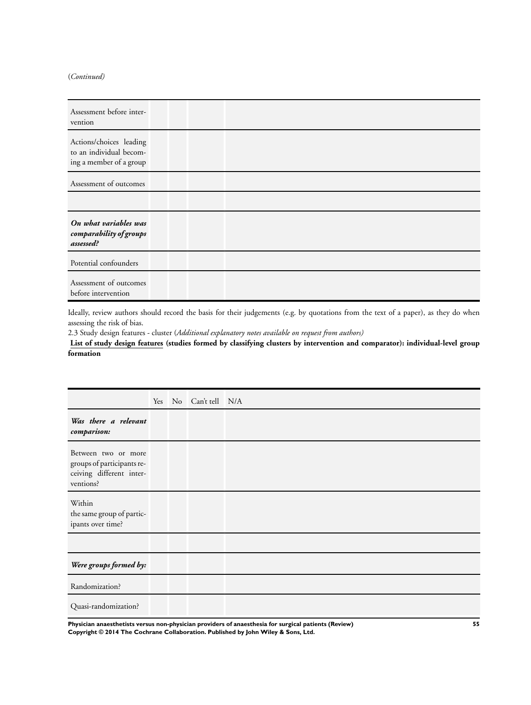| Assessment before inter-<br>vention                                           |  |
|-------------------------------------------------------------------------------|--|
| Actions/choices leading<br>to an individual becom-<br>ing a member of a group |  |
| Assessment of outcomes                                                        |  |
|                                                                               |  |
| On what variables was<br>comparability of groups<br>assessed?                 |  |
| Potential confounders                                                         |  |
| Assessment of outcomes<br>before intervention                                 |  |

Ideally, review authors should record the basis for their judgements (e.g. by quotations from the text of a paper), as they do when assessing the risk of bias.

2.3 Study design features - cluster (*Additional explanatory notes available on request from authors)*

**List of study design features (studies formed by classifying clusters by intervention and comparator): individual-level group formation**

|                                                                                            | Yes | No | Can't tell N/A |  |
|--------------------------------------------------------------------------------------------|-----|----|----------------|--|
| Was there a relevant<br>comparison:                                                        |     |    |                |  |
| Between two or more<br>groups of participants re-<br>ceiving different inter-<br>ventions? |     |    |                |  |
| Within<br>the same group of partic-<br>ipants over time?                                   |     |    |                |  |
|                                                                                            |     |    |                |  |
| Were groups formed by:                                                                     |     |    |                |  |
| Randomization?                                                                             |     |    |                |  |
| Quasi-randomization?                                                                       |     |    |                |  |

**Physician anaesthetists versus non-physician providers of anaesthesia for surgical patients (Review) 55 Copyright © 2014 The Cochrane Collaboration. Published by John Wiley & Sons, Ltd.**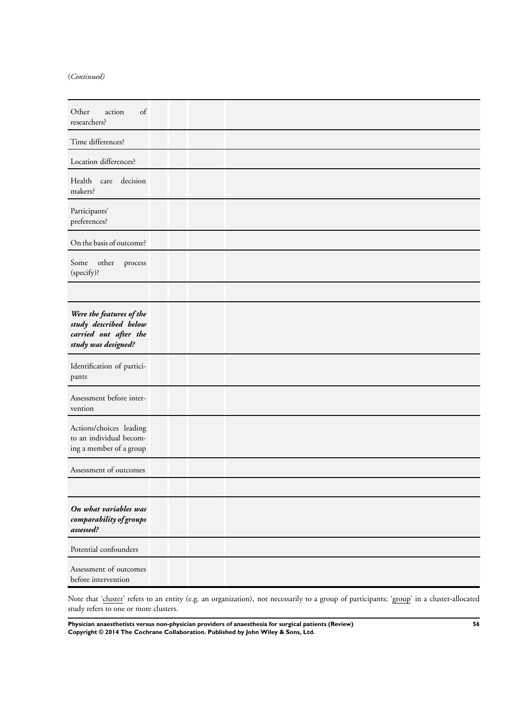| Other<br>action<br>of<br>researchers?                                                             |  |  |  |
|---------------------------------------------------------------------------------------------------|--|--|--|
| Time differences?                                                                                 |  |  |  |
| Location differences?                                                                             |  |  |  |
| Health<br>decision<br>care<br>makers?                                                             |  |  |  |
| Participants'<br>preferences?                                                                     |  |  |  |
| On the basis of outcome?                                                                          |  |  |  |
| other<br>Some<br>process<br>(specify)?                                                            |  |  |  |
|                                                                                                   |  |  |  |
| Were the features of the<br>study described below<br>carried out after the<br>study was designed? |  |  |  |
| Identification of partici-<br>pants                                                               |  |  |  |
| Assessment before inter-<br>vention                                                               |  |  |  |
| Actions/choices leading<br>to an individual becom-<br>ing a member of a group                     |  |  |  |
| Assessment of outcomes                                                                            |  |  |  |
|                                                                                                   |  |  |  |
| On what variables was<br>comparability of groups<br>assessed?                                     |  |  |  |
| Potential confounders                                                                             |  |  |  |
| Assessment of outcomes<br>before intervention                                                     |  |  |  |

Note that 'cluster' refers to an entity (e.g. an organization), not necessarily to a group of participants; 'group' in a cluster-allocated study refers to one or more clusters.

**Physician anaesthetists versus non-physician providers of anaesthesia for surgical patients (Review) 56 Copyright © 2014 The Cochrane Collaboration. Published by John Wiley & Sons, Ltd.**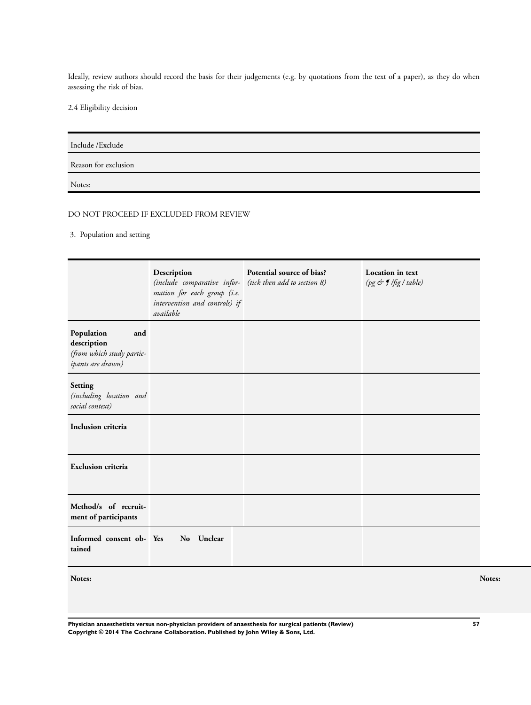Ideally, review authors should record the basis for their judgements (e.g. by quotations from the text of a paper), as they do when assessing the risk of bias.

2.4 Eligibility decision

Include /Exclude

Reason for exclusion

Notes:

#### DO NOT PROCEED IF EXCLUDED FROM REVIEW

#### 3. Population and setting

|                                                                                            | Description<br>(include comparative infor- (tick then add to section 8)<br>mation for each group (i.e.<br>intervention and controls) if<br>available | Potential source of bias? | Location in text<br>(pg & ¶ /fig / table) |        |
|--------------------------------------------------------------------------------------------|------------------------------------------------------------------------------------------------------------------------------------------------------|---------------------------|-------------------------------------------|--------|
| Population<br>and<br>description<br>(from which study partic-<br><i>ipants are drawn</i> ) |                                                                                                                                                      |                           |                                           |        |
| Setting<br>(including location and<br>social context)                                      |                                                                                                                                                      |                           |                                           |        |
| Inclusion criteria                                                                         |                                                                                                                                                      |                           |                                           |        |
| <b>Exclusion</b> criteria                                                                  |                                                                                                                                                      |                           |                                           |        |
| Method/s of recruit-<br>ment of participants                                               |                                                                                                                                                      |                           |                                           |        |
| Informed consent ob- Yes<br>tained                                                         | Unclear<br><b>No</b>                                                                                                                                 |                           |                                           |        |
| Notes:                                                                                     |                                                                                                                                                      |                           |                                           | Notes: |

**Physician anaesthetists versus non-physician providers of anaesthesia for surgical patients (Review) 57 Copyright © 2014 The Cochrane Collaboration. Published by John Wiley & Sons, Ltd.**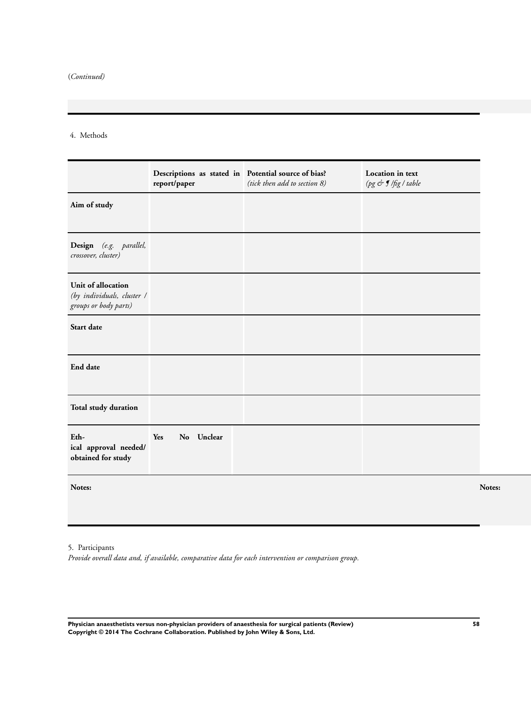# 4. Methods

|                                                                           | Descriptions as stated in Potential source of bias?<br>report/paper | (tick then add to section 8) | Location in text<br>(pg & ¶ /fig / table |        |
|---------------------------------------------------------------------------|---------------------------------------------------------------------|------------------------------|------------------------------------------|--------|
| Aim of study                                                              |                                                                     |                              |                                          |        |
| Design (e.g. parallel,<br>crossover, cluster)                             |                                                                     |                              |                                          |        |
| Unit of allocation<br>(by individuals, cluster /<br>groups or body parts) |                                                                     |                              |                                          |        |
| Start date                                                                |                                                                     |                              |                                          |        |
| End date                                                                  |                                                                     |                              |                                          |        |
| Total study duration                                                      |                                                                     |                              |                                          |        |
| Eth-<br>ical approval needed/<br>obtained for study                       | Unclear<br>Yes<br>N <sub>o</sub>                                    |                              |                                          |        |
| Notes:                                                                    |                                                                     |                              |                                          | Notes: |

5. Participants

*Provide overall data and, if available, comparative data for each intervention or comparison group.*

**Physician anaesthetists versus non-physician providers of anaesthesia for surgical patients (Review) 58 Copyright © 2014 The Cochrane Collaboration. Published by John Wiley & Sons, Ltd.**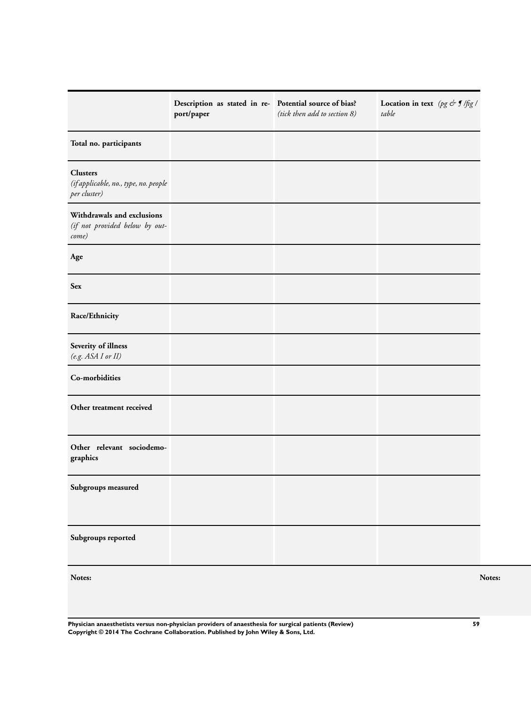|                                                                          | Description as stated in re- Potential source of bias?<br>port/paper | (tick then add to section 8) | Location in text (pg $\phi$ $\int$ /fig /<br>table |
|--------------------------------------------------------------------------|----------------------------------------------------------------------|------------------------------|----------------------------------------------------|
| Total no. participants                                                   |                                                                      |                              |                                                    |
| <b>Clusters</b><br>(if applicable, no., type, no. people<br>per cluster) |                                                                      |                              |                                                    |
| Withdrawals and exclusions<br>(if not provided below by out-<br>come)    |                                                                      |                              |                                                    |
| Age                                                                      |                                                                      |                              |                                                    |
| <b>Sex</b>                                                               |                                                                      |                              |                                                    |
| Race/Ethnicity                                                           |                                                                      |                              |                                                    |
| Severity of illness<br>(e.g. ASA I or II)                                |                                                                      |                              |                                                    |
| Co-morbidities                                                           |                                                                      |                              |                                                    |
| Other treatment received                                                 |                                                                      |                              |                                                    |
| Other relevant sociodemo-<br>graphics                                    |                                                                      |                              |                                                    |
| Subgroups measured                                                       |                                                                      |                              |                                                    |
|                                                                          |                                                                      |                              |                                                    |
| Subgroups reported                                                       |                                                                      |                              |                                                    |
| Notes:                                                                   |                                                                      |                              | Notes:                                             |

**Physician anaesthetists versus non-physician providers of anaesthesia for surgical patients (Review) 59 Copyright © 2014 The Cochrane Collaboration. Published by John Wiley & Sons, Ltd.**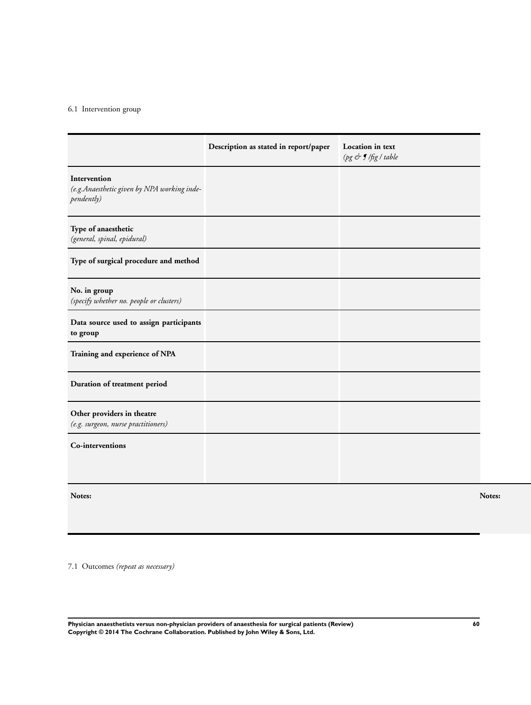# 6.1 Intervention group

|                                                                            | Description as stated in report/paper | Location in text<br>(pg & ¶ /fig / table |        |
|----------------------------------------------------------------------------|---------------------------------------|------------------------------------------|--------|
| Intervention<br>(e.g. Anaesthetic given by NPA working inde-<br>pendently) |                                       |                                          |        |
| Type of anaesthetic<br>(general, spinal, epidural)                         |                                       |                                          |        |
| Type of surgical procedure and method                                      |                                       |                                          |        |
| No. in group<br>(specify whether no. people or clusters)                   |                                       |                                          |        |
| Data source used to assign participants<br>to group                        |                                       |                                          |        |
| Training and experience of NPA                                             |                                       |                                          |        |
| Duration of treatment period                                               |                                       |                                          |        |
| Other providers in theatre<br>(e.g. surgeon, nurse practitioners)          |                                       |                                          |        |
| Co-interventions                                                           |                                       |                                          |        |
|                                                                            |                                       |                                          |        |
| Notes:                                                                     |                                       |                                          | Notes: |

7.1 Outcomes *(repeat as necessary)*

**Physician anaesthetists versus non-physician providers of anaesthesia for surgical patients (Review) 60 Copyright © 2014 The Cochrane Collaboration. Published by John Wiley & Sons, Ltd.**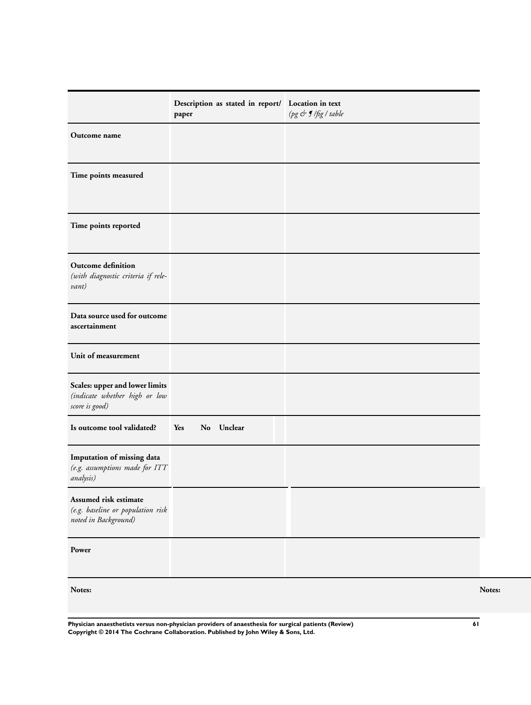|                                                                                    | Description as stated in report/ Location in text<br>paper | (pg & ¶ /fig / table |
|------------------------------------------------------------------------------------|------------------------------------------------------------|----------------------|
| Outcome name                                                                       |                                                            |                      |
| Time points measured                                                               |                                                            |                      |
| Time points reported                                                               |                                                            |                      |
| Outcome definition<br>(with diagnostic criteria if rele-<br>vant)                  |                                                            |                      |
| Data source used for outcome<br>ascertainment                                      |                                                            |                      |
| Unit of measurement                                                                |                                                            |                      |
| Scales: upper and lower limits<br>(indicate whether high or low<br>score is good)  |                                                            |                      |
| Is outcome tool validated?                                                         | Yes<br>No<br>Unclear                                       |                      |
| Imputation of missing data<br>(e.g. assumptions made for ITT<br>analysis)          |                                                            |                      |
| Assumed risk estimate<br>(e.g. baseline or population risk<br>noted in Background) |                                                            |                      |
| Power                                                                              |                                                            |                      |
| Notes:                                                                             |                                                            | Notes:               |

**Physician anaesthetists versus non-physician providers of anaesthesia for surgical patients (Review) 61 Copyright © 2014 The Cochrane Collaboration. Published by John Wiley & Sons, Ltd.**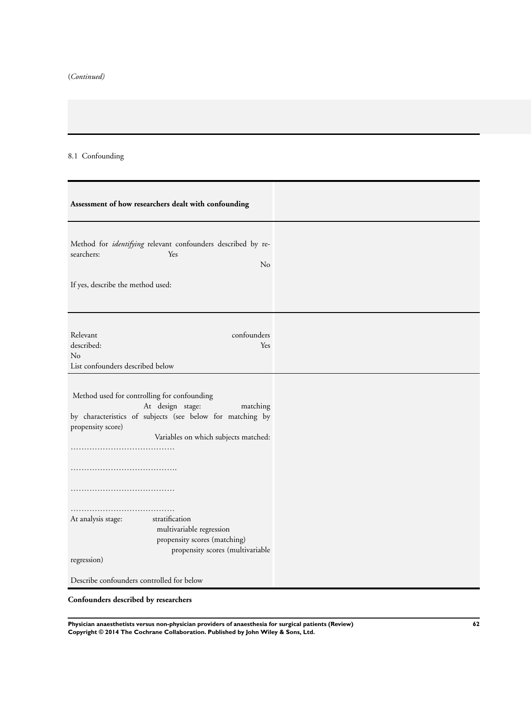# 8.1 Confounding

| Assessment of how researchers dealt with confounding                                                                                                                                                  |  |
|-------------------------------------------------------------------------------------------------------------------------------------------------------------------------------------------------------|--|
| Method for <i>identifying</i> relevant confounders described by re-<br>searchers:<br>Yes<br>N <sub>0</sub><br>If yes, describe the method used:                                                       |  |
| Relevant<br>confounders<br>described:<br>Yes<br>No<br>List confounders described below                                                                                                                |  |
| Method used for controlling for confounding<br>At design stage:<br>matching<br>by characteristics of subjects (see below for matching by<br>propensity score)<br>Variables on which subjects matched: |  |
|                                                                                                                                                                                                       |  |
| stratification<br>At analysis stage:<br>multivariable regression<br>propensity scores (matching)<br>propensity scores (multivariable<br>regression)                                                   |  |
| Describe confounders controlled for below                                                                                                                                                             |  |

# **Confounders described by researchers**

**Physician anaesthetists versus non-physician providers of anaesthesia for surgical patients (Review) 62 Copyright © 2014 The Cochrane Collaboration. Published by John Wiley & Sons, Ltd.**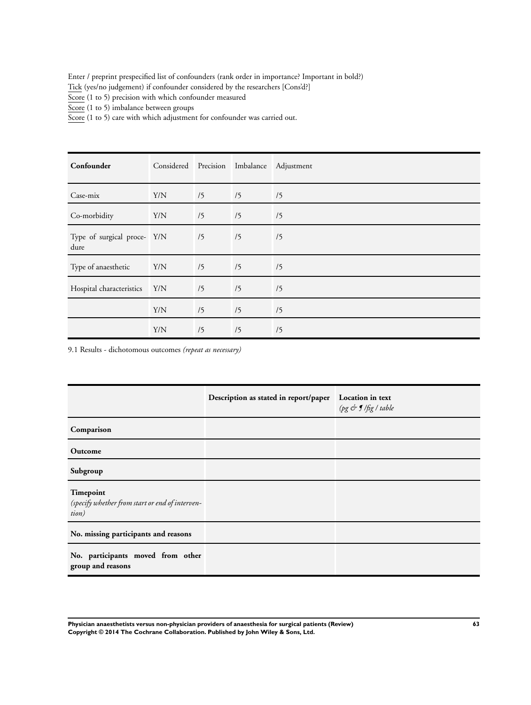Enter / preprint prespecified list of confounders (rank order in importance? Important in bold?)

Tick (yes/no judgement) if confounder considered by the researchers [Cons'd?]

Score (1 to 5) precision with which confounder measured

Score (1 to 5) imbalance between groups

Score (1 to 5) care with which adjustment for confounder was carried out.

| Confounder                          | Considered |    |    | Precision Imbalance Adjustment |
|-------------------------------------|------------|----|----|--------------------------------|
| Case-mix                            | Y/N        | /5 | 15 | /5                             |
| Co-morbidity                        | Y/N        | /5 | /5 | /5                             |
| Type of surgical proce- Y/N<br>dure |            | /5 | /5 | /5                             |
| Type of anaesthetic                 | Y/N        | /5 | /5 | 15                             |
| Hospital characteristics            | Y/N        | /5 | /5 | /5                             |
|                                     | Y/N        | /5 | /5 | /5                             |
|                                     | Y/N        | 15 | /5 | /5                             |

9.1 Results - dichotomous outcomes *(repeat as necessary)*

|                                                                       | Description as stated in report/paper Location in text | (pg $\circ$ <b>f</b> /fig / table |
|-----------------------------------------------------------------------|--------------------------------------------------------|-----------------------------------|
| Comparison                                                            |                                                        |                                   |
| Outcome                                                               |                                                        |                                   |
| Subgroup                                                              |                                                        |                                   |
| Timepoint<br>(specify whether from start or end of interven-<br>tion) |                                                        |                                   |
| No. missing participants and reasons                                  |                                                        |                                   |
| No. participants moved from other<br>group and reasons                |                                                        |                                   |

**Physician anaesthetists versus non-physician providers of anaesthesia for surgical patients (Review) 63 Copyright © 2014 The Cochrane Collaboration. Published by John Wiley & Sons, Ltd.**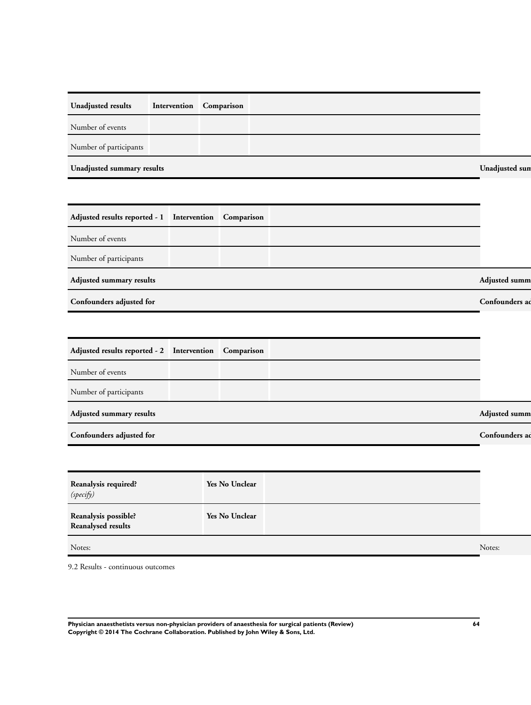| <b>Unadjusted results</b>                  | Intervention | Comparison     |                      |
|--------------------------------------------|--------------|----------------|----------------------|
| Number of events                           |              |                |                      |
| Number of participants                     |              |                |                      |
| Unadjusted summary results                 |              |                | Unadjusted sun       |
|                                            |              |                |                      |
| Adjusted results reported - 1 Intervention |              | Comparison     |                      |
| Number of events                           |              |                |                      |
| Number of participants                     |              |                |                      |
| Adjusted summary results                   |              |                | <b>Adjusted summ</b> |
| Confounders adjusted for                   |              |                | Confounders ad       |
|                                            |              |                |                      |
| Adjusted results reported - 2 Intervention |              | Comparison     |                      |
| Number of events                           |              |                |                      |
| Number of participants                     |              |                |                      |
| Adjusted summary results                   |              |                | Adjusted summ        |
| Confounders adjusted for                   |              |                | Confounders ad       |
|                                            |              |                |                      |
| Reanalysis required?<br>(specify)          |              | Yes No Unclear |                      |
| Reanalysis possible?<br>Reanalysed results |              | Yes No Unclear |                      |
| Notes:                                     |              |                | Notes:               |

9.2 Results - continuous outcomes

**Physician anaesthetists versus non-physician providers of anaesthesia for surgical patients (Review) 64 Copyright © 2014 The Cochrane Collaboration. Published by John Wiley & Sons, Ltd.**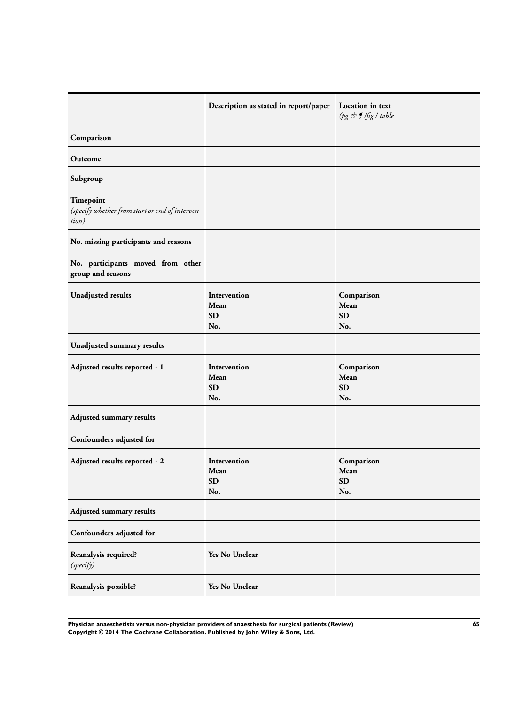|                                                                       | Description as stated in report/paper    | Location in text<br>(pg $\circ$ $\mathcal{I}$ /fig / table |
|-----------------------------------------------------------------------|------------------------------------------|------------------------------------------------------------|
| Comparison                                                            |                                          |                                                            |
| Outcome                                                               |                                          |                                                            |
| Subgroup                                                              |                                          |                                                            |
| Timepoint<br>(specify whether from start or end of interven-<br>tion) |                                          |                                                            |
| No. missing participants and reasons                                  |                                          |                                                            |
| No. participants moved from other<br>group and reasons                |                                          |                                                            |
| <b>Unadjusted results</b>                                             | Intervention<br>Mean<br><b>SD</b><br>No. | Comparison<br>Mean<br><b>SD</b><br>No.                     |
| Unadjusted summary results                                            |                                          |                                                            |
| Adjusted results reported - 1                                         | Intervention<br>Mean<br><b>SD</b><br>No. | Comparison<br>Mean<br><b>SD</b><br>No.                     |
| Adjusted summary results                                              |                                          |                                                            |
| Confounders adjusted for                                              |                                          |                                                            |
| Adjusted results reported - 2                                         | Intervention<br>Mean<br><b>SD</b><br>No. | Comparison<br>Mean<br><b>SD</b><br>No.                     |
| Adjusted summary results                                              |                                          |                                                            |
| Confounders adjusted for                                              |                                          |                                                            |
| Reanalysis required?<br>(specify)                                     | Yes No Unclear                           |                                                            |
| Reanalysis possible?                                                  | Yes No Unclear                           |                                                            |

**Physician anaesthetists versus non-physician providers of anaesthesia for surgical patients (Review) 65 Copyright © 2014 The Cochrane Collaboration. Published by John Wiley & Sons, Ltd.**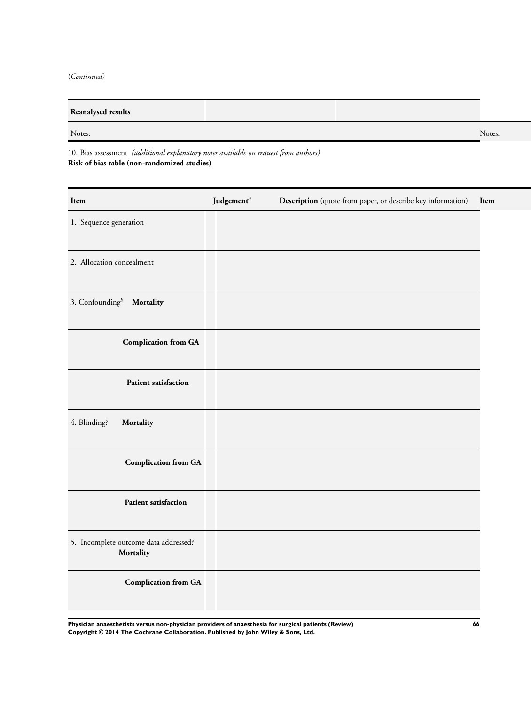| <b>Reanalysed results</b> |  |  |
|---------------------------|--|--|
|                           |  |  |

Notes: Notes:

10. Bias assessment *(additional explanatory notes available on request from authors)* **Risk of bias table (non-randomized studies)**

| Item                                               | Judgement <sup>a</sup> | Description (quote from paper, or describe key information) | Item |
|----------------------------------------------------|------------------------|-------------------------------------------------------------|------|
| 1. Sequence generation                             |                        |                                                             |      |
| 2. Allocation concealment                          |                        |                                                             |      |
| 3. Confounding <sup>b</sup> Mortality              |                        |                                                             |      |
| <b>Complication from GA</b>                        |                        |                                                             |      |
| Patient satisfaction                               |                        |                                                             |      |
| 4. Blinding?<br>Mortality                          |                        |                                                             |      |
| <b>Complication from GA</b>                        |                        |                                                             |      |
| Patient satisfaction                               |                        |                                                             |      |
| 5. Incomplete outcome data addressed?<br>Mortality |                        |                                                             |      |
| <b>Complication from GA</b>                        |                        |                                                             |      |

**Physician anaesthetists versus non-physician providers of anaesthesia for surgical patients (Review) 66 Copyright © 2014 The Cochrane Collaboration. Published by John Wiley & Sons, Ltd.**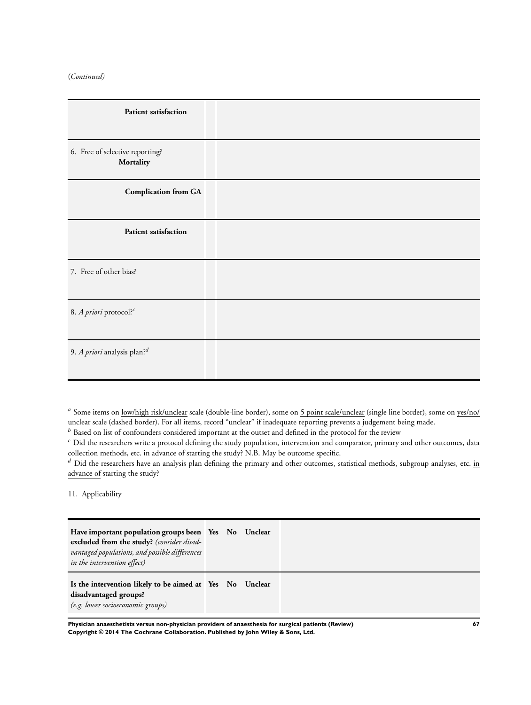| Patient satisfaction                         |  |
|----------------------------------------------|--|
| 6. Free of selective reporting?<br>Mortality |  |
| <b>Complication from GA</b>                  |  |
| Patient satisfaction                         |  |
| 7. Free of other bias?                       |  |
| 8. A priori protocol? <sup>c</sup>           |  |
| 9. A priori analysis plan? <sup>d</sup>      |  |

<sup>a</sup> Some items on low/high risk/unclear scale (double-line border), some on 5 point scale/unclear (single line border), some on yes/no/ unclear scale (dashed border). For all items, record "unclear" if inadequate reporting prevents a judgement being made.

 $\overline{b}$  Based on list of confounders considered important at the outset and defined in the protocol for the review

<sup>c</sup> Did the researchers write a protocol defining the study population, intervention and comparator, primary and other outcomes, data collection methods, etc. in advance of starting the study? N.B. May be outcome specific.

 $d$  Did the researchers have an analysis plan defining the primary and other outcomes, statistical methods, subgroup analyses, etc. in advance of starting the study?

11. Applicability

| Have important population groups been Yes No Unclear<br>excluded from the study? (consider disad-<br>vantaged populations, and possible differences<br>in the intervention effect) |  |  |
|------------------------------------------------------------------------------------------------------------------------------------------------------------------------------------|--|--|
| Is the intervention likely to be aimed at Yes No Unclear<br>disadvantaged groups?<br>(e.g. lower socioeconomic groups)                                                             |  |  |

**Physician anaesthetists versus non-physician providers of anaesthesia for surgical patients (Review) 67 Copyright © 2014 The Cochrane Collaboration. Published by John Wiley & Sons, Ltd.**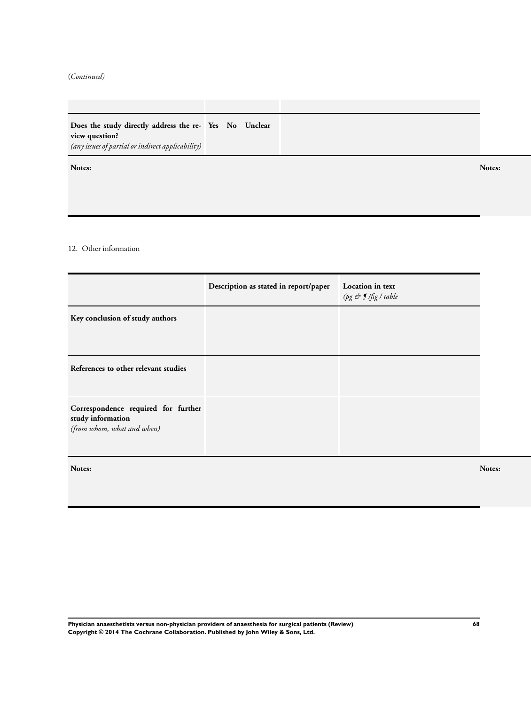# **Does the study directly address the re-Yes No Unclear view question?** *(any issues of partial or indirect applicability)*

**Notes: Notes:**

# 12. Other information

|                                                                                        | Description as stated in report/paper | Location in text<br>(pg & <b>f</b> /fig / table |        |
|----------------------------------------------------------------------------------------|---------------------------------------|-------------------------------------------------|--------|
| Key conclusion of study authors                                                        |                                       |                                                 |        |
| References to other relevant studies                                                   |                                       |                                                 |        |
| Correspondence required for further<br>study information<br>(from whom, what and when) |                                       |                                                 |        |
| Notes:                                                                                 |                                       |                                                 | Notes: |

**Physician anaesthetists versus non-physician providers of anaesthesia for surgical patients (Review) 68 Copyright © 2014 The Cochrane Collaboration. Published by John Wiley & Sons, Ltd.**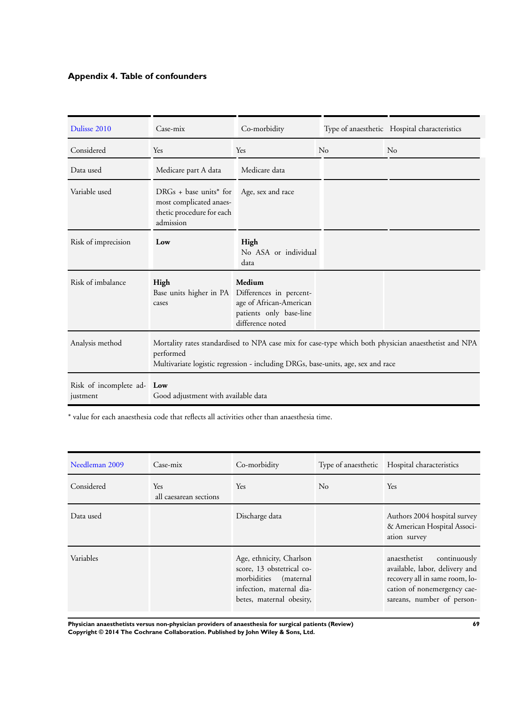# **Appendix 4. Table of confounders**

| Dulisse 2010                           | Case-mix                                                                                                                                                                                              | Co-morbidity                                                                     |          | Type of anaesthetic Hospital characteristics |
|----------------------------------------|-------------------------------------------------------------------------------------------------------------------------------------------------------------------------------------------------------|----------------------------------------------------------------------------------|----------|----------------------------------------------|
| Considered                             | Yes                                                                                                                                                                                                   | Yes                                                                              | $\rm No$ | N <sub>0</sub>                               |
| Data used                              | Medicare part A data                                                                                                                                                                                  | Medicare data                                                                    |          |                                              |
| Variable used                          | DRGs + base units* for<br>most complicated anaes-<br>thetic procedure for each<br>admission                                                                                                           | Age, sex and race                                                                |          |                                              |
| Risk of imprecision                    | Low                                                                                                                                                                                                   | High<br>No ASA or individual<br>data                                             |          |                                              |
| Risk of imbalance                      | High<br>Base units higher in PA Differences in percent-<br>cases                                                                                                                                      | Medium<br>age of African-American<br>patients only base-line<br>difference noted |          |                                              |
| Analysis method                        | Mortality rates standardised to NPA case mix for case-type which both physician anaesthetist and NPA<br>performed<br>Multivariate logistic regression - including DRGs, base-units, age, sex and race |                                                                                  |          |                                              |
| Risk of incomplete ad- Low<br>justment | Good adjustment with available data                                                                                                                                                                   |                                                                                  |          |                                              |

\* value for each anaesthesia code that reflects all activities other than anaesthesia time.

| Needleman 2009 | Case-mix                      | Co-morbidity                                                                                                                               | Type of anaesthetic | Hospital characteristics                                                                                                                                      |
|----------------|-------------------------------|--------------------------------------------------------------------------------------------------------------------------------------------|---------------------|---------------------------------------------------------------------------------------------------------------------------------------------------------------|
| Considered     | Yes<br>all caesarean sections | Yes                                                                                                                                        | N <sub>0</sub>      | Yes                                                                                                                                                           |
| Data used      |                               | Discharge data                                                                                                                             |                     | Authors 2004 hospital survey<br>& American Hospital Associ-<br>ation survey                                                                                   |
| Variables      |                               | Age, ethnicity, Charlson<br>score, 13 obstetrical co-<br>morbidities<br>(maternal)<br>infection, maternal dia-<br>betes, maternal obesity, |                     | anaesthetist<br>continuously<br>available, labor, delivery and<br>recovery all in same room, lo-<br>cation of nonemergency cae-<br>sareans, number of person- |

**Physician anaesthetists versus non-physician providers of anaesthesia for surgical patients (Review) 69 Copyright © 2014 The Cochrane Collaboration. Published by John Wiley & Sons, Ltd.**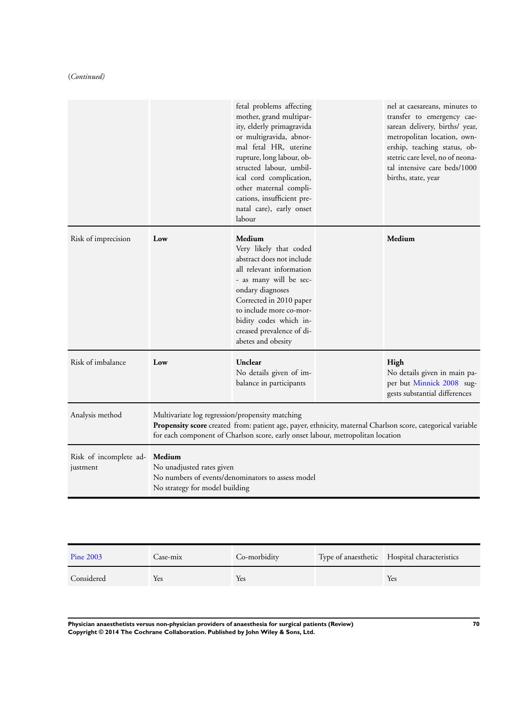|                                           |                                                                                                                                                                                                                                                   | fetal problems affecting<br>mother, grand multipar-<br>ity, elderly primagravida<br>or multigravida, abnor-<br>mal fetal HR, uterine<br>rupture, long labour, ob-<br>structed labour, umbil-<br>ical cord complication,<br>other maternal compli-<br>cations, insufficient pre-<br>natal care), early onset<br>labour |  | nel at caesareans, minutes to<br>transfer to emergency cae-<br>sarean delivery, births/ year,<br>metropolitan location, own-<br>ership, teaching status, ob-<br>stetric care level, no of neona-<br>tal intensive care beds/1000<br>births, state, year |
|-------------------------------------------|---------------------------------------------------------------------------------------------------------------------------------------------------------------------------------------------------------------------------------------------------|-----------------------------------------------------------------------------------------------------------------------------------------------------------------------------------------------------------------------------------------------------------------------------------------------------------------------|--|---------------------------------------------------------------------------------------------------------------------------------------------------------------------------------------------------------------------------------------------------------|
| Risk of imprecision                       | Low                                                                                                                                                                                                                                               | Medium<br>Very likely that coded<br>abstract does not include<br>all relevant information<br>- as many will be sec-<br>ondary diagnoses<br>Corrected in 2010 paper<br>to include more co-mor-<br>bidity codes which in-<br>creased prevalence of di-<br>abetes and obesity                                            |  | Medium                                                                                                                                                                                                                                                  |
| Risk of imbalance                         | Low                                                                                                                                                                                                                                               | Unclear<br>No details given of im-<br>balance in participants                                                                                                                                                                                                                                                         |  | High<br>No details given in main pa-<br>per but Minnick 2008 sug-<br>gests substantial differences                                                                                                                                                      |
| Analysis method                           | Multivariate log regression/propensity matching<br>Propensity score created from: patient age, payer, ethnicity, maternal Charlson score, categorical variable<br>for each component of Charlson score, early onset labour, metropolitan location |                                                                                                                                                                                                                                                                                                                       |  |                                                                                                                                                                                                                                                         |
| Risk of incomplete ad- Medium<br>justment | No unadjusted rates given<br>No numbers of events/denominators to assess model<br>No strategy for model building                                                                                                                                  |                                                                                                                                                                                                                                                                                                                       |  |                                                                                                                                                                                                                                                         |

| <b>Pine 2003</b> | Case-mix | Co-morbidity | Type of anaesthetic Hospital characteristics |
|------------------|----------|--------------|----------------------------------------------|
| Considered       | Yes      | Yes          | Yes                                          |

**Physician anaesthetists versus non-physician providers of anaesthesia for surgical patients (Review) 70 Copyright © 2014 The Cochrane Collaboration. Published by John Wiley & Sons, Ltd.**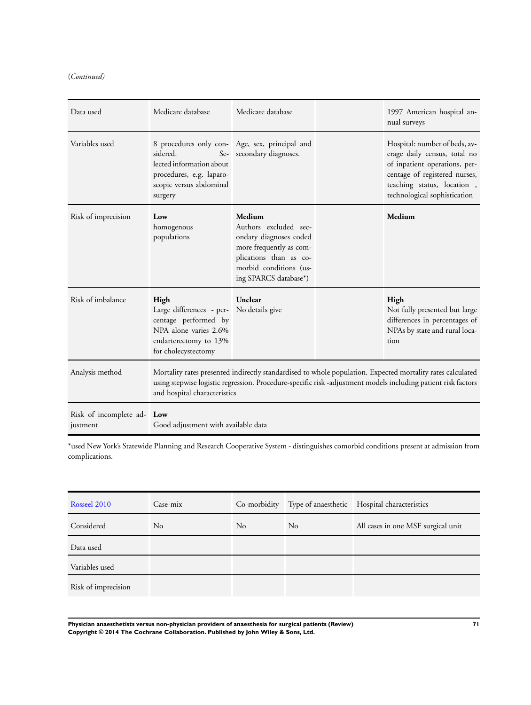| Data used                              | Medicare database                                                                                                                                                                                                                                          | Medicare database                                                                                                                                                 |  | 1997 American hospital an-<br>nual surveys                                                                                                                                                    |
|----------------------------------------|------------------------------------------------------------------------------------------------------------------------------------------------------------------------------------------------------------------------------------------------------------|-------------------------------------------------------------------------------------------------------------------------------------------------------------------|--|-----------------------------------------------------------------------------------------------------------------------------------------------------------------------------------------------|
| Variables used                         | 8 procedures only con- Age, sex, principal and<br>sidered.<br>Se-<br>lected information about<br>procedures, e.g. laparo-<br>scopic versus abdominal<br>surgery                                                                                            | secondary diagnoses.                                                                                                                                              |  | Hospital: number of beds, av-<br>erage daily census, total no<br>of inpatient operations, per-<br>centage of registered nurses,<br>teaching status, location,<br>technological sophistication |
| Risk of imprecision                    | Low<br>homogenous<br>populations                                                                                                                                                                                                                           | Medium<br>Authors excluded sec-<br>ondary diagnoses coded<br>more frequently as com-<br>plications than as co-<br>morbid conditions (us-<br>ing SPARCS database*) |  | Medium                                                                                                                                                                                        |
| Risk of imbalance                      | High<br>Large differences - per- No details give<br>centage performed by<br>NPA alone varies 2.6%<br>endarterectomy to 13%<br>for cholecystectomy                                                                                                          | Unclear                                                                                                                                                           |  | High<br>Not fully presented but large<br>differences in percentages of<br>NPAs by state and rural loca-<br>tion                                                                               |
| Analysis method                        | Mortality rates presented indirectly standardised to whole population. Expected mortality rates calculated<br>using stepwise logistic regression. Procedure-specific risk-adjustment models including patient risk factors<br>and hospital characteristics |                                                                                                                                                                   |  |                                                                                                                                                                                               |
| Risk of incomplete ad- Low<br>justment | Good adjustment with available data                                                                                                                                                                                                                        |                                                                                                                                                                   |  |                                                                                                                                                                                               |

\*used New York's Statewide Planning and Research Cooperative System - distinguishes comorbid conditions present at admission from complications.

| Rosseel 2010        | Case-mix       | Co-morbidity |          | Type of anaesthetic Hospital characteristics |
|---------------------|----------------|--------------|----------|----------------------------------------------|
| Considered          | N <sub>0</sub> | No           | $\rm No$ | All cases in one MSF surgical unit           |
| Data used           |                |              |          |                                              |
| Variables used      |                |              |          |                                              |
| Risk of imprecision |                |              |          |                                              |

**Physician anaesthetists versus non-physician providers of anaesthesia for surgical patients (Review) 71 Copyright © 2014 The Cochrane Collaboration. Published by John Wiley & Sons, Ltd.**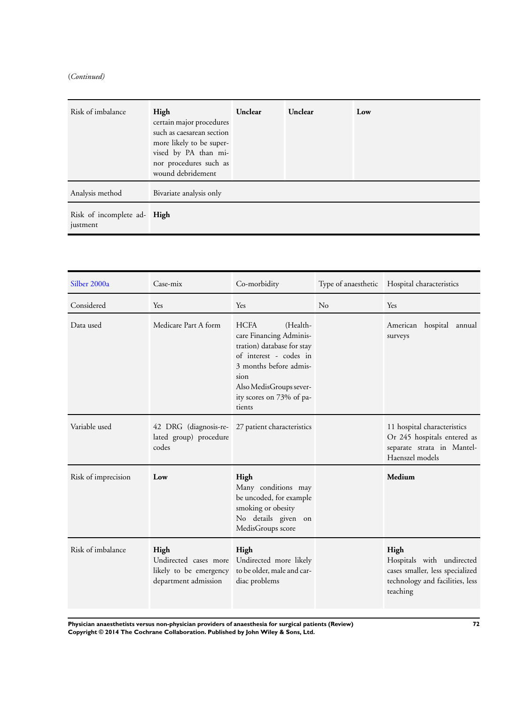| Risk of imbalance                       | High<br>certain major procedures<br>such as caesarean section<br>more likely to be super-<br>vised by PA than mi-<br>nor procedures such as<br>wound debridement | Unclear | Unclear | Low |
|-----------------------------------------|------------------------------------------------------------------------------------------------------------------------------------------------------------------|---------|---------|-----|
| Analysis method                         | Bivariate analysis only                                                                                                                                          |         |         |     |
| Risk of incomplete ad- High<br>justment |                                                                                                                                                                  |         |         |     |

| Silber 2000a        | Case-mix                                                                        | Co-morbidity                                                                                                                                                                                                  | Type of anaesthetic | Hospital characteristics                                                                                            |
|---------------------|---------------------------------------------------------------------------------|---------------------------------------------------------------------------------------------------------------------------------------------------------------------------------------------------------------|---------------------|---------------------------------------------------------------------------------------------------------------------|
| Considered          | Yes                                                                             | Yes                                                                                                                                                                                                           | $\rm No$            | Yes                                                                                                                 |
| Data used           | Medicare Part A form                                                            | <b>HCFA</b><br>(Health-<br>care Financing Adminis-<br>tration) database for stay<br>of interest - codes in<br>3 months before admis-<br>sion<br>Also MedisGroups sever-<br>ity scores on 73% of pa-<br>tients |                     | American hospital annual<br>surveys                                                                                 |
| Variable used       | 42 DRG (diagnosis-re-<br>lated group) procedure<br>codes                        | 27 patient characteristics                                                                                                                                                                                    |                     | 11 hospital characteristics<br>Or 245 hospitals entered as<br>separate strata in Mantel-<br>Haenszel models         |
| Risk of imprecision | Low                                                                             | High<br>Many conditions may<br>be uncoded, for example<br>smoking or obesity<br>No details given<br>on<br>MedisGroups score                                                                                   |                     | Medium                                                                                                              |
| Risk of imbalance   | High<br>Undirected cases more<br>likely to be emergency<br>department admission | High<br>Undirected more likely<br>to be older, male and car-<br>diac problems                                                                                                                                 |                     | High<br>Hospitals with undirected<br>cases smaller, less specialized<br>technology and facilities, less<br>teaching |

**Physician anaesthetists versus non-physician providers of anaesthesia for surgical patients (Review) 72 Copyright © 2014 The Cochrane Collaboration. Published by John Wiley & Sons, Ltd.**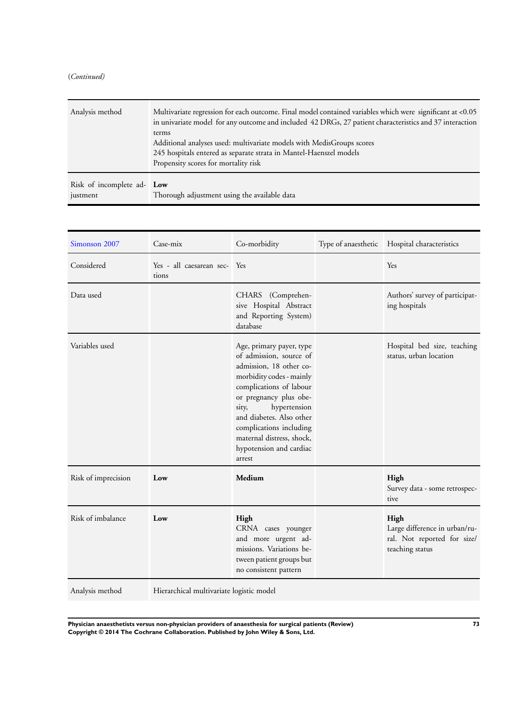| Analysis method                        | Multivariate regression for each outcome. Final model contained variables which were significant at <0.05<br>in univariate model for any outcome and included 42 DRGs, 27 patient characteristics and 37 interaction<br>terms<br>Additional analyses used: multivariate models with MedisGroups scores<br>245 hospitals entered as separate strata in Mantel-Haenszel models<br>Propensity scores for mortality risk |
|----------------------------------------|----------------------------------------------------------------------------------------------------------------------------------------------------------------------------------------------------------------------------------------------------------------------------------------------------------------------------------------------------------------------------------------------------------------------|
| Risk of incomplete ad- Low<br>justment | Thorough adjustment using the available data                                                                                                                                                                                                                                                                                                                                                                         |

| Simonson 2007       | Case-mix                                 | Co-morbidity                                                                                                                                                                                                                                                                                                      | Type of anaesthetic | Hospital characteristics                                                                |
|---------------------|------------------------------------------|-------------------------------------------------------------------------------------------------------------------------------------------------------------------------------------------------------------------------------------------------------------------------------------------------------------------|---------------------|-----------------------------------------------------------------------------------------|
| Considered          | Yes - all caesarean sec-<br>tions        | Yes                                                                                                                                                                                                                                                                                                               |                     | Yes                                                                                     |
| Data used           |                                          | CHARS (Comprehen-<br>sive Hospital Abstract<br>and Reporting System)<br>database                                                                                                                                                                                                                                  |                     | Authors' survey of participat-<br>ing hospitals                                         |
| Variables used      |                                          | Age, primary payer, type<br>of admission, source of<br>admission, 18 other co-<br>morbidity codes - mainly<br>complications of labour<br>or pregnancy plus obe-<br>hypertension<br>sity,<br>and diabetes. Also other<br>complications including<br>maternal distress, shock,<br>hypotension and cardiac<br>arrest |                     | Hospital bed size, teaching<br>status, urban location                                   |
| Risk of imprecision | Low                                      | Medium                                                                                                                                                                                                                                                                                                            |                     | High<br>Survey data - some retrospec-<br>tive                                           |
| Risk of imbalance   | Low                                      | High<br>CRNA cases younger<br>and more urgent ad-<br>missions. Variations be-<br>tween patient groups but<br>no consistent pattern                                                                                                                                                                                |                     | High<br>Large difference in urban/ru-<br>ral. Not reported for size/<br>teaching status |
| Analysis method     | Hierarchical multivariate logistic model |                                                                                                                                                                                                                                                                                                                   |                     |                                                                                         |

**Physician anaesthetists versus non-physician providers of anaesthesia for surgical patients (Review) 73 Copyright © 2014 The Cochrane Collaboration. Published by John Wiley & Sons, Ltd.**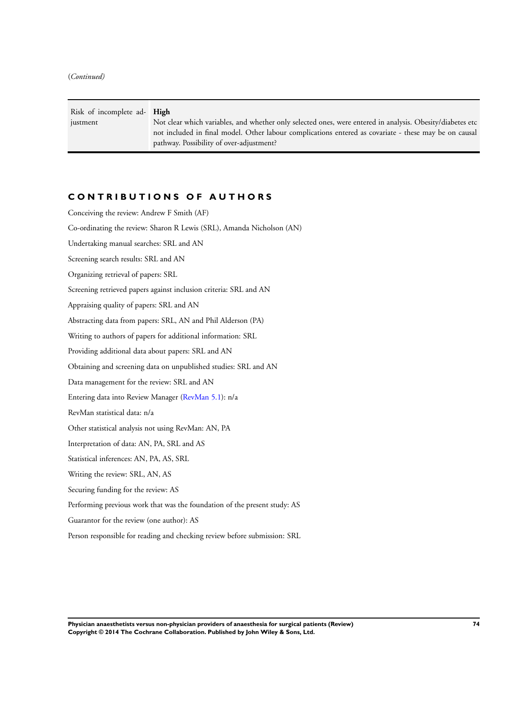| Risk of incomplete ad- <b>High</b> |                                                                                                                                                   |
|------------------------------------|---------------------------------------------------------------------------------------------------------------------------------------------------|
| <i>s</i> ustment                   | Not clear which variables, and whether only selected ones, were entered in analysis. Obesity/diabetes etc                                         |
|                                    | not included in final model. Other labour complications entered as covariate - these may be on causal<br>pathway. Possibility of over-adjustment? |

## **C O N T R I B U T I O N S O F A U T H O R S**

Conceiving the review: Andrew F Smith (AF) Co-ordinating the review: Sharon R Lewis (SRL), Amanda Nicholson (AN) Undertaking manual searches: SRL and AN Screening search results: SRL and AN Organizing retrieval of papers: SRL Screening retrieved papers against inclusion criteria: SRL and AN Appraising quality of papers: SRL and AN Abstracting data from papers: SRL, AN and Phil Alderson (PA) Writing to authors of papers for additional information: SRL Providing additional data about papers: SRL and AN Obtaining and screening data on unpublished studies: SRL and AN Data management for the review: SRL and AN Entering data into Review Manager [\(RevMan 5.1](#page-17-0)): n/a RevMan statistical data: n/a Other statistical analysis not using RevMan: AN, PA Interpretation of data: AN, PA, SRL and AS Statistical inferences: AN, PA, AS, SRL Writing the review: SRL, AN, AS Securing funding for the review: AS Performing previous work that was the foundation of the present study: AS Guarantor for the review (one author): AS Person responsible for reading and checking review before submission: SRL

**Physician anaesthetists versus non-physician providers of anaesthesia for surgical patients (Review) 74 Copyright © 2014 The Cochrane Collaboration. Published by John Wiley & Sons, Ltd.**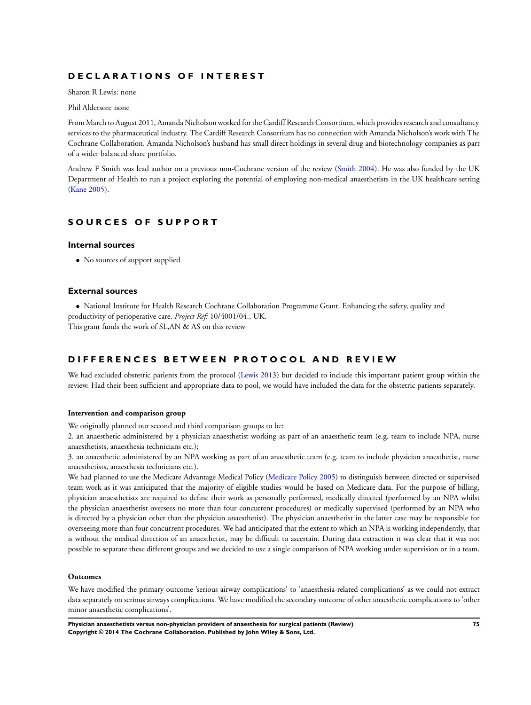# **D E C L A R A T I O N S O F I N T E R E S T**

Sharon R Lewis: none

Phil Alderson: none

From March to August 2011, Amanda Nicholson worked for the Cardiff Research Consortium, which provides research and consultancy services to the pharmaceutical industry. The Cardiff Research Consortium has no connection with Amanda Nicholson's work with The Cochrane Collaboration. Amanda Nicholson's husband has small direct holdings in several drug and biotechnology companies as part of a wider balanced share portfolio.

Andrew F Smith was lead author on a previous non-Cochrane version of the review [\(Smith 2004](#page-17-0)). He was also funded by the UK Department of Health to run a project exploring the potential of employing non-medical anaesthetists in the UK healthcare setting [\(Kane 2005](#page-17-0)).

# **S O U R C E S O F S U P P O R T**

#### **Internal sources**

• No sources of support supplied

### **External sources**

• National Institute for Health Research Cochrane Collaboration Programme Grant. Enhancing the safety, quality and productivity of perioperative care. *Project Ref:* 10/4001/04., UK. This grant funds the work of SL,AN & AS on this review

## **D I F F E R E N C E S B E T W E E N P R O T O C O L A N D R E V I E W**

We had excluded obstetric patients from the protocol ([Lewis 2013](#page-17-0)) but decided to include this important patient group within the review. Had their been sufficient and appropriate data to pool, we would have included the data for the obstetric patients separately.

#### **Intervention and comparison group**

We originally planned our second and third comparison groups to be:

2. an anaesthetic administered by a physician anaesthetist working as part of an anaesthetic team (e.g. team to include NPA, nurse anaesthetists, anaesthesia technicians etc.);

3. an anaesthetic administered by an NPA working as part of an anaesthetic team (e.g. team to include physician anaesthetist, nurse anaesthetists, anaesthesia technicians etc.).

We had planned to use the Medicare Advantage Medical Policy ([Medicare Policy 2005](#page-17-0)) to distinguish between directed or supervised team work as it was anticipated that the majority of eligible studies would be based on Medicare data. For the purpose of billing, physician anaesthetists are required to define their work as personally performed, medically directed (performed by an NPA whilst the physician anaesthetist oversees no more than four concurrent procedures) or medically supervised (performed by an NPA who is directed by a physician other than the physician anaesthetist). The physician anaesthetist in the latter case may be responsible for overseeing more than four concurrent procedures. We had anticipated that the extent to which an NPA is working independently, that is without the medical direction of an anaesthetist, may be difficult to ascertain. During data extraction it was clear that it was not possible to separate these different groups and we decided to use a single comparison of NPA working under supervision or in a team.

#### **Outcomes**

We have modified the primary outcome 'serious airway complications' to 'anaesthesia-related complications' as we could not extract data separately on serious airways complications. We have modified the secondary outcome of other anaesthetic complications to 'other minor anaesthetic complications'.

**Physician anaesthetists versus non-physician providers of anaesthesia for surgical patients (Review) 75 Copyright © 2014 The Cochrane Collaboration. Published by John Wiley & Sons, Ltd.**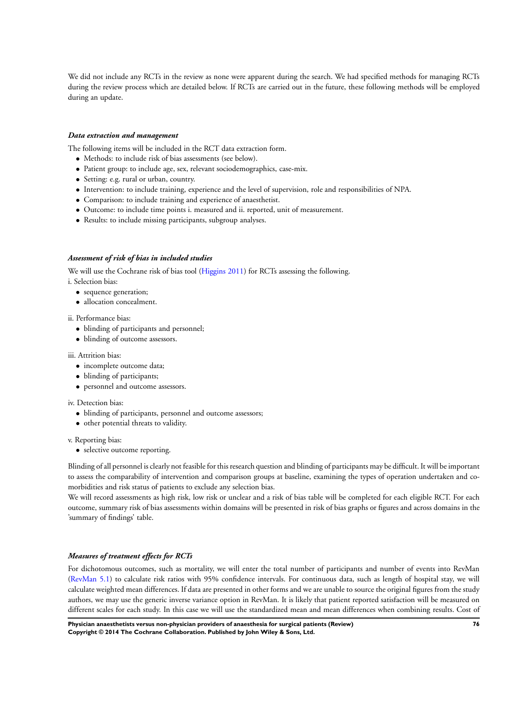We did not include any RCTs in the review as none were apparent during the search. We had specified methods for managing RCTs during the review process which are detailed below. If RCTs are carried out in the future, these following methods will be employed during an update.

#### *Data extraction and management*

The following items will be included in the RCT data extraction form.

- Methods: to include risk of bias assessments (see below).
- Patient group: to include age, sex, relevant sociodemographics, case-mix.
- Setting: e.g. rural or urban, country.
- Intervention: to include training, experience and the level of supervision, role and responsibilities of NPA.
- Comparison: to include training and experience of anaesthetist.
- Outcome: to include time points i. measured and ii. reported, unit of measurement.
- Results: to include missing participants, subgroup analyses.

#### *Assessment of risk of bias in included studies*

We will use the Cochrane risk of bias tool ([Higgins 2011\)](#page-17-0) for RCTs assessing the following.

- i. Selection bias:
	- sequence generation;
	- allocation concealment.

#### ii. Performance bias:

- blinding of participants and personnel;
- blinding of outcome assessors.

#### iii. Attrition bias:

- incomplete outcome data;
- blinding of participants;
- personnel and outcome assessors.

#### iv. Detection bias:

- blinding of participants, personnel and outcome assessors;
- other potential threats to validity.

#### v. Reporting bias:

• selective outcome reporting.

Blinding of all personnel is clearly not feasible for this research question and blinding of participants may be difficult. It will be important to assess the comparability of intervention and comparison groups at baseline, examining the types of operation undertaken and comorbidities and risk status of patients to exclude any selection bias.

We will record assessments as high risk, low risk or unclear and a risk of bias table will be completed for each eligible RCT. For each outcome, summary risk of bias assessments within domains will be presented in risk of bias graphs or figures and across domains in the 'summary of findings' table.

#### *Measures of treatment effects for RCTs*

For dichotomous outcomes, such as mortality, we will enter the total number of participants and number of events into RevMan [\(RevMan 5.1](#page-17-0)) to calculate risk ratios with 95% confidence intervals. For continuous data, such as length of hospital stay, we will calculate weighted mean differences. If data are presented in other forms and we are unable to source the original figures from the study authors, we may use the generic inverse variance option in RevMan. It is likely that patient reported satisfaction will be measured on different scales for each study. In this case we will use the standardized mean and mean differences when combining results. Cost of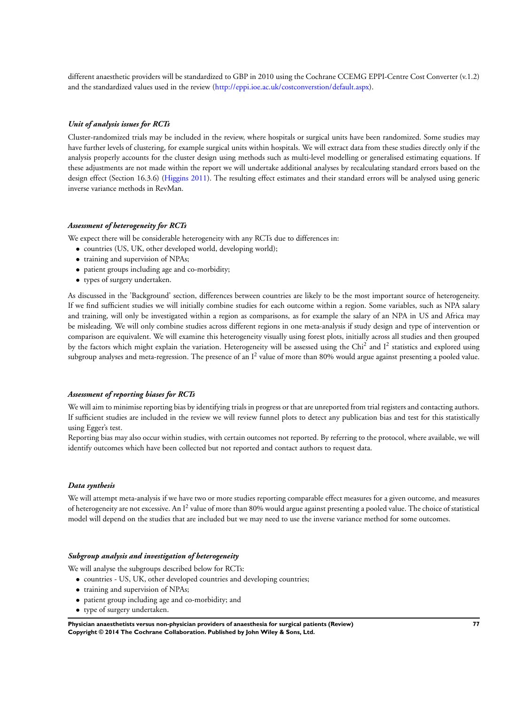different anaesthetic providers will be standardized to GBP in 2010 using the Cochrane CCEMG EPPI-Centre Cost Converter (v.1.2) and the standardized values used in the review [\(http://eppi.ioe.ac.uk/costconverstion/default.aspx](http://eppi.ioe.ac.uk/costconverstion/default.aspx)).

#### *Unit of analysis issues for RCTs*

Cluster-randomized trials may be included in the review, where hospitals or surgical units have been randomized. Some studies may have further levels of clustering, for example surgical units within hospitals. We will extract data from these studies directly only if the analysis properly accounts for the cluster design using methods such as multi-level modelling or generalised estimating equations. If these adjustments are not made within the report we will undertake additional analyses by recalculating standard errors based on the design effect (Section 16.3.6) [\(Higgins 2011](#page-17-0)). The resulting effect estimates and their standard errors will be analysed using generic inverse variance methods in RevMan.

#### *Assessment of heterogeneity for RCTs*

We expect there will be considerable heterogeneity with any RCTs due to differences in:

- countries (US, UK, other developed world, developing world);
- training and supervision of NPAs;
- patient groups including age and co-morbidity;
- types of surgery undertaken.

As discussed in the 'Background' section, differences between countries are likely to be the most important source of heterogeneity. If we find sufficient studies we will initially combine studies for each outcome within a region. Some variables, such as NPA salary and training, will only be investigated within a region as comparisons, as for example the salary of an NPA in US and Africa may be misleading. We will only combine studies across different regions in one meta-analysis if study design and type of intervention or comparison are equivalent. We will examine this heterogeneity visually using forest plots, initially across all studies and then grouped by the factors which might explain the variation. Heterogeneity will be assessed using the Chi<sup>2</sup> and I<sup>2</sup> statistics and explored using subgroup analyses and meta-regression. The presence of an  $I^2$  value of more than 80% would argue against presenting a pooled value.

#### *Assessment of reporting biases for RCTs*

We will aim to minimise reporting bias by identifying trials in progress or that are unreported from trial registers and contacting authors. If sufficient studies are included in the review we will review funnel plots to detect any publication bias and test for this statistically using Egger's test.

Reporting bias may also occur within studies, with certain outcomes not reported. By referring to the protocol, where available, we will identify outcomes which have been collected but not reported and contact authors to request data.

#### *Data synthesis*

We will attempt meta-analysis if we have two or more studies reporting comparable effect measures for a given outcome, and measures of heterogeneity are not excessive. An I<sup>2</sup> value of more than 80% would argue against presenting a pooled value. The choice of statistical model will depend on the studies that are included but we may need to use the inverse variance method for some outcomes.

#### *Subgroup analysis and investigation of heterogeneity*

We will analyse the subgroups described below for RCTs:

- countries US, UK, other developed countries and developing countries;
- training and supervision of NPAs;
- patient group including age and co-morbidity; and
- type of surgery undertaken.

**Physician anaesthetists versus non-physician providers of anaesthesia for surgical patients (Review) 77 Copyright © 2014 The Cochrane Collaboration. Published by John Wiley & Sons, Ltd.**